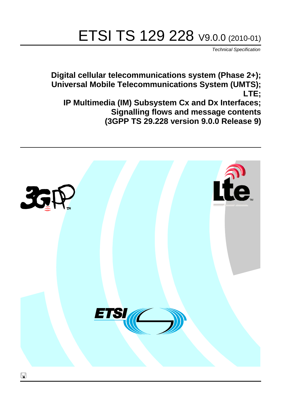# ETSI TS 129 228 V9.0.0 (2010-01)

*Technical Specification*

**Digital cellular telecommunications system (Phase 2+); Universal Mobile Telecommunications System (UMTS); LTE; IP Multimedia (IM) Subsystem Cx and Dx Interfaces; Signalling flows and message contents (3GPP TS 29.228 version 9.0.0 Release 9)**

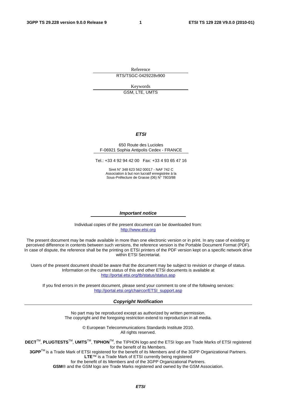Reference RTS/TSGC-0429228v900

Keywords GSM, LTE, UMTS

#### *ETSI*

#### 650 Route des Lucioles F-06921 Sophia Antipolis Cedex - FRANCE

Tel.: +33 4 92 94 42 00 Fax: +33 4 93 65 47 16

Siret N° 348 623 562 00017 - NAF 742 C Association à but non lucratif enregistrée à la Sous-Préfecture de Grasse (06) N° 7803/88

#### *Important notice*

Individual copies of the present document can be downloaded from: [http://www.etsi.org](http://www.etsi.org/)

The present document may be made available in more than one electronic version or in print. In any case of existing or perceived difference in contents between such versions, the reference version is the Portable Document Format (PDF). In case of dispute, the reference shall be the printing on ETSI printers of the PDF version kept on a specific network drive within ETSI Secretariat.

Users of the present document should be aware that the document may be subject to revision or change of status. Information on the current status of this and other ETSI documents is available at <http://portal.etsi.org/tb/status/status.asp>

If you find errors in the present document, please send your comment to one of the following services: [http://portal.etsi.org/chaircor/ETSI\\_support.asp](http://portal.etsi.org/chaircor/ETSI_support.asp)

#### *Copyright Notification*

No part may be reproduced except as authorized by written permission. The copyright and the foregoing restriction extend to reproduction in all media.

> © European Telecommunications Standards Institute 2010. All rights reserved.

**DECT**TM, **PLUGTESTS**TM, **UMTS**TM, **TIPHON**TM, the TIPHON logo and the ETSI logo are Trade Marks of ETSI registered for the benefit of its Members.

**3GPP**TM is a Trade Mark of ETSI registered for the benefit of its Members and of the 3GPP Organizational Partners. **LTE**™ is a Trade Mark of ETSI currently being registered

for the benefit of its Members and of the 3GPP Organizational Partners.

**GSM**® and the GSM logo are Trade Marks registered and owned by the GSM Association.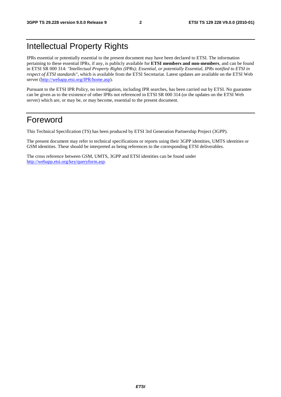## Intellectual Property Rights

IPRs essential or potentially essential to the present document may have been declared to ETSI. The information pertaining to these essential IPRs, if any, is publicly available for **ETSI members and non-members**, and can be found in ETSI SR 000 314: *"Intellectual Property Rights (IPRs); Essential, or potentially Essential, IPRs notified to ETSI in respect of ETSI standards"*, which is available from the ETSI Secretariat. Latest updates are available on the ETSI Web server [\(http://webapp.etsi.org/IPR/home.asp\)](http://webapp.etsi.org/IPR/home.asp).

Pursuant to the ETSI IPR Policy, no investigation, including IPR searches, has been carried out by ETSI. No guarantee can be given as to the existence of other IPRs not referenced in ETSI SR 000 314 (or the updates on the ETSI Web server) which are, or may be, or may become, essential to the present document.

### Foreword

This Technical Specification (TS) has been produced by ETSI 3rd Generation Partnership Project (3GPP).

The present document may refer to technical specifications or reports using their 3GPP identities, UMTS identities or GSM identities. These should be interpreted as being references to the corresponding ETSI deliverables.

The cross reference between GSM, UMTS, 3GPP and ETSI identities can be found under [http://webapp.etsi.org/key/queryform.asp.](http://webapp.etsi.org/key/queryform.asp)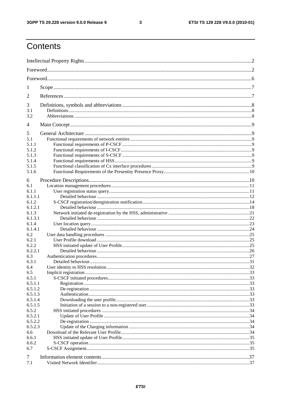#### $\mathbf{3}$

## Contents

| 1                  |  |  |  |  |  |  |  |  |
|--------------------|--|--|--|--|--|--|--|--|
| 2                  |  |  |  |  |  |  |  |  |
| 3                  |  |  |  |  |  |  |  |  |
| 3.1                |  |  |  |  |  |  |  |  |
| 3.2                |  |  |  |  |  |  |  |  |
| 4                  |  |  |  |  |  |  |  |  |
| 5                  |  |  |  |  |  |  |  |  |
| 5.1                |  |  |  |  |  |  |  |  |
| 5.1.1              |  |  |  |  |  |  |  |  |
| 5.1.2              |  |  |  |  |  |  |  |  |
| 5.1.3              |  |  |  |  |  |  |  |  |
| 5.1.4              |  |  |  |  |  |  |  |  |
| 5.1.5              |  |  |  |  |  |  |  |  |
| 5.1.6              |  |  |  |  |  |  |  |  |
| 6                  |  |  |  |  |  |  |  |  |
| 6.1                |  |  |  |  |  |  |  |  |
| 6.1.1              |  |  |  |  |  |  |  |  |
| 6.1.1.1            |  |  |  |  |  |  |  |  |
| 6.1.2              |  |  |  |  |  |  |  |  |
| 6.1.2.1            |  |  |  |  |  |  |  |  |
| 6.1.3              |  |  |  |  |  |  |  |  |
| 6.1.3.1            |  |  |  |  |  |  |  |  |
| 6.1.4              |  |  |  |  |  |  |  |  |
| 6.1.4.1            |  |  |  |  |  |  |  |  |
| 6.2                |  |  |  |  |  |  |  |  |
| 6.2.1              |  |  |  |  |  |  |  |  |
| 6.2.2              |  |  |  |  |  |  |  |  |
| 6.2.2.1            |  |  |  |  |  |  |  |  |
| 6.3                |  |  |  |  |  |  |  |  |
| 6.3.1              |  |  |  |  |  |  |  |  |
|                    |  |  |  |  |  |  |  |  |
| 6.4                |  |  |  |  |  |  |  |  |
| 6.5                |  |  |  |  |  |  |  |  |
| 6.5.1<br>6.5.1.1   |  |  |  |  |  |  |  |  |
|                    |  |  |  |  |  |  |  |  |
| 6.5.1.2<br>6.5.1.3 |  |  |  |  |  |  |  |  |
| 6.5.1.4            |  |  |  |  |  |  |  |  |
| 6.5.1.5            |  |  |  |  |  |  |  |  |
|                    |  |  |  |  |  |  |  |  |
| 6.5.2<br>6.5.2.1   |  |  |  |  |  |  |  |  |
| 6.5.2.2            |  |  |  |  |  |  |  |  |
| 6.5.2.3            |  |  |  |  |  |  |  |  |
|                    |  |  |  |  |  |  |  |  |
| 6.6                |  |  |  |  |  |  |  |  |
| 6.6.1<br>6.6.2     |  |  |  |  |  |  |  |  |
| 6.7                |  |  |  |  |  |  |  |  |
|                    |  |  |  |  |  |  |  |  |
| 7                  |  |  |  |  |  |  |  |  |
| 7.1                |  |  |  |  |  |  |  |  |
|                    |  |  |  |  |  |  |  |  |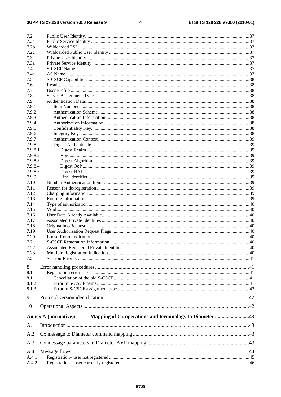#### $\overline{\mathbf{4}}$

| 7.2                |                             |  |
|--------------------|-----------------------------|--|
| 7.2a               |                             |  |
| 7.2 <sub>b</sub>   |                             |  |
| 7.2c               |                             |  |
| 7.3                |                             |  |
| 7.3a               |                             |  |
| 7.4                |                             |  |
| 7.4a               |                             |  |
| 7.5                |                             |  |
| 7.6                |                             |  |
| 7.7                |                             |  |
| 7.8                |                             |  |
| 7.9                |                             |  |
| 7.9.1              |                             |  |
| 7.9.2              |                             |  |
| 7.9.3              |                             |  |
| 7.9.4              |                             |  |
| 7.9.5              |                             |  |
| 7.9.6              |                             |  |
| 7.9.7              |                             |  |
| 7.9.8              |                             |  |
| 7.9.8.1<br>7.9.8.2 |                             |  |
| 7.9.8.3            |                             |  |
| 7.9.8.4            |                             |  |
| 7.9.8.5            |                             |  |
| 7.9.9              |                             |  |
| 7.10               |                             |  |
| 7.11               |                             |  |
| 7.12               |                             |  |
| 7.13               |                             |  |
| 7.14               |                             |  |
| 7.15               |                             |  |
| 7.16               |                             |  |
| 7.17               |                             |  |
| 7.18               |                             |  |
| 7.19               |                             |  |
| 7.20               |                             |  |
| 7.21               |                             |  |
| 7.22               |                             |  |
| 7.23               |                             |  |
| 7.24               |                             |  |
|                    |                             |  |
| 8                  |                             |  |
| 8.1                |                             |  |
| 8.1.1<br>8.1.2     |                             |  |
| 8.1.3              |                             |  |
|                    |                             |  |
| 9                  |                             |  |
| 10                 |                             |  |
|                    | <b>Annex A (normative):</b> |  |
| A.1                |                             |  |
| A.2                |                             |  |
| A.3                |                             |  |
| A.4                |                             |  |
| A.4.1              |                             |  |
| A.4.2              |                             |  |
|                    |                             |  |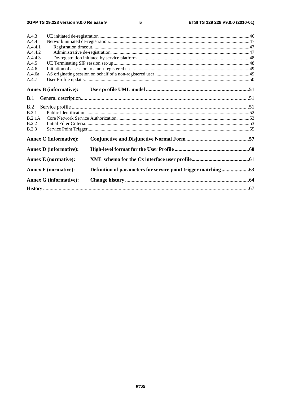$5\phantom{a}$ 

| A.4.3        |                               |  |  |  |  |  |  |
|--------------|-------------------------------|--|--|--|--|--|--|
| A.4.4        |                               |  |  |  |  |  |  |
| A.4.4.1      |                               |  |  |  |  |  |  |
| A.4.4.2      |                               |  |  |  |  |  |  |
| A.4.4.3      |                               |  |  |  |  |  |  |
| A.4.5        |                               |  |  |  |  |  |  |
| A.4.6        |                               |  |  |  |  |  |  |
| A.4.6a       |                               |  |  |  |  |  |  |
| A.4.7        |                               |  |  |  |  |  |  |
|              |                               |  |  |  |  |  |  |
|              | <b>Annex B</b> (informative): |  |  |  |  |  |  |
| B.1          |                               |  |  |  |  |  |  |
| B.2          |                               |  |  |  |  |  |  |
| B.2.1        |                               |  |  |  |  |  |  |
| B.2.1A       |                               |  |  |  |  |  |  |
| <b>B.2.2</b> |                               |  |  |  |  |  |  |
| <b>B.2.3</b> |                               |  |  |  |  |  |  |
|              |                               |  |  |  |  |  |  |
|              | <b>Annex C</b> (informative): |  |  |  |  |  |  |
|              | <b>Annex D</b> (informative): |  |  |  |  |  |  |
|              | <b>Annex E</b> (normative):   |  |  |  |  |  |  |
|              |                               |  |  |  |  |  |  |
|              | <b>Annex F</b> (normative):   |  |  |  |  |  |  |
|              | <b>Annex G (informative):</b> |  |  |  |  |  |  |
|              |                               |  |  |  |  |  |  |
|              |                               |  |  |  |  |  |  |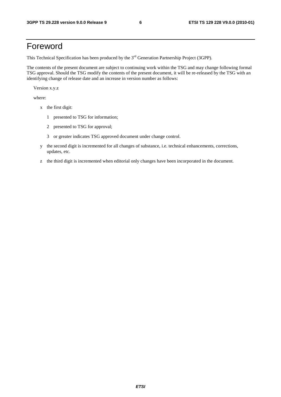### Foreword

This Technical Specification has been produced by the 3<sup>rd</sup> Generation Partnership Project (3GPP).

The contents of the present document are subject to continuing work within the TSG and may change following formal TSG approval. Should the TSG modify the contents of the present document, it will be re-released by the TSG with an identifying change of release date and an increase in version number as follows:

Version x.y.z

where:

- x the first digit:
	- 1 presented to TSG for information;
	- 2 presented to TSG for approval;
	- 3 or greater indicates TSG approved document under change control.
- y the second digit is incremented for all changes of substance, i.e. technical enhancements, corrections, updates, etc.
- z the third digit is incremented when editorial only changes have been incorporated in the document.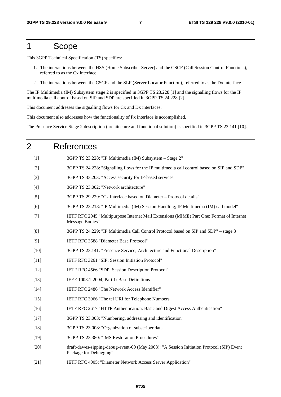### 1 Scope

This 3GPP Technical Specification (TS) specifies:

- 1. The interactions between the HSS (Home Subscriber Server) and the CSCF (Call Session Control Functions), referred to as the Cx interface.
- 2. The interactions between the CSCF and the SLF (Server Locator Function), referred to as the Dx interface.

The IP Multimedia (IM) Subsystem stage 2 is specified in 3GPP TS 23.228 [1] and the signalling flows for the IP multimedia call control based on SIP and SDP are specified in 3GPP TS 24.228 [2].

This document addresses the signalling flows for Cx and Dx interfaces.

This document also addresses how the functionality of Px interface is accomplished.

The Presence Service Stage 2 description (architecture and functional solution) is specified in 3GPP TS 23.141 [10].

## 2 References [1] 3GPP TS 23.228: "IP Multimedia (IM) Subsystem – Stage 2" [2] 3GPP TS 24.228: "Signalling flows for the IP multimedia call control based on SIP and SDP" [3] 3GPP TS 33.203: "Access security for IP-based services" [4] 3GPP TS 23.002: "Network architecture" [5] 3GPP TS 29.229: "Cx Interface based on Diameter – Protocol details" [6] 3GPP TS 23.218: "IP Multimedia (IM) Session Handling; IP Multimedia (IM) call model" [7] IETF RFC 2045 "Multipurpose Internet Mail Extensions (MIME) Part One: Format of Internet Message Bodies" [8] 3GPP TS 24.229: "IP Multimedia Call Control Protocol based on SIP and SDP" – stage 3 [9] IETF RFC 3588 "Diameter Base Protocol" [10] 3GPP TS 23.141: "Presence Service; Architecture and Functional Description" [11] IETF RFC 3261 "SIP: Session Initiation Protocol" [12] IETF RFC 4566 "SDP: Session Description Protocol" [13] IEEE 1003.1-2004, Part 1: Base Definitions [14] IETF RFC 2486 "The Network Access Identifier" [15] IETF RFC 3966 "The tel URI for Telephone Numbers" [16] IETF RFC 2617 "HTTP Authentication: Basic and Digest Access Authentication" [17] 3GPP TS 23.003: "Numbering, addressing and identification" [18] 3GPP TS 23.008: "Organization of subscriber data" [19] 3GPP TS 23.380: "IMS Restoration Procedures" [20] draft-dawes-sipping-debug-event-00 (May 2008): "A Session Initiation Protocol (SIP) Event Package for Debugging" [21] IETF RFC 4005: "Diameter Network Access Server Application"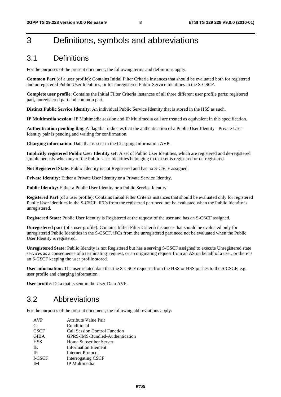## 3 Definitions, symbols and abbreviations

### 3.1 Definitions

For the purposes of the present document, the following terms and definitions apply.

**Common Part** (of a user profile): Contains Initial Filter Criteria instances that should be evaluated both for registered and unregistered Public User Identities, or for unregistered Public Service Identities in the S-CSCF.

**Complete user profile**: Contains the Initial Filter Criteria instances of all three different user profile parts; registered part, unregistered part and common part.

**Distinct Public Service Identity**: An individual Public Service Identity that is stored in the HSS as such.

**IP Multimedia session:** IP Multimedia session and IP Multimedia call are treated as equivalent in this specification.

**Authentication pending flag**: A flag that indicates that the authentication of a Public User Identity - Private User Identity pair is pending and waiting for confirmation.

**Charging information**: Data that is sent in the Charging-Information AVP.

**Implicitly registered Public User Identity set:** A set of Public User Identities, which are registered and de-registered simultaneously when any of the Public User Identities belonging to that set is registered or de-registered.

**Not Registered State:** Public Identity is not Registered and has no S-CSCF assigned.

Private Identity: Either a Private User Identity or a Private Service Identity.

Public Identity: Either a Public User Identity or a Public Service Identity.

**Registered Part** (of a user profile): Contains Initial Filter Criteria instances that should be evaluated only for registered Public User Identities in the S-CSCF. iFCs from the registered part need not be evaluated when the Public Identity is unregistered.

**Registered State:** Public User Identity is Registered at the request of the user and has an S-CSCF assigned.

**Unregistered part** (of a user profile): Contains Initial Filter Criteria instances that should be evaluated only for unregistered Public Identities in the S-CSCF. iFCs from the unregistered part need not be evaluated when the Public User Identity is registered.

**Unregistered State:** Public Identity is not Registered but has a serving S-CSCF assigned to execute Unregistered state services as a consequence of a terminating request, or an originating request from an AS on behalf of a user, or there is an S-CSCF keeping the user profile stored.

**User information:** The user related data that the S-CSCF requests from the HSS or HSS pushes to the S-CSCF, e.g. user profile and charging information.

**User profile**: Data that is sent in the User-Data AVP.

### 3.2 Abbreviations

For the purposes of the present document, the following abbreviations apply:

| <b>Attribute Value Pair</b>     |
|---------------------------------|
| Conditional                     |
| Call Session Control Function   |
| GPRS-IMS-Bundled-Authentication |
| Home Subscriber Server          |
| Information Element             |
| Internet Protocol               |
| <b>Interrogating CSCF</b>       |
| IP Multimedia                   |
|                                 |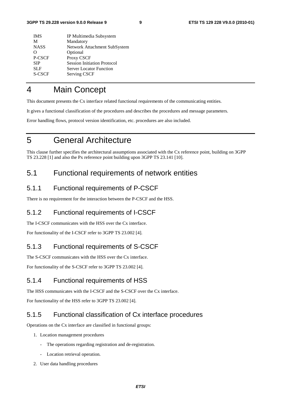| <b>IMS</b>    | IP Multimedia Subsystem            |
|---------------|------------------------------------|
| M             | Mandatory                          |
| <b>NASS</b>   | Network Attachment SubSystem       |
| ∩             | Optional                           |
| P-CSCF        | Proxy CSCF                         |
| <b>SIP</b>    | <b>Session Initiation Protocol</b> |
| <b>SLF</b>    | <b>Server Locator Function</b>     |
| <b>S-CSCF</b> | Serving CSCF                       |
|               |                                    |

## 4 Main Concept

This document presents the Cx interface related functional requirements of the communicating entities.

It gives a functional classification of the procedures and describes the procedures and message parameters.

Error handling flows, protocol version identification, etc. procedures are also included.

## 5 General Architecture

This clause further specifies the architectural assumptions associated with the Cx reference point, building on 3GPP TS 23.228 [1] and also the Px reference point building upon 3GPP TS 23.141 [10].

### 5.1 Functional requirements of network entities

#### 5.1.1 Functional requirements of P-CSCF

There is no requirement for the interaction between the P-CSCF and the HSS.

#### 5.1.2 Functional requirements of I-CSCF

The I-CSCF communicates with the HSS over the Cx interface.

For functionality of the I-CSCF refer to 3GPP TS 23.002 [4].

#### 5.1.3 Functional requirements of S-CSCF

The S-CSCF communicates with the HSS over the Cx interface.

For functionality of the S-CSCF refer to 3GPP TS 23.002 [4].

#### 5.1.4 Functional requirements of HSS

The HSS communicates with the I-CSCF and the S-CSCF over the Cx interface.

For functionality of the HSS refer to 3GPP TS 23.002 [4].

#### 5.1.5 Functional classification of Cx interface procedures

Operations on the Cx interface are classified in functional groups:

- 1. Location management procedures
	- The operations regarding registration and de-registration.
	- Location retrieval operation.
- 2. User data handling procedures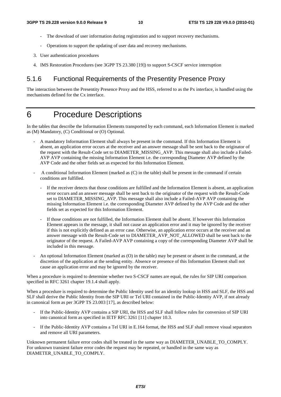- The download of user information during registration and to support recovery mechanisms.
- Operations to support the updating of user data and recovery mechanisms.
- 3. User authentication procedures
- 4. IMS Restoration Procedures (see 3GPP TS 23.380 [19]) to support S-CSCF service interruption

#### 5.1.6 Functional Requirements of the Presentity Presence Proxy

The interaction between the Presentity Presence Proxy and the HSS, referred to as the Px interface, is handled using the mechanisms defined for the Cx interface.

### 6 Procedure Descriptions

In the tables that describe the Information Elements transported by each command, each Information Element is marked as (M) Mandatory, (C) Conditional or (O) Optional.

- A mandatory Information Element shall always be present in the command. If this Information Element is absent, an application error occurs at the receiver and an answer message shall be sent back to the originator of the request with the Result-Code set to DIAMETER\_MISSING\_AVP. This message shall also include a Failed-AVP AVP containing the missing Information Element i.e. the corresponding Diameter AVP defined by the AVP Code and the other fields set as expected for this Information Element.
- A conditional Information Element (marked as (C) in the table) shall be present in the command if certain conditions are fulfilled.
	- If the receiver detects that those conditions are fulfilled and the Information Element is absent, an application error occurs and an answer message shall be sent back to the originator of the request with the Result-Code set to DIAMETER\_MISSING\_AVP. This message shall also include a Failed-AVP AVP containing the missing Information Element i.e. the corresponding Diameter AVP defined by the AVP Code and the other fields set as expected for this Information Element.
	- If those conditions are not fulfilled, the Information Element shall be absent. If however this Information Element appears in the message, it shall not cause an application error and it may be ignored by the receiver if this is not explicitly defined as an error case. Otherwise, an application error occurs at the receiver and an answer message with the Result-Code set to DIAMETER\_AVP\_NOT\_ALLOWED shall be sent back to the originator of the request. A Failed-AVP AVP containing a copy of the corresponding Diameter AVP shall be included in this message.
- An optional Information Element (marked as (O) in the table) may be present or absent in the command, at the discretion of the application at the sending entity. Absence or presence of this Information Element shall not cause an application error and may be ignored by the receiver.

When a procedure is required to determine whether two S-CSCF names are equal, the rules for SIP URI comparison specified in RFC 3261 chapter 19.1.4 shall apply.

When a procedure is required to determine the Public Identity used for an identity lookup in HSS and SLF, the HSS and SLF shall derive the Public Identity from the SIP URI or Tel URI contained in the Public-Identity AVP, if not already in canonical form as per 3GPP TS 23.003 [17], as described below:

- If the Public-Identity AVP contains a SIP URI, the HSS and SLF shall follow rules for conversion of SIP URI into canonical form as specified in IETF RFC 3261 [11] chapter 10.3.
- If the Public-Identity AVP contains a Tel URI in E.164 format, the HSS and SLF shall remove visual separators and remove all URI parameters.

Unknown permanent failure error codes shall be treated in the same way as DIAMETER\_UNABLE\_TO\_COMPLY. For unknown transient failure error codes the request may be repeated, or handled in the same way as DIAMETER\_UNABLE\_TO\_COMPLY.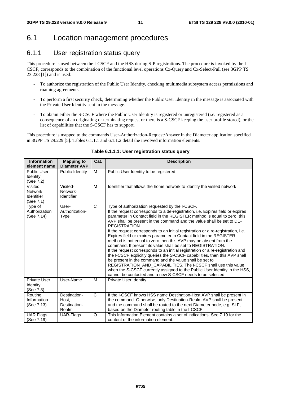### 6.1 Location management procedures

### 6.1.1 User registration status query

This procedure is used between the I-CSCF and the HSS during SIP registrations. The procedure is invoked by the I-CSCF, corresponds to the combination of the functional level operations Cx-Query and Cx-Select-Pull (see 3GPP TS 23.228 [1]) and is used:

- To authorize the registration of the Public User Identity, checking multimedia subsystem access permissions and roaming agreements.
- To perform a first security check, determining whether the Public User Identity in the message is associated with the Private User Identity sent in the message.
- To obtain either the S-CSCF where the Public User Identity is registered or unregistered (i.e. registered as a consequence of an originating or terminating request or there is a S-CSCF keeping the user profile stored), or the list of capabilities that the S-CSCF has to support.

This procedure is mapped to the commands User-Authorization-Request/Answer in the Diameter application specified in 3GPP TS 29.229 [5]. Tables 6.1.1.1 and 6.1.1.2 detail the involved information elements.

| <b>Information</b><br>element name                          | <b>Mapping to</b><br><b>Diameter AVP</b>       | Cat.         | <b>Description</b>                                                                                                                                                                                                                                                                                                                                                                                                                                                                                                                                                                                                                                                                                                                                                                                                                                                                                                                                                                                                                                   |
|-------------------------------------------------------------|------------------------------------------------|--------------|------------------------------------------------------------------------------------------------------------------------------------------------------------------------------------------------------------------------------------------------------------------------------------------------------------------------------------------------------------------------------------------------------------------------------------------------------------------------------------------------------------------------------------------------------------------------------------------------------------------------------------------------------------------------------------------------------------------------------------------------------------------------------------------------------------------------------------------------------------------------------------------------------------------------------------------------------------------------------------------------------------------------------------------------------|
| <b>Public User</b><br>Identity<br>(See 7.2)                 | Public-Identity                                | м            | Public User Identity to be registered                                                                                                                                                                                                                                                                                                                                                                                                                                                                                                                                                                                                                                                                                                                                                                                                                                                                                                                                                                                                                |
| Visited<br><b>Network</b><br><b>Identifier</b><br>(See 7.1) | Visited-<br>Network-<br>Identifier             | M            | Identifier that allows the home network to identify the visited network                                                                                                                                                                                                                                                                                                                                                                                                                                                                                                                                                                                                                                                                                                                                                                                                                                                                                                                                                                              |
| Type of<br>Authorization<br>(See 7.14)                      | User-<br>Authorization-<br><b>Type</b>         | $\mathsf{C}$ | Type of authorization requested by the I-CSCF.<br>If the request corresponds to a de-registration, i.e. Expires field or expires<br>parameter in Contact field in the REGISTER method is equal to zero, this<br>AVP shall be present in the command and the value shall be set to DE-<br><b>REGISTRATION.</b><br>If the request corresponds to an initial registration or a re-registration, i.e.<br>Expires field or expires parameter in Contact field in the REGISTER<br>method is not equal to zero then this AVP may be absent from the<br>command. If present its value shall be set to REGISTRATION.<br>If the request corresponds to an initial registration or a re-registration and<br>the I-CSCF explicitly queries the S-CSCF capabilities, then this AVP shall<br>be present in the command and the value shall be set to<br>REGISTRATION_AND_CAPABILITIES. The I-CSCF shall use this value<br>when the S-CSCF currently assigned to the Public User Identity in the HSS,<br>cannot be contacted and a new S-CSCF needs to be selected. |
| <b>Private User</b><br>Identity<br>(See 7.3)                | User-Name                                      | M            | <b>Private User Identity</b>                                                                                                                                                                                                                                                                                                                                                                                                                                                                                                                                                                                                                                                                                                                                                                                                                                                                                                                                                                                                                         |
| Routing<br>Information<br>(See 7.13)                        | Destination-<br>Host.<br>Destination-<br>Realm | $\mathsf{C}$ | If the I-CSCF knows HSS name Destination-Host AVP shall be present in<br>the command. Otherwise, only Destination-Realm AVP shall be present<br>and the command shall be routed to the next Diameter node, e.g. SLF,<br>based on the Diameter routing table in the I-CSCF.                                                                                                                                                                                                                                                                                                                                                                                                                                                                                                                                                                                                                                                                                                                                                                           |
| <b>UAR Flags</b><br>(See 7.19)                              | UAR-Flags                                      | $\circ$      | This Information Element contains a set of indications. See 7.19 for the<br>content of the information element.                                                                                                                                                                                                                                                                                                                                                                                                                                                                                                                                                                                                                                                                                                                                                                                                                                                                                                                                      |

#### **Table 6.1.1.1: User registration status query**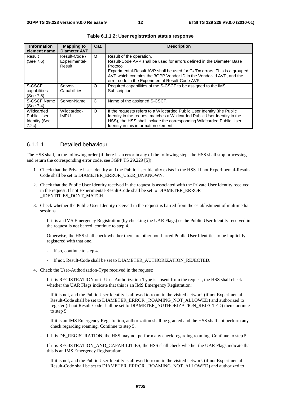| <b>Information</b><br>element name                                | <b>Mapping to</b><br><b>Diameter AVP</b> | Cat.    | <b>Description</b>                                                                                                                                                                                                                                                                                                    |
|-------------------------------------------------------------------|------------------------------------------|---------|-----------------------------------------------------------------------------------------------------------------------------------------------------------------------------------------------------------------------------------------------------------------------------------------------------------------------|
| Result<br>(See 7.6)                                               | Result-Code /<br>Experimental-<br>Result | м       | Result of the operation.<br>Result-Code AVP shall be used for errors defined in the Diameter Base<br>Protocol.<br>Experimental-Result AVP shall be used for Cx/Dx errors. This is a grouped<br>AVP which contains the 3GPP Vendor ID in the Vendor-Id AVP, and the<br>error code in the Experimental-Result-Code AVP. |
| S-CSCF<br>capabilities<br>(See 7.5)                               | Server-<br>Capabilities                  | O       | Required capabilities of the S-CSCF to be assigned to the IMS<br>Subscription.                                                                                                                                                                                                                                        |
| S-CSCF Name<br>(See 7.4)                                          | Server-Name                              | C       | Name of the assigned S-CSCF.                                                                                                                                                                                                                                                                                          |
| Wildcarded<br><b>Public User</b><br><b>Identity (See</b><br>7.2c) | Wildcarded-<br><b>IMPU</b>               | $\circ$ | If the requests refers to a Wildcarded Public User Identity (the Public<br>Identity in the request matches a Wildcarded Public User Identity in the<br>HSS), the HSS shall include the corresponding Wildcarded Public User<br>Identity in this information element.                                                  |

**Table 6.1.1.2: User registration status response** 

#### 6.1.1.1 Detailed behaviour

The HSS shall, in the following order (if there is an error in any of the following steps the HSS shall stop processing and return the corresponding error code, see 3GPP TS 29.229 [5]):

- 1. Check that the Private User Identity and the Public User Identity exists in the HSS. If not Experimental-Result-Code shall be set to DIAMETER\_ERROR\_USER\_UNKNOWN.
- 2. Check that the Public User Identity received in the request is associated with the Private User Identity received in the request. If not Experimental-Result-Code shall be set to DIAMETER\_ERROR \_IDENTITIES\_DONT\_MATCH.
- 3. Check whether the Public User Identity received in the request is barred from the establishment of multimedia sessions.
	- If it is an IMS Emergency Registration (by checking the UAR Flags) or the Public User Identity received in the request is not barred, continue to step 4.
	- Otherwise, the HSS shall check whether there are other non-barred Public User Identities to be implicitly registered with that one.
		- If so, continue to step 4.
		- If not, Result-Code shall be set to DIAMETER\_AUTHORIZATION\_REJECTED.
- 4. Check the User-Authorization-Type received in the request:
	- If it is REGISTRATION or if User-Authorization-Type is absent from the request, the HSS shall check whether the UAR Flags indicate that this is an IMS Emergency Registration:
	- If it is not, and the Public User Identity is allowed to roam in the visited network (if not Experimental-Result-Code shall be set to DIAMETER\_ERROR \_ROAMING\_NOT\_ALLOWED) and authorized to register (if not Result-Code shall be set to DIAMETER\_AUTHORIZATION\_REJECTED) then continue to step 5.
	- If it is an IMS Emergency Registration, authorization shall be granted and the HSS shall not perform any check regarding roaming. Continue to step 5.
	- If it is DE\_REGISTRATION, the HSS may not perform any check regarding roaming. Continue to step 5.
	- If it is REGISTRATION\_AND\_CAPABILITIES, the HSS shall check whether the UAR Flags indicate that this is an IMS Emergency Registration:
	- If it is not, and the Public User Identity is allowed to roam in the visited network (if not Experimental-Result-Code shall be set to DIAMETER\_ERROR \_ROAMING\_NOT\_ALLOWED) and authorized to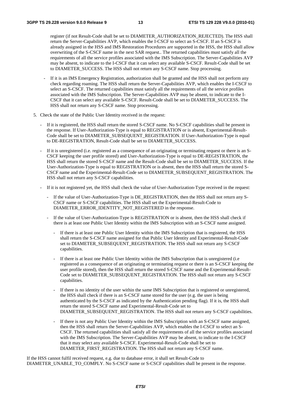register (if not Result-Code shall be set to DIAMETER\_AUTHORIZATION\_REJECTED). The HSS shall return the Server-Capabilities AVP, which enables the I-CSCF to select an S-CSCF. If an S-CSCF is already assigned in the HSS and IMS Restoration Procedures are supported in the HSS, the HSS shall allow overwriting of the S-CSCF name in the next SAR request.. The returned capabilities must satisfy all the requirements of all the service profiles associated with the IMS Subscription. The Server-Capabilities AVP may be absent, to indicate to the I-CSCF that it can select any available S-CSCF. Result-Code shall be set to DIAMETER\_SUCCESS. The HSS shall not return any S-CSCF name. Stop processing.

- If it is an IMS Emergency Registration, authorization shall be granted and the HSS shall not perform any check regarding roaming. The HSS shall return the Server-Capabilities AVP, which enables the I-CSCF to select an S-CSCF. The returned capabilities must satisfy all the requirements of all the service profiles associated with the IMS Subscription. The Server-Capabilities AVP may be absent, to indicate to the I-CSCF that it can select any available S-CSCF. Result-Code shall be set to DIAMETER\_SUCCESS. The HSS shall not return any S-CSCF name. Stop processing.
- 5. Check the state of the Public User Identity received in the request:
	- If it is registered, the HSS shall return the stored S-CSCF name. No S-CSCF capabilities shall be present in the response. If User-Authorization-Type is equal to REGISTRATION or is absent, Experimental-Result-Code shall be set to DIAMETER\_SUBSEQUENT\_REGISTRATION. If User-Authorization-Type is equal to DE-REGISTRATION, Result-Code shall be set to DIAMETER\_SUCCESS.
	- If it is unregistered (i.e. registered as a consequence of an originating or terminating request or there is an S-CSCF keeping the user profile stored) and User-Authorization-Type is equal to DE-REGISTRATION, the HSS shall return the stored S-CSCF name and the Result-Code shall be set to DIAMETER\_SUCCESS. If the User-Authorization-Type is equal to REGISTRATION or is absent, then the HSS shall return the stored S-CSCF name and the Experimental-Result-Code set to DIAMETER\_SUBSEQUENT\_REGISTRATION. The HSS shall not return any S-CSCF capabilities.
	- If it is not registered yet, the HSS shall check the value of User-Authorization-Type received in the request:
		- If the value of User-Authorization-Type is DE\_REGISTRATION, then the HSS shall not return any S-CSCF name or S-CSCF capabilities. The HSS shall set the Experimental-Result-Code to DIAMETER\_ERROR\_IDENTITY\_NOT\_REGISTERED in the response.
		- If the value of User-Authorization-Type is REGISTRATION or is absent, then the HSS shall check if there is at least one Public User Identity within the IMS Subscription with an S-CSCF name assigned.
			- If there is at least one Public User Identity within the IMS Subscription that is registered, the HSS shall return the S-CSCF name assigned for that Public User Identity and Experimental-Result-Code set to DIAMETER\_SUBSEQUENT\_REGISTRATION. The HSS shall not return any S-CSCF capabilities.
			- If there is at least one Public User Identity within the IMS Subscription that is unregistered (i.e registered as a consequence of an originating or terminating request or there is an S-CSCF keeping the user profile stored), then the HSS shall return the stored S-CSCF name and the Experimental-Result-Code set to DIAMETER\_SUBSEQUENT\_REGISTRATION. The HSS shall not return any S-CSCF capabilities.
			- If there is no identity of the user within the same IMS Subscription that is registered or unregistered, the HSS shall check if there is an S-CSCF name stored for the user (e.g. the user is being authenticated by the S-CSCF as indicated by the Authentication pending flag). If it is, the HSS shall return the stored S-CSCF name and Experimental-Result-Code set to DIAMETER\_SUBSEQUENT\_REGISTRATION. The HSS shall not return any S-CSCF capabilities.
			- If there is not any Public User Identity within the IMS Subscription with an S-CSCF name assigned, then the HSS shall return the Server-Capabilities AVP, which enables the I-CSCF to select an S-CSCF. The returned capabilities shall satisfy all the requirements of all the service profiles associated with the IMS Subscription. The Server-Capabilities AVP may be absent, to indicate to the I-CSCF that it may select any available S-CSCF. Experimental-Result-Code shall be set to DIAMETER\_FIRST\_REGISTRATION. The HSS shall not return any S-CSCF name.

If the HSS cannot fulfil received request, e.g. due to database error, it shall set Result-Code to DIAMETER\_UNABLE\_TO\_COMPLY. No S-CSCF name or S-CSCF capabilities shall be present in the response.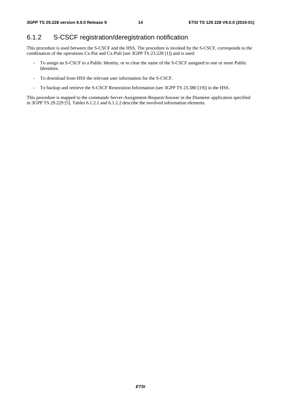### 6.1.2 S-CSCF registration/deregistration notification

This procedure is used between the S-CSCF and the HSS. The procedure is invoked by the S-CSCF, corresponds to the combination of the operations Cx-Put and Cx-Pull (see 3GPP TS 23.228 [1]) and is used:

- To assign an S-CSCF to a Public Identity, or to clear the name of the S-CSCF assigned to one or more Public Identities.
- To download from HSS the relevant user information for the S-CSCF.
- To backup and retrieve the S-CSCF Restoration Information (see 3GPP TS 23.380 [19]) in the HSS.

This procedure is mapped to the commands Server-Assignment-Request/Answer in the Diameter application specified in 3GPP TS 29.229 [5]. Tables 6.1.2.1 and 6.1.2.2 describe the involved information elements.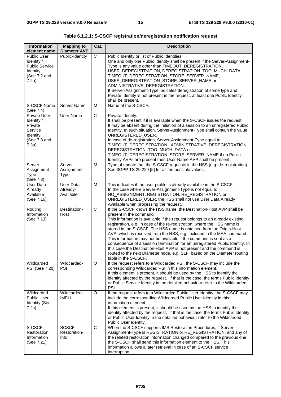| Information<br>element name                                                                               | <b>Mapping to</b><br><b>Diameter AVP</b> | Cat.           | <b>Description</b>                                                                                                                                                                                                                                                                                                                                                                                                                                                                                                                                                                                                                                                                                                                           |
|-----------------------------------------------------------------------------------------------------------|------------------------------------------|----------------|----------------------------------------------------------------------------------------------------------------------------------------------------------------------------------------------------------------------------------------------------------------------------------------------------------------------------------------------------------------------------------------------------------------------------------------------------------------------------------------------------------------------------------------------------------------------------------------------------------------------------------------------------------------------------------------------------------------------------------------------|
| <b>Public User</b><br>Identity /<br><b>Public Service</b><br>Identity<br>(See 7.2 and<br>7.2a)            | Public-Identity                          | $\overline{C}$ | Public Identity or list of Public Identities.<br>One and only one Public Identity shall be present if the Server-Assignment-<br>Type is any value other than TIMEOUT_DEREGISTRATION,<br>USER_DEREGISTRATION, DEREGISTRATION_TOO_MUCH_DATA,<br>TIMEOUT_DEREGISTRATION_STORE_SERVER_NAME,<br>USER_DEREGISTRATION_STORE_SERVER_NAME or<br>ADMINISTRATIVE_DEREGISTRATION.<br>If Server-Assignment-Type indicates deregistration of some type and<br>Private Identity is not present in the request, at least one Public Identity<br>shall be present.                                                                                                                                                                                            |
| S-CSCF Name                                                                                               | Server-Name                              | M              | Name of the S-CSCF.                                                                                                                                                                                                                                                                                                                                                                                                                                                                                                                                                                                                                                                                                                                          |
| (See 7.4)<br><b>Private User</b><br>Identity /<br>Private<br>Service<br>Identity<br>(See 7.3 and<br>7.3a) | User-Name                                | $\overline{C}$ | Private Identity.<br>It shall be present if it is available when the S-CSCF issues the request.<br>It may be absent during the initiation of a session to an unregistered Public<br>Identity. In such situation, Server-Assignment-Type shall contain the value<br>UNREGISTERED USER.<br>In case of de-registration, Server-Assignment-Type equal to<br>TIMEOUT_DEREGISTRATION, ADMINISTRATIVE_DEREGISTRATION,<br>DEREGISTRATION_TOO_MUCH_DATA or<br>TIMEOUT_DEREGISTRATION_STORE_SERVER_NAME if no Public-<br>Identity AVPs are present then User-Name AVP shall be present.                                                                                                                                                                |
| Server<br>Assignment<br><b>Type</b><br>(See 7.8)                                                          | Server-<br>Assignment-<br><b>Type</b>    | M              | Type of update that the S-CSCF requests in the HSS (e.g: de-registration).<br>See 3GPP TS 29.229 [5] for all the possible values.                                                                                                                                                                                                                                                                                                                                                                                                                                                                                                                                                                                                            |
| User Data<br>Already<br>Available<br>(See 7.16)                                                           | User-Data-<br>Already-<br>Available      | M              | This indicates if the user profile is already available in the S-CSCF.<br>In the case where Server-Assignment-Type is not equal to<br>NO_ASSIGNMENT, REGISTRATION, RE_REGISTRATION or<br>UNREGISTERED_USER, the HSS shall not use User Data Already<br>Available when processing the request.                                                                                                                                                                                                                                                                                                                                                                                                                                                |
| Routing<br>Information<br>(See 7.13)                                                                      | Destination-<br>Host                     | $\overline{C}$ | If the S-CSCF knows the HSS name, the Destination-Host AVP shall be<br>present in the command.<br>This information is available if the request belongs to an already existing<br>registration, e.g. in case of the re-registration, where the HSS name is<br>stored in the S-CSCF. The HSS name is obtained from the Origin-Host<br>AVP, which is received from the HSS, e.g. included in the MAA command.<br>This information may not be available if the command is sent as a<br>consequence of a session termination for an unregistered Public Identity. In<br>this case the Destination-Host AVP is not present and the command is<br>routed to the next Diameter node, e.g. SLF, based on the Diameter routing<br>table in the S-CSCF. |
| Wildcarded<br>PSI (See 7.2b)                                                                              | Wildcarded-<br><b>PSI</b>                | $\circ$        | If the request refers to a Wildcarded PSI, the S-CSCF may include the<br>corresponding Wildcarded PSI in this information element.<br>If this element is present, it should be used by the HSS to identify the<br>identity affected by the request. If that is the case, the terms Public Identity<br>or Public Service Identity in the detailed behaviour refer to the Wildcarded<br>PSI.                                                                                                                                                                                                                                                                                                                                                   |
| Wildcarded<br><b>Public User</b><br><b>Identity (See</b><br>7.2c)                                         | Wildcarded-<br><b>IMPU</b>               | $\circ$        | If the request refers to a Wildcarded Public User Identity, the S-CSCF may<br>include the corresponding Wildcarded Public User Identity in this<br>information element.<br>If this element is present, it should be used by the HSS to identify the<br>identity affected by the request. If that is the case, the terms Public Identity<br>or Public User Identity in the detailed behaviour refer to the Wildcarded<br>Public User Identity.                                                                                                                                                                                                                                                                                                |
| S-CSCF<br>Restoration<br>Information<br>(See 7.21)                                                        | SCSCF-<br>Restoration-<br>Info           | C              | When the S-CSCF supports IMS Restoration Procedures, if Server-<br>Assignment-Type is REGISTRATION or RE_REGISTRATION, and any of<br>the related restoration information changed compared to the previous one,<br>the S-CSCF shall send this information element to the HSS. This<br>information allows a later retrieval in case of an S-CSCF service<br>interruption.                                                                                                                                                                                                                                                                                                                                                                      |

**Table 6.1.2.1: S-CSCF registration/deregistration notification request**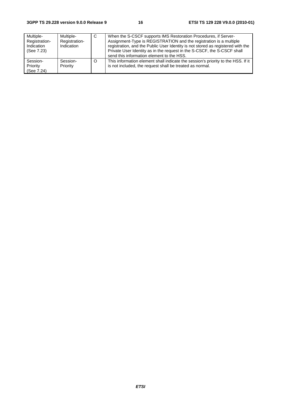| Multiple-<br>Registration-<br>Indication<br>(See 7.23) | Multiple-<br>Registration-<br>Indication | <sub>C</sub> | When the S-CSCF supports IMS Restoration Procedures, if Server-<br>Assignment-Type is REGISTRATION and the registration is a multiple<br>registration, and the Public User Identity is not stored as registered with the<br>Private User Identity as in the request in the S-CSCF, the S-CSCF shall<br>send this information element to the HSS. |
|--------------------------------------------------------|------------------------------------------|--------------|--------------------------------------------------------------------------------------------------------------------------------------------------------------------------------------------------------------------------------------------------------------------------------------------------------------------------------------------------|
| Session-<br>Priority<br>(See 7.24)                     | Session-<br>Priority                     |              | This information element shall indicate the session's priority to the HSS. If it<br>is not included, the request shall be treated as normal.                                                                                                                                                                                                     |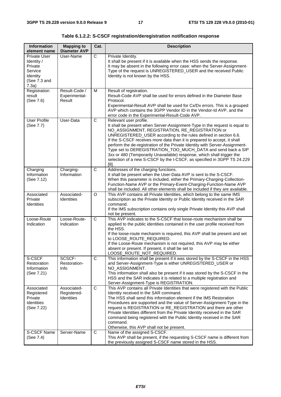**Table 6.1.2.2: S-CSCF registration/deregistration notification response** 

| <b>Information</b><br>element name                                                    | <b>Mapping to</b><br><b>Diameter AVP</b>        | Cat.           | <b>Description</b>                                                                                                                                                                                                                                                                                                                                                                                                                                                                                                                                                                                                     |
|---------------------------------------------------------------------------------------|-------------------------------------------------|----------------|------------------------------------------------------------------------------------------------------------------------------------------------------------------------------------------------------------------------------------------------------------------------------------------------------------------------------------------------------------------------------------------------------------------------------------------------------------------------------------------------------------------------------------------------------------------------------------------------------------------------|
| Private User<br>Identity /<br>Private<br>Service<br>Identity<br>(See 7.3 and<br>7.3a) | User-Name                                       | $\overline{C}$ | Private Identity.<br>It shall be present if it is available when the HSS sends the response.<br>It may be absent in the following error case: when the Server-Assignment-<br>Type of the request is UNREGISTERED_USER and the received Public<br>Identity is not known by the HSS.                                                                                                                                                                                                                                                                                                                                     |
| Registration<br>result<br>(See 7.6)                                                   | Result-Code /<br>Experimental-<br>Result        | M              | Result of registration.<br>Result-Code AVP shall be used for errors defined in the Diameter Base<br>Protocol.<br>Experimental-Result AVP shall be used for Cx/Dx errors. This is a grouped<br>AVP which contains the 3GPP Vendor ID in the Vendor-Id AVP, and the<br>error code in the Experimental-Result-Code AVP.                                                                                                                                                                                                                                                                                                   |
| User Profile<br>(See 7.7)                                                             | User-Data                                       | $\overline{C}$ | Relevant user profile.<br>It shall be present when Server-Assignment-Type in the request is equal to<br>NO_ASSIGNMENT, REGISTRATION, RE_REGISTRATION or<br>UNREGISTERED_USER according to the rules defined in section 6.6.<br>If the S-CSCF receives more data than it is prepared to accept, it shall<br>perform the de-registration of the Private Identity with Server-Assignment-<br>Type set to DEREGISTRATION_TOO_MUCH_DATA and send back a SIP<br>3xx or 480 (Temporarily Unavailable) response, which shall trigger the<br>selection of a new S-CSCF by the I-CSCF, as specified in 3GPP TS 24.229<br>$[8]$ . |
| Charging<br>Information<br>(See 7.12)                                                 | Charging-<br>Information                        | $\overline{C}$ | Addresses of the charging functions.<br>It shall be present when the User-Data AVP is sent to the S-CSCF.<br>When this parameter is included, either the Primary-Charging-Collection-<br>Function-Name AVP or the Primary-Event-Charging-Function-Name AVP<br>shall be included. All other elements shall be included if they are available.                                                                                                                                                                                                                                                                           |
| Associated<br>Private<br><b>Identities</b>                                            | Associated-<br><b>Identities</b>                | $\circ$        | This AVP contains all Private Identities, which belong to the same IMS<br>subscription as the Private Identity or Public Identity received in the SAR<br>command.<br>If the IMS subscription contains only single Private Identity this AVP shall<br>not be present.                                                                                                                                                                                                                                                                                                                                                   |
| Loose-Route<br>Indication                                                             | Loose-Route-<br>Indication                      | $\overline{C}$ | This AVP indicates to the S-CSCF that loose-route mechanism shall be<br>applied to the public identities contained in the user profile received from<br>the HSS.<br>If the loose-route mechanim is required, this AVP shall be present and set<br>to LOOSE_ROUTE_REQUIRED.<br>If the Loose-Route mechanism is not required, this AVP may be either<br>absent or present. If present, it shall be set to<br>LOOSE_ROUTE_NOT_REQUIRED.                                                                                                                                                                                   |
| S-CSCF<br>Restoration<br>Information<br>(See 7.21)                                    | SCSCF-<br>Restoration-<br>Info                  | $\overline{C}$ | This information shall be present if it was stored by the S-CSCF in the HSS<br>and Server-Assignment-Type is either UNREGISTERED_USER or<br>NO_ASSIGNMENT.<br>This information shall also be present if it was stored by the S-CSCF in the<br>HSS and the SAR indicates it is related to a multiple registration and<br>Server-Assignment-Type is REGISTRATION.                                                                                                                                                                                                                                                        |
| Associated<br>Registered<br>Private<br>Identities<br>(See 7.22)                       | Associated-<br>Registered-<br><b>Identities</b> | C              | This AVP contains all Private Identities that were registered with the Public<br>Identity received in the SAR command.<br>The HSS shall send this information element if the IMS Restoration<br>Procedures are supported and the value of Server-Assignment-Type in the<br>request is REGISTRATION or RE_REGISTRATION and there are other<br>Private Identities different from the Private Identity received in the SAR<br>command being registered with the Public Identity received in the SAR<br>command.<br>Otherwise, this AVP shall not be present.                                                              |
| S-CSCF Name<br>(See 7.4)                                                              | Server-Name                                     | C              | Name of the assigned S-CSCF.<br>This AVP shall be present, if the requesting S-CSCF name is different from<br>the previously assigned S-CSCF name stored in the HSS.                                                                                                                                                                                                                                                                                                                                                                                                                                                   |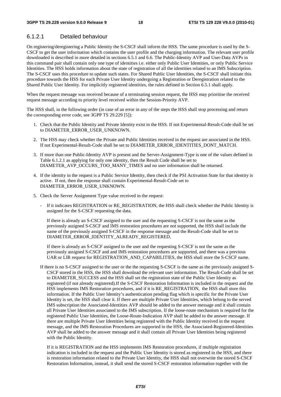#### 6.1.2.1 Detailed behaviour

On registering/deregistering a Public Identity the S-CSCF shall inform the HSS. The same procedure is used by the S-CSCF to get the user information which contains the user profile and the charging information. The relevant user profile downloaded is described in more detailed in sections 6.5.1 and 6.6. The Public-Identity AVP and User-Data AVPs in this command pair shall contain only one type of identities i.e. either only Public User Identities, or only Public Service Identities. The HSS holds information about the state of registration of all the identities related to an IMS Subscription. The S-CSCF uses this procedure to update such states. For Shared Public User Identities, the S-CSCF shall initiate this procedure towards the HSS for each Private User Identity undergoing a Registration or Deregistration related to the Shared Public User Identity. For implicitly registered identities, the rules defined in Section 6.5.1 shall apply.

When the request message was received because of a terminating session request, the HSS may prioritise the received request message according to priority level received within the Session-Priority AVP.

The HSS shall, in the following order (in case of an error in any of the steps the HSS shall stop processing and return the corresponding error code, see 3GPP TS 29.229 [5]):

- 1. Check that the Public Identity and Private Identity exist in the HSS. If not Experimental-Result-Code shall be set to DIAMETER\_ERROR\_USER\_UNKNOWN.
- 2. The HSS may check whether the Private and Public Identities received in the request are associated in the HSS. If not Experimental-Result-Code shall be set to DIAMETER\_ERROR\_IDENTITIES\_DONT\_MATCH.
- 3. If more than one Public-Identity AVP is present and the Server-Assignment-Type is one of the values defined in Table 6.1.2.1 as applying for only one identity, then the Result Code shall be set to DIAMETER\_AVP\_OCCURS\_TOO\_MANY\_TIMES and no user information shall be returned.
- 4. If the identity in the request is a Public Service Identity, then check if the PSI Activation State for that identity is active. If not, then the response shall contain Experimental-Result-Code set to DIAMETER\_ERROR\_USER\_UNKNOWN.
- 5. Check the Server Assignment Type value received in the request:
	- If it indicates REGISTRATION or RE\_REGISTRATION, the HSS shall check whether the Public Identity is assigned for the S-CSCF requesting the data.

If there is already an S-CSCF assigned to the user and the requesting S-CSCF is not the same as the previously assigned S-CSCF and IMS restoration procedures are not supported, the HSS shall include the name of the previously assigned S-CSCF in the response message and the Result-Code shall be set to DIAMETER\_ERROR\_IDENTITY\_ALREADY\_REGISTERED.

If there is already an S-CSCF assigned to the user and the requesting S-CSCF is not the same as the previously assigned S-CSCF and and IMS restoration procedures are supported, and there was a previous UAR or LIR request for REGISTRATION\_AND\_CAPABILITIES, the HSS shall store the S-CSCF name.

If there is no S-CSCF assigned to the user or the the requesting S-CSCF is the same as the previously assigned S-CSCF stored in the HSS, the HSS shall download the relevant user information. The Result-Code shall be set to DIAMETER SUCCESS and the HSS shall set the registration state of the Public User Identity as registered (if not already registered).If the S-CSCF Restoration Information is included in the request and the HSS implements IMS Restoration procedures, and if it is RE\_REGISTRATION, the HSS shall store this information. If the Public User Identity's authentication pending flag which is specific for the Private User Identity is set, the HSS shall clear it. If there are multiple Private User Identities, which belong to the served IMS subscription the Associated-Identities AVP should be added to the answer message and it shall contain all Private User Identities associated to the IMS subscription. If the loose-route mechanism is required for the registered Public User Identities, the Loose-Route-Indication AVP shall be added to the answer message. If there are multiple Private User Identities being registered with the Public Identity received in the request message, and the IMS Restoration Procedures are supported in the HSS, the Associated-Registered-Identities AVP shall be added to the answer message and it shall contain all Private User Identities being registered with the Public Identity.

If it is REGISTRATION and the HSS implements IMS Restoration procedures, if multiple registration indication is included in the request and the Public User Identity is stored as registered in the HSS, and there is restoration information related to the Private User Identity, the HSS shall not overwrite the stored S-CSCF Restoration Information, instead, it shall send the stored S-CSCF restoration information together with the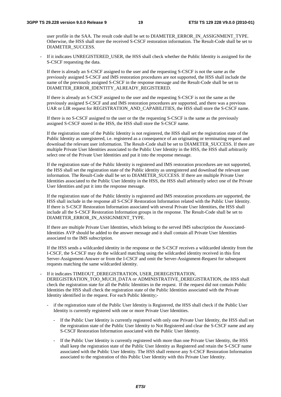user profile in the SAA. The result code shall be set to DIAMETER\_ERROR\_IN\_ASSIGNMENT\_TYPE. Otherwise, the HSS shall store the received S-CSCF restoration information. The Result-Code shall be set to DIAMETER\_SUCCESS.

If it indicates UNREGISTERED USER, the HSS shall check whether the Public Identity is assigned for the S-CSCF requesting the data.

If there is already an S-CSCF assigned to the user and the requesting S-CSCF is not the same as the previously assigned S-CSCF and IMS restoration procedures are not supported, the HSS shall include the name of the previously assigned S-CSCF in the response message and the Result-Code shall be set to DIAMETER\_ERROR\_IDENTITY\_ALREADY\_REGISTERED.

If there is already an S-CSCF assigned to the user and the requesting S-CSCF is not the same as the previously assigned S-CSCF and and IMS restoration procedures are supported, and there was a previous UAR or LIR request for REGISTRATION AND CAPABILITIES, the HSS shall store the S-CSCF name.

 If there is no S-CSCF assigned to the user or the the requesting S-CSCF is the same as the previously assigned S-CSCF stored in the HSS, the HSS shall store the S-CSCF name.

 If the registration state of the Public Identity is not registered, the HSS shall set the registration state of the Public Identity as unregistered, i.e. registered as a consequence of an originating or terminating request and download the relevant user information. The Result-Code shall be set to DIAMETER\_SUCCESS. If there are multiple Private User Identities associated to the Public User Identity in the HSS, the HSS shall arbitrarily select one of the Private User Identities and put it into the response message.

If the registration state of the Public Identity is registered and IMS restoration procedures are not supported, the HSS shall set the registration state of the Public identity as unregistered and download the relevant user information. The Result-Code shall be set to DIAMETER\_SUCCESS. If there are multiple Private User Identities associated to the Public User Identity in the HSS, the HSS shall arbitrarily select one of the Private User Identities and put it into the response message.

 If the registration state of the Public Identity is registered and IMS restoration procedures are supported, the HSS shall include in the response all S-CSCF Restoration Information related with the Public User Identity. If there is S-CSCF Restoration Information associated with several Private User Identities, the HSS shall include all the S-CSCF Restoration Information groups in the response. The Result-Code shall be set to DIAMETER\_ERROR\_IN\_ASSIGNMENT\_TYPE.

 If there are multiple Private User Identities, which belong to the served IMS subscription the Associated-Identities AVP should be added to the answer message and it shall contain all Private User Identities associated to the IMS subscription.

If the HSS sends a wildcarded identity in the response or the S-CSCF receives a wildcarded identity from the I-CSCF, the S-CSCF may do the wildcard matching using the wildcarded identity received in this first Server-Assignment-Answer or from the I-CSCF and omit the Server-Assignment-Request for subsequent requests matching the same wildcarded identity.

- If it indicates TIMEOUT\_DEREGISTRATION, USER\_DEREGISTRATION, DEREGISTRATION\_TOO\_MUCH\_DATA or ADMINISTRATIVE\_DEREGISTRATION, the HSS shall check the registration state for all the Public Identities in the request. If the request did not contain Public Identities the HSS shall check the registration state of the Public Identities associated with the Private Identity identified in the request. For each Public Identity;-
	- if the registration state of the Public User Identity is Registered, the HSS shall check if the Public User Identity is currently registered with one or more Private User Identities.
		- If the Public User Identity is currently registered with only one Private User Identity, the HSS shall set the registration state of the Public User Identity to Not Registered and clear the S-CSCF name and any S-CSCF Restoration Information associated with the Public User Identity.
		- If the Public User Identity is currently registered with more than one Private User Identity, the HSS shall keep the registration state of the Public User Identity as Registered and retain the S-CSCF name associated with the Public User Identity. The HSS shall remove any S-CSCF Restoration Information associated to the registration of this Public User Identity with this Private User Identity.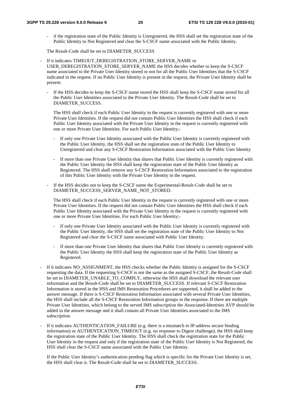- if the registration state of the Public Identity is Unregistered, the HSS shall set the registration state of the Public Identity to Not Registered and clear the S-CSCF name associated with the Public Identity.

The Result-Code shall be set to DIAMETER\_SUCCESS

- If it indicates TIMEOUT\_DEREGISTRATION\_STORE\_SERVER\_NAME or USER\_DEREGISTRATION\_STORE\_SERVER\_NAME the HSS decides whether to keep the S-CSCF name associated to the Private User Identity stored or not for all the Public User Identities that the S-CSCF indicated in the request. If no Public User Identity is present in the request, the Private User Identity shall be present.
	- If the HSS decides to keep the S-CSCF name stored the HSS shall keep the S-CSCF name stored for all the Public User Identities associated to the Private User Identity. The Result-Code shall be set to DIAMETER\_SUCCESS.

The HSS shall check if each Public User Identity in the request is currently registered with one or more Private User Identities. If the request did not contain Public User Identities the HSS shall check if each Public User Identity associated with the Private User Identity in the request is currently registered with one or more Private User Identities. For each Public User Identity;-

- If only one Private User Identity associated with the Public User Identity is currently registered with the Public User Identity, the HSS shall set the registration state of the Public User Identity to Unregistered and clear any S-CSCF Restoration Information associated with the Public User Identity
- If more than one Private User Identity that shares that Public User Identity is currently registered with the Public User Identity the HSS shall keep the registration state of the Public User Identity as Registered. The HSS shall remove any S-CSCF Restoration Information associated to the registration of this Public User Identity with the Private User Identity in the request.
- If the HSS decides not to keep the S-CSCF name the Experimental-Result-Code shall be set to DIAMETER\_SUCCESS\_SERVER\_NAME\_NOT\_STORED.

The HSS shall check if each Public User Identity in the request is currently registered with one or more Private User Identities. If the request did not contain Public User Identities the HSS shall check if each Public User Identity associated with the Private User Identity in the request is currently registered with one or more Private User Identities. For each Public User Identity;-

- If only one Private User Identity associated with the Public User Identity is currently registered with the Public User Identity, the HSS shall set the registration state of the Public User Identity to Not Registered and clear the S-CSCF name associated with Public User Identity.
- If more than one Private User Identity that shares that Public User Identity is currently registered with the Public User Identity the HSS shall keep the registration state of the Public User Identity as Registered.
- If it indicates NO\_ASSIGNMENT, the HSS checks whether the Public Identity is assigned for the S-CSCF requesting the data. If the requesting S-CSCF is not the same as the assigned S-CSCF, the Result-Code shall be set to DIAMETER\_UNABLE\_TO\_COMPLY, otherwise the HSS shall download the relevant user information and the Result-Code shall be set to DIAMETER\_SUCCESS. If relevant S-CSCF Restoration Information is stored in the HSS and IMS Restoration Procedures are supported, it shall be added to the answer message. If there is S-CSCF Restoration Information associated with several Private User Identities, the HSS shall include all the S-CSCF Restoration Information groups in the response. If there are multiple Private User Identities, which belong to the served IMS subscription the Associated-Identities AVP should be added to the answer message and it shall contain all Private User Identities associated to the IMS subscription.
- If it indicates AUTHENTICATION FAILURE (e.g. there is a mismatch in IP-address secure binding information) or AUTHENTICATION TIMEOUT (e.g. no response to Digest challenge), the HSS shall keep the registration state of the Public User Identity. The HSS shall check the registration state for the Public User Identity in the request and only if the registration state of the Public User Identity is Not Registered, the HSS shall clear the S-CSCF name associated with the Public User Identity.

If the Public User Identity's authentication pending flag which is specific for the Private User Identity is set, the HSS shall clear it. The Result-Code shall be set to DIAMETER\_SUCCESS.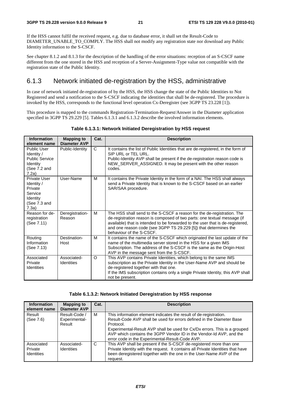If the HSS cannot fulfil the received request, e.g. due to database error, it shall set the Result-Code to DIAMETER\_UNABLE\_TO\_COMPLY. The HSS shall not modify any registration state nor download any Public Identity information to the S-CSCF.

See chapter 8.1.2 and 8.1.3 for the description of the handling of the error situations: reception of an S-CSCF name different from the one stored in the HSS and reception of a Server-Assignment-Type value not compatible with the registration state of the Public Identity.

#### 6.1.3 Network initiated de-registration by the HSS, administrative

In case of network initiated de-registration of by the HSS, the HSS change the state of the Public Identities to Not Registered and send a notification to the S-CSCF indicating the identities that shall be de-registered. The procedure is invoked by the HSS, corresponds to the functional level operation Cx-Deregister (see 3GPP TS 23.228 [1]).

This procedure is mapped to the commands Registration-Termination-Request/Answer in the Diameter application specified in 3GPP TS 29.229 [5]. Tables 6.1.3.1 and 6.1.3.2 describe the involved information elements.

| <b>Information</b><br>element name                                                             | <b>Mapping to</b><br><b>Diameter AVP</b> | Cat.         | <b>Description</b>                                                                                                                                                                                                                                                                                                                   |
|------------------------------------------------------------------------------------------------|------------------------------------------|--------------|--------------------------------------------------------------------------------------------------------------------------------------------------------------------------------------------------------------------------------------------------------------------------------------------------------------------------------------|
| <b>Public User</b><br>Identity /<br><b>Public Service</b><br>Identity<br>(See 7.2 and<br>7.2a) | Public-Identity                          | $\mathsf{C}$ | It contains the list of Public Identities that are de-registered, in the form of<br>SIP URL or TEL URL.<br>Public-Identity AVP shall be present if the de-registration reason code is<br>NEW_SERVER_ASSIGNED. It may be present with the other reason<br>codes.                                                                      |
| Private User<br>Identity /<br>Private<br>Service<br>Identity<br>(See 7.3 and<br>7.3a)          | User-Name                                | М            | It contains the Private Identity in the form of a NAI. The HSS shall always<br>send a Private Identity that is known to the S-CSCF based on an earlier<br>SAR/SAA procedure.                                                                                                                                                         |
| Reason for de-<br>registration<br>(See 7.11)                                                   | Deregistration-<br>Reason                | M            | The HSS shall send to the S-CSCF a reason for the de-registration. The<br>de-registration reason is composed of two parts: one textual message (if<br>available) that is intended to be forwarded to the user that is de-registered,<br>and one reason code (see 3GPP TS 29.229 [5]) that determines the<br>behaviour of the S-CSCF. |
| Routing<br>Information<br>(See 7.13)                                                           | Destination-<br>Host                     | M            | It contains the name of the S-CSCF which originated the last update of the<br>name of the multimedia server stored in the HSS for a given IMS<br>Subscription. The address of the S-CSCF is the same as the Origin-Host<br>AVP in the message sent from the S-CSCF.                                                                  |
| Associated<br>Private<br>Identities                                                            | Associated-<br><b>Identities</b>         | O            | This AVP contains Private Identities, which belong to the same IMS<br>subscription as the Private Identity in the User-Name AVP and should be<br>de-registered together with that one.<br>If the IMS subscription contains only a single Private Identity, this AVP shall<br>not be present.                                         |

#### **Table 6.1.3.1: Network Initiated Deregistration by HSS request**

#### **Table 6.1.3.2: Network Initiated Deregistration by HSS response**

| <b>Information</b><br>element name         | <b>Mapping to</b><br>Diameter AVP        | Cat. | <b>Description</b>                                                                                                                                                                                                                                                                                          |
|--------------------------------------------|------------------------------------------|------|-------------------------------------------------------------------------------------------------------------------------------------------------------------------------------------------------------------------------------------------------------------------------------------------------------------|
| Result<br>(See 7.6)                        | Result-Code /<br>Experimental-<br>Result | м    | This information element indicates the result of de-registration.<br>Result-Code AVP shall be used for errors defined in the Diameter Base<br>Protocol.<br>Experimental-Result AVP shall be used for Cx/Dx errors. This is a grouped<br>AVP which contains the 3GPP Vendor ID in the Vendor-Id AVP, and the |
| Associated<br>Private<br><b>Identities</b> | Associated-<br><b>Identities</b>         | C    | error code in the Experimental-Result-Code AVP.<br>This AVP shall be present if the S-CSCF de-registered more than one<br>Private Identity with the request. It contains all Private Identities that have<br>been deregistered together with the one in the User-Name AVP of the<br>request.                |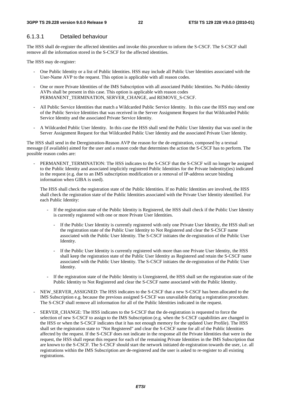#### 6.1.3.1 Detailed behaviour

The HSS shall de-register the affected identities and invoke this procedure to inform the S-CSCF. The S-CSCF shall remove all the information stored in the S-CSCF for the affected identities.

The HSS may de-register:

- One Public Identity or a list of Public Identities. HSS may include all Public User Identities associated with the User-Name AVP to the request. This option is applicable with all reason codes.
- One or more Private Identities of the IMS Subscription with all associated Public Identities. No Public-Identity AVPs shall be present in this case. This option is applicable with reason codes PERMANENT\_TERMINATION, SERVER\_CHANGE, and REMOVE\_S-CSCF.
- All Public Service Identities that match a Wildcarded Public Service Identity. In this case the HSS may send one of the Public Service Identities that was received in the Server Assignment Request for that Wildcarded Public Service Identity and the associated Private Service Identity.
- A Wildcarded Public User Identity. In this case the HSS shall send the Public User Identity that was used in the Server Assignment Request for that Wildcarded Public User Identity and the associated Private User Identity.

The HSS shall send in the Deregistration-Reason AVP the reason for the de-registration, composed by a textual message (if available) aimed for the user and a reason code that determines the action the S-CSCF has to perform. The possible reason codes are:

PERMANENT\_TERMINATION: The HSS indicates to the S-CSCF that the S-CSCF will no longer be assigned to the Public Identity and associated implicitly registered Public Identities for the Private Indentity(ies) indicated in the request (e.g. due to an IMS subscription modification or a removal of IP-address secure binding information when GIBA is used).

The HSS shall check the registration state of the Public Identities. If no Public Identities are involved, the HSS shall check the registration state of the Public Identities associated with the Private User Identity identified. For each Public Identity:

- If the registration state of the Public Identity is Registered, the HSS shall check if the Public User Identity is currently registered with one or more Private User Identities.
	- If the Public User Identity is currently registered with only one Private User Identity, the HSS shall set the registration state of the Public User Identity to Not Registered and clear the S-CSCF name associated with the Public User Identity. The S-CSCF initiates the de-registration of the Public User Identity.
	- If the Public User Identity is currently registered with more than one Private User Identity, the HSS shall keep the registration state of the Public User Identity as Registered and retain the S-CSCF name associated with the Public User Identity. The S-CSCF initiates the de-registration of the Public User Identity.
- If the registration state of the Public Identity is Unregistered, the HSS shall set the registration state of the Public Identity to Not Registered and clear the S-CSCF name associated with the Public Identity.
- NEW\_SERVER\_ASSIGNED: The HSS indicates to the S-CSCF that a new S-CSCF has been allocated to the IMS Subscription e.g. because the previous assigned S-CSCF was unavailable during a registration procedure. The S-CSCF shall remove all information for all of the Public Identities indicated in the request.
- SERVER CHANGE: The HSS indicates to the S-CSCF that the de-registration is requested to force the selection of new S-CSCF to assign to the IMS Subscription (e.g. when the S-CSCF capabilities are changed in the HSS or when the S-CSCF indicates that it has not enough memory for the updated User Profile). The HSS shall set the registration state to "Not Registered" and clear the S-CSCF name for all of the Public Identities affected by the request. If the S-CSCF does not indicate in the response all the Private Identities that were in the request, the HSS shall repeat this request for each of the remaining Private Identities in the IMS Subscription that are known to the S-CSCF. The S-CSCF should start the network initiated de-registration towards the user, i.e. all registrations within the IMS Subscription are de-registered and the user is asked to re-register to all existing registrations.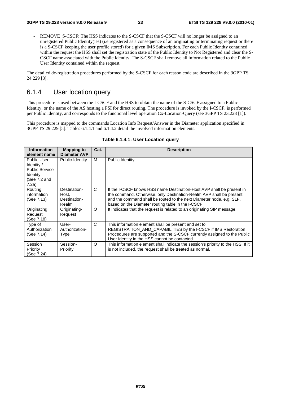REMOVE\_S-CSCF: The HSS indicates to the S-CSCF that the S-CSCF will no longer be assigned to an unregistered Public Identity(ies) (i.e registered as a consequence of an originating or terminating request or there is a S-CSCF keeping the user profile stored) for a given IMS Subscription. For each Public Identity contained within the request the HSS shall set the registration state of the Public Identity to Not Registered and clear the S-CSCF name associated with the Public Identity. The S-CSCF shall remove all information related to the Public User Identity contained within the request.

The detailed de-registration procedures performed by the S-CSCF for each reason code are described in the 3GPP TS 24.229 [8].

#### 6.1.4 User location query

This procedure is used between the I-CSCF and the HSS to obtain the name of the S-CSCF assigned to a Public Identity, or the name of the AS hosting a PSI for direct routing. The procedure is invoked by the I-CSCF, is performed per Public Identity, and corresponds to the functional level operation Cx-Location-Query (see 3GPP TS 23.228 [1]).

This procedure is mapped to the commands Location Info Request/Answer in the Diameter application specified in 3GPP TS 29.229 [5]. Tables 6.1.4.1 and 6.1.4.2 detail the involved information elements.

| <b>Information</b>    | Mapping to            | Cat.         | <b>Description</b>                                                                                                                         |
|-----------------------|-----------------------|--------------|--------------------------------------------------------------------------------------------------------------------------------------------|
| element name          | <b>Diameter AVP</b>   |              |                                                                                                                                            |
| <b>Public User</b>    | Public-Identity       | М            | Public Identity                                                                                                                            |
| Identity /            |                       |              |                                                                                                                                            |
| <b>Public Service</b> |                       |              |                                                                                                                                            |
| Identity              |                       |              |                                                                                                                                            |
| (See 7.2 and          |                       |              |                                                                                                                                            |
| 7.2a)                 |                       |              |                                                                                                                                            |
| Routing               | Destination-          | $\mathsf{C}$ | If the I-CSCF knows HSS name Destination-Host AVP shall be present in                                                                      |
| information           | Host,                 |              | the command. Otherwise, only Destination-Realm AVP shall be present                                                                        |
| (See 7.13)            | Destination-<br>Realm |              | and the command shall be routed to the next Diameter node, e.g. SLF,                                                                       |
|                       |                       |              | based on the Diameter routing table in the I-CSCF.                                                                                         |
| Originating           | Originating-          | $\circ$      | It indicates that the request is related to an originating SIP message.                                                                    |
| Request               | Request               |              |                                                                                                                                            |
| (See 7.18)            |                       |              |                                                                                                                                            |
| Type of               | User-                 | C            | This information element shall be present and set to                                                                                       |
| Authorization         | Authorization-        |              | REGISTRATION AND CAPABILITIES by the I-CSCF if IMS Restoration<br>Procedures are supported and the S-CSCF currently assigned to the Public |
| (See 7.14)            | Type                  |              |                                                                                                                                            |
|                       |                       |              | User Identity in the HSS cannot be contacted.                                                                                              |
| Session               | Session-              | $\circ$      | This information element shall indicate the session's priority to the HSS. If it                                                           |
| Priority              | <b>Priority</b>       |              | is not included, the request shall be treated as normal.                                                                                   |
| (See 7.24)            |                       |              |                                                                                                                                            |

#### **Table 6.1.4.1: User Location query**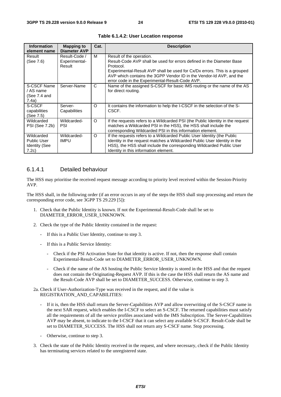| <b>Information</b><br>element name                                | <b>Mapping to</b><br><b>Diameter AVP</b> | Cat. | <b>Description</b>                                                                                                                                                                                                                                                                                                    |
|-------------------------------------------------------------------|------------------------------------------|------|-----------------------------------------------------------------------------------------------------------------------------------------------------------------------------------------------------------------------------------------------------------------------------------------------------------------------|
| Result<br>(See 7.6)                                               | Result-Code /<br>Experimental-<br>Result | м    | Result of the operation.<br>Result-Code AVP shall be used for errors defined in the Diameter Base<br>Protocol.<br>Experimental-Result AVP shall be used for Cx/Dx errors. This is a grouped<br>AVP which contains the 3GPP Vendor ID in the Vendor-Id AVP, and the<br>error code in the Experimental-Result-Code AVP. |
| S-CSCF Name<br>/ AS name<br>(See 7.4 and<br>7.4a)                 | Server-Name                              | C    | Name of the assigned S-CSCF for basic IMS routing or the name of the AS<br>for direct routing.                                                                                                                                                                                                                        |
| S-CSCF<br>capabilities<br>(See 7.5)                               | Server-<br>Capabilities                  | O    | It contains the information to help the I-CSCF in the selection of the S-<br>CSCF.                                                                                                                                                                                                                                    |
| Wildcarded<br><b>PSI (See 7.2b)</b>                               | Wildcarded-<br>PSI                       | O    | If the requests refers to a Wildcarded PSI (the Public Identity in the request<br>matches a Wildcarded PSI in the HSS), the HSS shall include the<br>corresponding Wildcarded PSI in this information element.                                                                                                        |
| Wildcarded<br><b>Public User</b><br><b>Identity (See</b><br>7.2c) | Wildcarded-<br>IMPU                      | O    | If the requests refers to a Wildcarded Public User Identity (the Public<br>Identity in the request matches a Wildcarded Public User Identity in the<br>HSS), the HSS shall include the corresponding Wildcarded Public User<br>Identity in this information element.                                                  |

**Table 6.1.4.2: User Location response** 

#### 6.1.4.1 Detailed behaviour

The HSS may prioritise the received request message according to priority level received within the Session-Priority AVP.

The HSS shall, in the following order (if an error occurs in any of the steps the HSS shall stop processing and return the corresponding error code, see 3GPP TS 29.229 [5]):

- 1. Check that the Public Identity is known. If not the Experimental-Result-Code shall be set to DIAMETER\_ERROR\_USER\_UNKNOWN.
- 2. Check the type of the Public Identity contained in the request:
	- If this is a Public User Identity, continue to step 3.
	- If this is a Public Service Identity:
		- Check if the PSI Activation State for that identity is active. If not, then the response shall contain Experimental-Result-Code set to DIAMETER\_ERROR\_USER\_UNKNOWN.
		- Check if the name of the AS hosting the Public Service Identity is stored in the HSS and that the request does not contain the Originating-Request AVP. If this is the case the HSS shall return the AS name and the Result-Code AVP shall be set to DIAMETER\_SUCCESS. Otherwise, continue to step 3.
- 2a. Check if User-Authorization-Type was received in the request, and if the value is REGISTRATION\_AND\_CAPABILITIES:
	- If it is, then the HSS shall return the Server-Capabilities AVP and allow overwriting of the S-CSCF name in the next SAR request, which enables the I-CSCF to select an S-CSCF. The returned capabilities must satisfy all the requirements of all the service profiles associated with the IMS Subscription. The Server-Capabilities AVP may be absent, to indicate to the I-CSCF that it can select any available S-CSCF. Result-Code shall be set to DIAMETER\_SUCCESS. The HSS shall not return any S-CSCF name. Stop processing.
	- Otherwise, continue to step 3.
- 3. Check the state of the Public Identity received in the request, and where necessary, check if the Public Identity has terminating services related to the unregistered state.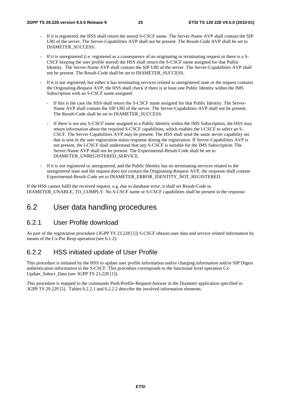- If it is registered, the HSS shall return the stored S-CSCF name. The Server-Name AVP shall contain the SIP URI of the server. The Server-Capabilities AVP shall not be present. The Result-Code AVP shall be set to DIAMETER\_SUCCESS.
- If it is unregistered (i.e. registered as a consequence of an originating or terminating request or there is a S-CSCF keeping the user profile stored) the HSS shall return the S-CSCF name assigned for that Public Identity. The Server-Name AVP shall contain the SIP URI of the server. The Server-Capabilities AVP shall not be present. The Result-Code shall be set to DIAMETER\_SUCCESS.
- If it is not registered, but either it has terminating services related to unregistered state or the request contains the Originating-Request AVP, the HSS shall check if there is at least one Public Identity within the IMS Subscription with an S-CSCF name assigned:
	- If this is the case the HSS shall return the S-CSCF name assigned for that Public Identity. The Server-Name AVP shall contain the SIP URI of the server. The Server-Capabilities AVP shall not be present. The Result-Code shall be set to DIAMETER\_SUCCESS.
	- If there is not any S-CSCF name assigned to a Public Identity within the IMS Subscription, the HSS may return information about the required S-CSCF capabilities, which enables the I-CSCF to select an S-CSCF. The Server-Capabilities AVP may be present. The HSS shall send the same server capability set that is sent in the user registration status response during the registration. If Server-Capabilities AVP is not present, the I-CSCF shall understand that any S-CSCF is suitable for the IMS Subscription. The Server-Name AVP shall not be present. The Experimental-Result-Code shall be set to DIAMETER\_UNREGISTERED\_SERVICE.
- If it is not registered or unregistered, and the Public Identity has no terminating services related to the unregistered state and the request does not contain the Originating-Request AVP, the response shall contain Experimental-Result-Code set to DIAMETER\_ERROR\_IDENTITY\_NOT\_REGISTERED.

If the HSS cannot fulfil the received request, e.g. due to database error, it shall set Result-Code to DIAMETER\_UNABLE\_TO\_COMPLY. No S-CSCF name or S-CSCF capabilities shall be present in the response.

#### 6.2 User data handling procedures

#### 6.2.1 User Profile download

As part of the registration procedure (3GPP TS 23.228 [1]) S-CSCF obtains user data and service related information by means of the Cx-Put Resp operation (see 6.1.2).

#### 6.2.2 HSS initiated update of User Profile

This procedure is initiated by the HSS to update user profile information and/or charging information and/or SIP Digest authentication information in the S-CSCF. This procedure corresponds to the functional level operation Cx-Update Subscr Data (see 3GPP TS 23.228 [1]).

This procedure is mapped to the commands Push-Profile-Request/Answer in the Diameter application specified in 3GPP TS 29.229 [5]. Tables 6.2.2.1 and 6.2.2.2 describe the involved information elements.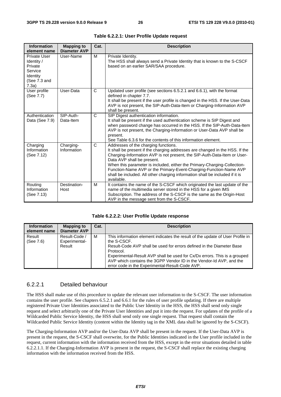| <b>Information</b><br>element name                                                    | <b>Mapping to</b><br><b>Diameter AVP</b> | Cat.         | <b>Description</b>                                                                                                                                                                                                                                                                                                                                                                                                                                                            |
|---------------------------------------------------------------------------------------|------------------------------------------|--------------|-------------------------------------------------------------------------------------------------------------------------------------------------------------------------------------------------------------------------------------------------------------------------------------------------------------------------------------------------------------------------------------------------------------------------------------------------------------------------------|
| Private User<br>Identity /<br>Private<br>Service<br>Identity<br>(See 7.3 and<br>7.3a) | User-Name                                | M            | Private Identity.<br>The HSS shall always send a Private Identity that is known to the S-CSCF<br>based on an earlier SAR/SAA procedure.                                                                                                                                                                                                                                                                                                                                       |
| User profile<br>(See 7.7)                                                             | User-Data                                | $\mathsf{C}$ | Updated user profile (see sections 6.5.2.1 and 6.6.1), with the format<br>defined in chapter 7.7.<br>It shall be present if the user profile is changed in the HSS. If the User-Data<br>AVP is not present, the SIP-Auth-Data-Item or Charging-Information AVP<br>shall be present.                                                                                                                                                                                           |
| Authentication<br>Data (See 7.9)                                                      | SIP-Auth-<br>Data-Item                   | $\mathsf{C}$ | SIP Digest authentication information.<br>It shall be present if the used authentication scheme is SIP Digest and<br>when password change has occurred in the HSS. If the SIP-Auth-Data-Item<br>AVP is not present, the Charging-Information or User-Data AVP shall be<br>present.<br>See Table 6.3.6 for the contents of this information element.                                                                                                                           |
| Charging<br>Information<br>(See 7.12)                                                 | Charging-<br>Information                 | $\mathsf{C}$ | Addresses of the charging functions.<br>It shall be present if the charging addresses are changed in the HSS. If the<br>Charging-Information AVP is not present, the SIP-Auth-Data-Item or User-<br>Data AVP shall be present.<br>When this parameter is included, either the Primary-Charging-Collection-<br>Function-Name AVP or the Primary-Event-Charging-Function-Name AVP<br>shall be included. All other charging information shall be included if it is<br>available. |
| Routing<br>Information<br>(See 7.13)                                                  | Destination-<br>Host                     | M            | It contains the name of the S-CSCF which originated the last update of the<br>name of the multimedia server stored in the HSS for a given IMS<br>Subscription. The address of the S-CSCF is the same as the Origin-Host<br>AVP in the message sent from the S-CSCF.                                                                                                                                                                                                           |

|  |  | Table 6.2.2.1: User Profile Update request |
|--|--|--------------------------------------------|
|--|--|--------------------------------------------|

| <b>Information</b> | <b>Mapping to</b>   | Cat. | <b>Description</b>                                                             |
|--------------------|---------------------|------|--------------------------------------------------------------------------------|
| element name       | <b>Diameter AVP</b> |      |                                                                                |
| Result             | Result-Code /       | м    | This information element indicates the result of the update of User Profile in |
| (See 7.6)          | Experimental-       |      | the S-CSCF.                                                                    |
|                    | Result              |      | Result-Code AVP shall be used for errors defined in the Diameter Base          |
|                    |                     |      | Protocol.                                                                      |
|                    |                     |      | Experimental-Result AVP shall be used for Cx/Dx errors. This is a grouped      |
|                    |                     |      | AVP which contains the 3GPP Vendor ID in the Vendor-Id AVP, and the            |
|                    |                     |      | error code in the Experimental-Result-Code AVP.                                |

#### 6.2.2.1 Detailed behaviour

The HSS shall make use of this procedure to update the relevant user information to the S-CSCF. The user information contains the user profile. See chapters 6.5.2.1 and 6.6.1 for the rules of user profile updating. If there are multiple registered Private User Identities associated to the Public User Identity in the HSS, the HSS shall send only single request and select arbitrarily one of the Private User Identities and put it into the request. For updates of the profile of a Wildcarded Public Service Identity, the HSS shall send only one single request. That request shall contain the Wildcarded Public Service Identity (content within the Identity tag in the XML data shall be ignored by the S-CSCF).

The Charging-Information AVP and/or the User-Data AVP shall be present in the request. If the User-Data AVP is present in the request, the S-CSCF shall overwrite, for the Public Identities indicated in the User profile included in the request, current information with the information received from the HSS, except in the error situations detailed in table 6.2.2.1.1. If the Charging-Information AVP is present in the request, the S-CSCF shall replace the existing charging information with the information received from the HSS.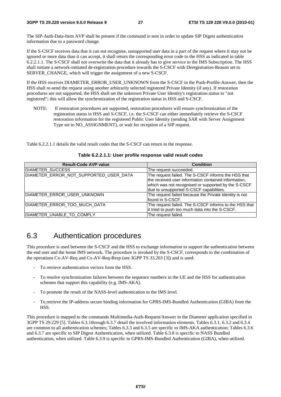The SIP-Auth-Data-Item AVP shall be present if the command is sent in order to update SIP Digest authentication information due to a password change.

If the S-CSCF receives data that it can not recognise, unsupported user data in a part of the request where it may not be ignored or more data than it can accept, it shall return the corresponding error code to the HSS as indicated in table 6.2.2.1.1. The S-CSCF shall not overwrite the data that it already has to give service to the IMS Subscription. The HSS shall initiate a network-initiated de-registration procedure towards the S-CSCF with Deregistration-Reason set to SERVER CHANGE, which will trigger the assignment of a new S-CSCF.

If the HSS receives DIAMETER\_ERROR\_USER\_UNKNOWN from the S-CSCF in the Push-Profile-Answer, then the HSS shall re-send the request using another arbitrarily selected registered Private Identity (if any). If restoration procedures are not supported, the HSS shall set the unknown Private User Identity's registration status to "not registered"; this will allow the synchronization of the registration status in HSS and S-CSCF.

NOTE: If restoration procedures are supported, restoration procedures will ensure synchronization of the registration status in HSS and S-CSCF, i.e. the S-CSCF can either immediately retrieve the S-CSCF restoration information for the registered Public User Identity (sending SAR with Server Assignment Type set to NO\_ASSIGNMENT), or wait for reception of a SIP request.

Table 6.2.2.1.1 details the valid result codes that the S-CSCF can return in the response.

| <b>Result-Code AVP value</b>           | <b>Condition</b>                                                                                                                                                                                              |
|----------------------------------------|---------------------------------------------------------------------------------------------------------------------------------------------------------------------------------------------------------------|
| DIAMETER SUCCESS                       | The request succeeded.                                                                                                                                                                                        |
| DIAMETER_ERROR_NOT_SUPPORTED_USER_DATA | The request failed. The S-CSCF informs the HSS that<br>the received user information contained information,<br>which was not recognised or supported by the S-CSCF<br>due to unsupported S-CSCF capabilities. |
| DIAMETER_ERROR_USER_UNKNOWN            | The request failed because the Private Identity is not<br>Ifound in S-CSCF.                                                                                                                                   |
| DIAMETER_ERROR_TOO_MUCH_DATA           | The request failed. The S-CSCF informs to the HSS that<br>it tried to push too much data into the S-CSCF.                                                                                                     |
| DIAMETER_UNABLE_TO_COMPLY              | The request failed.                                                                                                                                                                                           |

**Table 6.2.2.1.1: User profile response valid result codes** 

### 6.3 Authentication procedures

This procedure is used between the S-CSCF and the HSS to exchange information to support the authentication between the end user and the home IMS network. The procedure is invoked by the S-CSCF, corresponds to the combination of the operations Cx-AV-Req and Cx-AV-Req-Resp (see 3GPP TS 33.203 [3]) and is used:

- To retrieve authentication vectors from the HSS.
- To resolve synchronization failures between the sequence numbers in the UE and the HSS for authentication schemes that support this capability (e.g. IMS-AKA).
- To promote the result of the NASS-level authentication to the IMS level.
- To retrieve the IP-address secure binding information for GPRS-IMS-Bundled Authentication (GIBA) from the HSS.

This procedure is mapped to the commands Multimedia-Auth-Request/Answer in the Diameter application specified in 3GPP TS 29.229 [5]. Tables 6.3.1through 6.3.7 detail the involved information elements. Tables 6.3.1, 6.3.2 and 6.3.4 are common to all authentication schemes; Tables 6.3.3 and 6.3.5 are specific to IMS-AKA authentication; Tables 6.3.6 and 6.3.7 are specific to SIP Digest Authentication, when utilized. Table 6.3.8 is specific to NASS Bundled authentication, when utilized. Table 6.3.9 is specific to GPRS-IMS-Bundled Authentication (GIBA), when utilized.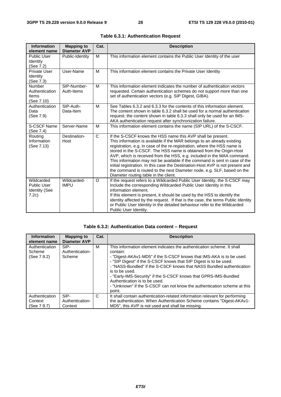| <b>Information</b><br>element name                                | <b>Mapping to</b><br><b>Diameter AVP</b> | Cat.         | <b>Description</b>                                                                                                                                                                                                                                                                                                                                                                                                                                                                                                                                                                                                                                       |
|-------------------------------------------------------------------|------------------------------------------|--------------|----------------------------------------------------------------------------------------------------------------------------------------------------------------------------------------------------------------------------------------------------------------------------------------------------------------------------------------------------------------------------------------------------------------------------------------------------------------------------------------------------------------------------------------------------------------------------------------------------------------------------------------------------------|
| <b>Public User</b><br>Identity<br>(See 7.2)                       | Public-Identity                          | M            | This information element contains the Public User Identity of the user                                                                                                                                                                                                                                                                                                                                                                                                                                                                                                                                                                                   |
| Private User<br>Identity<br>(See 7.3)                             | User-Name                                | M            | This information element contains the Private User Identity                                                                                                                                                                                                                                                                                                                                                                                                                                                                                                                                                                                              |
| <b>Number</b><br>Authentication<br>Items<br>(See 7.10)            | SIP-Number-<br>Auth-Items                | M            | This information element indicates the number of authentication vectors<br>requested. Certain authentication schemes do not support more than one<br>set of authentication vectors (e.g. SIP Digest, GIBA).                                                                                                                                                                                                                                                                                                                                                                                                                                              |
| Authentication<br>Data<br>(See 7.9)                               | SIP-Auth-<br>Data-Item                   | M            | See Tables 6.3.2 and 6.3.3 for the contents of this information element.<br>The content shown in table 6.3.2 shall be used for a normal authentication<br>request; the content shown in table 6.3.3 shall only be used for an IMS-<br>AKA authentication request after synchronization failure.                                                                                                                                                                                                                                                                                                                                                          |
| <b>S-CSCF Name</b><br>(See 7.4)                                   | Server-Name                              | M            | This information element contains the name (SIP URL) of the S-CSCF.                                                                                                                                                                                                                                                                                                                                                                                                                                                                                                                                                                                      |
| Routing<br>Information<br>(See 7.13)                              | Destination-<br>Host                     | $\mathsf{C}$ | If the S-CSCF knows the HSS name this AVP shall be present.<br>This information is available if the MAR belongs to an already existing<br>registration, e.g. in case of the re-registration, where the HSS name is<br>stored in the S-CSCF. The HSS name is obtained from the Origin-Host<br>AVP, which is received from the HSS, e.g. included in the MAA command.<br>This information may not be available if the command is sent in case of the<br>initial registration. In this case the Destination-Host AVP is not present and<br>the command is routed to the next Diameter node, e.g. SLF, based on the<br>Diameter routing table in the client. |
| Wildcarded<br><b>Public User</b><br><b>Identity (See</b><br>7.2c) | Wildcarded-<br><b>IMPU</b>               | $\circ$      | If the request refers to a Wildcarded Public User Identity, the S-CSCF may<br>include the corresponding Wildcarded Public User Identity in this<br>information element.<br>If this element is present, it should be used by the HSS to identify the<br>identity affected by the request. If that is the case, the terms Public Identity<br>or Public User Identity in the detailed behaviour refer to the Wildcarded<br>Public User Identity.                                                                                                                                                                                                            |

|  |  | Table 6.3.1: Authentication Request |  |
|--|--|-------------------------------------|--|
|--|--|-------------------------------------|--|

#### **Table 6.3.2: Authentication Data content – Request**

| <b>Information</b><br>element name       | <b>Mapping to</b><br><b>Diameter AVP</b> | Cat. | <b>Description</b>                                                                                                                                                                                                                                                                                                                                                                                                                                                                                                    |
|------------------------------------------|------------------------------------------|------|-----------------------------------------------------------------------------------------------------------------------------------------------------------------------------------------------------------------------------------------------------------------------------------------------------------------------------------------------------------------------------------------------------------------------------------------------------------------------------------------------------------------------|
| Authentication<br>Scheme<br>(See 7.9.2)  | SIP-<br>Authentication-<br>Scheme        | м    | This information element indicates the authentication scheme. It shall<br>contain:<br>- "Digest-AKAv1-MD5" if the S-CSCF knows that IMS-AKA is to be used.<br>- "SIP Digest" if the S-CSCF knows that SIP Digest is to be used.<br>- "NASS-Bundled" if the S-CSCF knows that NASS Bundled authentication<br>is to be used.<br>- "Early-IMS-Security" if the S-CSCF knows that GPRS-IMS-Bundled<br>Authentication is to be used.<br>- "Unknown" if the S-CSCF can not know the authentication scheme at this<br>point. |
| Authentication<br>Context<br>(See 7.9.7) | SIP-<br>Authentication-<br>Context       | C    | It shall contain authentication-related information relevant for performing<br>the authentication. When Authentication Scheme contains "Digest-AKAv1-<br>MD5", this AVP is not used and shall be missing.                                                                                                                                                                                                                                                                                                             |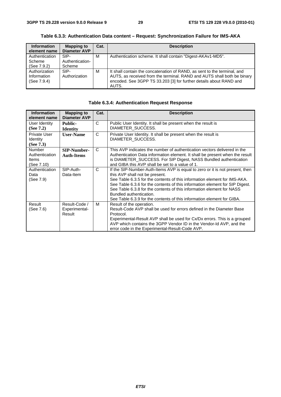| <b>Information</b><br>element name | <b>Mapping to</b><br><b>Diameter AVP</b> | Cat. | <b>Description</b>                                                       |
|------------------------------------|------------------------------------------|------|--------------------------------------------------------------------------|
| Authentication                     | SIP-                                     | м    | Authentication scheme. It shall contain "Digest-AKAv1-MD5".              |
| Scheme                             | Authentication-                          |      |                                                                          |
| (See 7.9.2)                        | Scheme                                   |      |                                                                          |
| Authorization                      | SIP-                                     | м    | It shall contain the concatenation of RAND, as sent to the terminal, and |
| Information                        | Authorization                            |      | AUTS, as received from the terminal. RAND and AUTS shall both be binary  |
| (See 7.9.4)                        |                                          |      | encoded. See 3GPP TS 33.203 [3] for further details about RAND and       |
|                                    |                                          |      | AUTS.                                                                    |

**Table 6.3.3: Authentication Data content – Request: Synchronization Failure for IMS-AKA** 

| <b>Information</b>  | <b>Mapping to</b>   | Cat.         | <b>Description</b>                                                           |  |
|---------------------|---------------------|--------------|------------------------------------------------------------------------------|--|
| element name        | <b>Diameter AVP</b> |              |                                                                              |  |
| User Identity       | <b>Public-</b>      | C            | Public User Identity. It shall be present when the result is                 |  |
| (See 7.2)           | <b>Identity</b>     |              | DIAMETER SUCCESS.                                                            |  |
| <b>Private User</b> | <b>User-Name</b>    | C            | Private User Identity. It shall be present when the result is                |  |
| <b>Identity</b>     |                     |              | DIAMETER SUCCESS.                                                            |  |
| (See $7.3$ )        |                     |              |                                                                              |  |
| <b>Number</b>       | <b>SIP-Number-</b>  | C            | This AVP indicates the number of authentication vectors delivered in the     |  |
| Authentication      | <b>Auth-Items</b>   |              | Authentication Data information element. It shall be present when the result |  |
| <b>Items</b>        |                     |              | is DIAMETER_SUCCESS. For SIP Digest, NASS Bundled authentication             |  |
| (See 7.10)          |                     |              | and GIBA this AVP shall be set to a value of 1.                              |  |
| Authentication      | SIP-Auth-           | $\mathsf{C}$ | If the SIP-Number-Auth-Items AVP is equal to zero or it is not present, then |  |
| Data                | Data-Item           |              | this AVP shall not be present.                                               |  |
| (See 7.9)           |                     |              | See Table 6.3.5 for the contents of this information element for IMS-AKA.    |  |
|                     |                     |              | See Table 6.3.6 for the contents of this information element for SIP Digest. |  |
|                     |                     |              | See Table 6.3.8 for the contents of this information element for NASS        |  |
|                     |                     |              | Bundled authentication.                                                      |  |
|                     |                     |              | See Table 6.3.9 for the contents of this information element for GIBA.       |  |
| Result              | Result-Code /       | м            | Result of the operation.                                                     |  |
| (See 7.6)           | Experimental-       |              | Result-Code AVP shall be used for errors defined in the Diameter Base        |  |
|                     | Result              |              | Protocol.                                                                    |  |
|                     |                     |              | Experimental-Result AVP shall be used for Cx/Dx errors. This is a grouped    |  |
|                     |                     |              | AVP which contains the 3GPP Vendor ID in the Vendor-Id AVP, and the          |  |
|                     |                     |              | error code in the Experimental-Result-Code AVP.                              |  |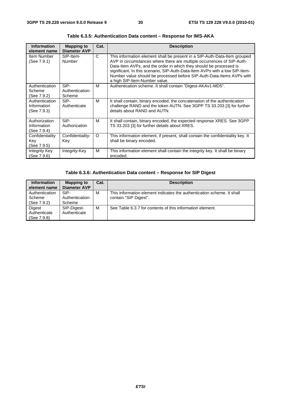| <b>Information</b><br>element name           | <b>Mapping to</b><br><b>Diameter AVP</b> | Cat.     | <b>Description</b>                                                                                                                                                                                                                                                                                                                                                                                                 |
|----------------------------------------------|------------------------------------------|----------|--------------------------------------------------------------------------------------------------------------------------------------------------------------------------------------------------------------------------------------------------------------------------------------------------------------------------------------------------------------------------------------------------------------------|
| Item Number<br>(See 7.9.1)                   | SIP-Item-<br>Number                      | C        | This information element shall be present in a SIP-Auth-Data-Item grouped<br>AVP in circumstances where there are multiple occurrences of SIP-Auth-<br>Data-Item AVPs, and the order in which they should be processed is<br>significant. In this scenario, SIP-Auth-Data-Item AVPs with a low SIP-Item-<br>Number value should be processed before SIP-Auth-Data-Items AVPs with<br>a high SIP-Item-Number value. |
| Authentication<br>Scheme<br>(See 7.9.2)      | SIP-<br>Authentication-<br>Scheme        | м        | Authentication scheme. It shall contain "Digest-AKAv1-MD5".                                                                                                                                                                                                                                                                                                                                                        |
| Authentication<br>Information<br>(See 7.9.3) | SIP-<br>Authenticate                     | M        | It shall contain, binary encoded, the concatenation of the authentication<br>challenge RAND and the token AUTN. See 3GPP TS 33.203 [3] for further<br>details about RAND and AUTN.                                                                                                                                                                                                                                 |
| Authorization<br>Information<br>(See 7.9.4)  | SIP-<br>Authorization                    | м        | It shall contain, binary encoded, the expected response XRES. See 3GPP<br>TS 33.203 [3] for further details about XRES.                                                                                                                                                                                                                                                                                            |
| Confidentiality<br>Key<br>(See 7.9.5)        | Confidentiality-<br>Key                  | $\Omega$ | This information element, if present, shall contain the confidentiality key. It<br>shall be binary encoded.                                                                                                                                                                                                                                                                                                        |
| Integrity Key<br>(See 7.9.6)                 | Integrity-Key                            | м        | This information element shall contain the integrity key. It shall be binary<br>encoded.                                                                                                                                                                                                                                                                                                                           |

**Table 6.3.5: Authentication Data content – Response for IMS-AKA** 

#### **Table 6.3.6: Authentication Data content – Response for SIP Digest**

| <b>Information</b>                      | <b>Mapping to</b>                 | Cat. | <b>Description</b>                                                                              |  |
|-----------------------------------------|-----------------------------------|------|-------------------------------------------------------------------------------------------------|--|
| element name                            | Diameter AVP                      |      |                                                                                                 |  |
| Authentication<br>Scheme<br>(See 7.9.2) | SIP-<br>Authentication-<br>Scheme | M    | This information element indicates the authentication scheme. It shall<br>contain "SIP Digest". |  |
| Digest<br>Authenticate<br>(See 7.9.8)   | SIP-Digest-<br>Authenticate       | M    | See Table 6.3.7 for contents of this information element.                                       |  |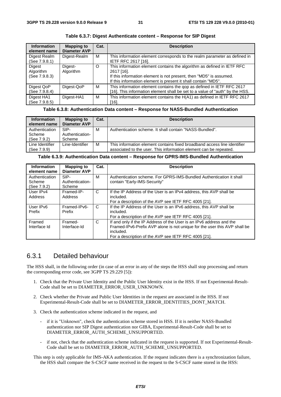| <b>Information</b><br>element name   | <b>Mapping to</b><br><b>Diameter AVP</b> | Cat.    | <b>Description</b>                                                                                                                                                                                                           |
|--------------------------------------|------------------------------------------|---------|------------------------------------------------------------------------------------------------------------------------------------------------------------------------------------------------------------------------------|
| Digest Realm<br>(See 7.9.8.1)        | Digest-Realm                             | M       | This information element corresponds to the realm parameter as defined in<br>IETF RFC 2617 [16].                                                                                                                             |
| Digest<br>Algorithm<br>(See 7.9.8.3) | Digest-<br>Algorithm                     | $\circ$ | This information element contains the algorithm as defined in IETF RFC<br>2617 [16].<br>If this information element is not present, then "MD5" is assumed.<br>If this information element is present it shall contain "MD5". |
| Digest QoP<br>(See 7.9.8.4)          | Digest-QoP                               | м       | This information element contains the gop as defined in IETF RFC 2617<br>[16]. This information element shall be set to a value of "auth" by the HSS.                                                                        |
| Digest HA1<br>(See 7.9.8.5)          | Digest-HA1                               | м       | This information element contains the H(A1) as defined in IETF RFC 2617<br>[16].                                                                                                                                             |

**Table 6.3.7: Digest Authenticate content – Response for SIP Digest** 

#### **Table 6.3.8: Authentication Data content – Response for NASS-Bundled Authentication**

| <b>Information</b><br>element name      | <b>Mapping to</b><br>Diameter AVP | Cat. | <b>Description</b>                                                                                                                            |
|-----------------------------------------|-----------------------------------|------|-----------------------------------------------------------------------------------------------------------------------------------------------|
| Authentication<br>Scheme<br>(See 7.9.2) | SIP-<br>Authentication-<br>Scheme | м    | Authentication scheme. It shall contain "NASS-Bundled".                                                                                       |
| Line Identifier<br>(See 7.9.9)          | Line-Identifier                   | M    | This information element contains fixed broadband access line identifier<br>associated to the user. This information element can be repeated. |

#### **Table 6.3.9: Authentication Data content – Response for GPRS-IMS-Bundled Authentication**

| <b>Information</b><br>element name      | <b>Mapping to</b><br><b>Diameter AVP</b> | Cat. | <b>Description</b>                                                                                                                                                                                                     |
|-----------------------------------------|------------------------------------------|------|------------------------------------------------------------------------------------------------------------------------------------------------------------------------------------------------------------------------|
| Authentication<br>Scheme<br>(See 7.9.2) | SIP-<br>Authentication-<br>Scheme        | м    | Authentication scheme. For GPRS-IMS-Bundled Authentication it shall<br>contain "Early-IMS-Security"                                                                                                                    |
| User IPv4<br>Address                    | Framed-IP-<br>Address                    | C    | If the IP Address of the User is an IPv4 address, this AVP shall be<br>included.<br>For a description of the AVP see IETF RFC 4005 [21].                                                                               |
| User IPv6<br>Prefix                     | Framed-IPv6-<br>Prefix                   | C    | If the IP Address of the User is an IPv6 address, this AVP shall be<br>included.<br>For a description of the AVP see IETF RFC 4005 [21].                                                                               |
| Framed<br>Interface Id                  | Framed-<br>Interface-Id                  | C    | If and only if the IP Address of the User is an IPv6 address and the<br>Framed-IPv6-Prefix AVP alone is not unique for the user this AVP shall be<br>included.<br>For a description of the AVP see IETF RFC 4005 [21]. |

#### 6.3.1 Detailed behaviour

The HSS shall, in the following order (in case of an error in any of the steps the HSS shall stop processing and return the corresponding error code, see 3GPP TS 29.229 [5]):

- 1. Check that the Private User Identity and the Public User Identity exist in the HSS. If not Experimental-Result-Code shall be set to DIAMETER\_ERROR\_USER\_UNKNOWN.
- 2. Check whether the Private and Public User Identities in the request are associated in the HSS. If not Experimental-Result-Code shall be set to DIAMETER\_ERROR\_IDENTITIES\_DONT\_MATCH.
- 3. Check the authentication scheme indicated in the request, and
	- if it is "Unknown", check the authentication scheme stored in HSS. If it is neither NASS-Bundled authentication nor SIP Digest authentication nor GIBA, Experimental-Result-Code shall be set to DIAMETER\_ERROR\_AUTH\_SCHEME\_UNSUPPORTED.
	- if not, check that the authentication scheme indicated in the request is supported. If not Experimental-Result-Code shall be set to DIAMETER\_ERROR\_AUTH\_SCHEME\_UNSUPPORTED.

This step is only applicable for IMS-AKA authentication. If the request indicates there is a synchronization failure, the HSS shall compare the S-CSCF name received in the request to the S-CSCF name stored in the HSS: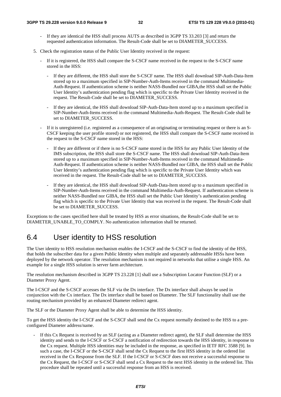- If they are identical the HSS shall process AUTS as described in 3GPP TS 33.203 [3] and return the requested authentication information. The Result-Code shall be set to DIAMETER\_SUCCESS.
- 5. Check the registration status of the Public User Identity received in the request:
	- If it is registered, the HSS shall compare the S-CSCF name received in the request to the S-CSCF name stored in the HSS:
		- If they are different, the HSS shall store the S-CSCF name. The HSS shall download SIP-Auth-Data-Item stored up to a maximum specified in SIP-Number-Auth-Items received in the command Multimedia-Auth-Request. If authentication scheme is neither NASS-Bundled nor GIBA,the HSS shall set the Public User Identity's authentication pending flag which is specific to the Private User Identity received in the request. The Result-Code shall be set to DIAMETER\_SUCCESS.
		- If they are identical, the HSS shall download SIP-Auth-Data-Item stored up to a maximum specified in SIP-Number-Auth-Items received in the command Multimedia-Auth-Request. The Result-Code shall be set to DIAMETER\_SUCCESS.
	- If it is unregistered (i.e. registered as a consequence of an originating or terminating request or there is an S-CSCF keeping the user profile stored) or not registered, the HSS shall compare the S-CSCF name received in the request to the S-CSCF name stored in the HSS:
		- If they are different or if there is no S-CSCF name stored in the HSS for any Public User Identity of the IMS subscription, the HSS shall store the S-CSCF name. The HSS shall download SIP-Auth-Data-Item stored up to a maximum specified in SIP-Number-Auth-Items received in the command Multimedia-Auth-Request. If authentication scheme is neither NASS-Bundled nor GIBA, the HSS shall set the Public User Identity's authentication pending flag which is specific to the Private User Identity which was received in the request. The Result-Code shall be set to DIAMETER\_SUCCESS.
		- If they are identical, the HSS shall download SIP-Auth-Data-Item stored up to a maximum specified in SIP-Number-Auth-Items received in the command Multimedia-Auth-Request. If authentication scheme is neither NASS-Bundled nor GIBA, the HSS shall set the Public User Identity's authentication pending flag which is specific to the Private User Identity that was received in the request. The Result-Code shall be set to DIAMETER\_SUCCESS.

Exceptions to the cases specified here shall be treated by HSS as error situations, the Result-Code shall be set to DIAMETER\_UNABLE\_TO\_COMPLY. No authentication information shall be returned.

### 6.4 User identity to HSS resolution

The User identity to HSS resolution mechanism enables the I-CSCF and the S-CSCF to find the identity of the HSS, that holds the subscriber data for a given Public Identity when multiple and separately addressable HSSs have been deployed by the network operator. The resolution mechanism is not required in networks that utilise a single HSS. An example for a single HSS solution is server farm architecture.

The resolution mechanism described in 3GPP TS 23.228 [1] shall use a Subscription Locator Function (SLF) or a Diameter Proxy Agent.

The I-CSCF and the S-CSCF accesses the SLF via the Dx interface. The Dx interface shall always be used in conjunction with the Cx interface. The Dx interface shall be based on Diameter. The SLF functionality shall use the routing mechanism provided by an enhanced Diameter redirect agent.

The SLF or the Diameter Proxy Agent shall be able to determine the HSS identity.

To get the HSS identity the I-CSCF and the S-CSCF shall send the Cx request normally destined to the HSS to a preconfigured Diameter address/name.

If this Cx Request is received by an SLF (acting as a Diameter redirect agent), the SLF shall determine the HSS identity and sends to the I-CSCF or S-CSCF a notification of redirection towards the HSS identity, in response to the Cx request. Multiple HSS identities may be included in the response, as specified in IETF RFC 3588 [9]. In such a case, the I-CSCF or the S-CSCF shall send the Cx Request to the first HSS identity in the ordered list received in the Cx Response from the SLF. If the I-CSCF or S-CSCF does not receive a successful response to the Cx Request, the I-CSCF or S-CSCF shall send a Cx Request to the next HSS identity in the ordered list. This procedure shall be repeated until a successful response from an HSS is received.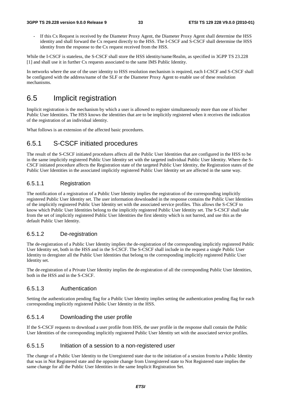If this Cx Request is received by the Diameter Proxy Agent, the Diameter Proxy Agent shall determine the HSS identity and shall forward the Cx request directly to the HSS. The I-CSCF and S-CSCF shall determine the HSS identity from the response to the Cx request received from the HSS.

While the I-CSCF is stateless, the S-CSCF shall store the HSS identity/name/Realm, as specified in 3GPP TS 23.228 [1] and shall use it in further Cx requests associated to the same IMS Public Identity.

In networks where the use of the user identity to HSS resolution mechanism is required, each I-CSCF and S-CSCF shall be configured with the address/name of the SLF or the Diameter Proxy Agent to enable use of these resolution mechanisms.

### 6.5 Implicit registration

Implicit registration is the mechanism by which a user is allowed to register simultaneously more than one of his/her Public User Identities. The HSS knows the identities that are to be implicitly registered when it receives the indication of the registration of an individual identity.

What follows is an extension of the affected basic procedures.

#### 6.5.1 S-CSCF initiated procedures

The result of the S-CSCF initiated procedures affects all the Public User Identities that are configured in the HSS to be in the same implicitly registered Public User Identity set with the targeted individual Public User Identity. Where the S-CSCF initiated procedure affects the Registration state of the targeted Public User Identity, the Registration states of the Public User Identities in the associated implicitly registered Public User Identity set are affected in the same way.

#### 6.5.1.1 Registration

The notification of a registration of a Public User Identity implies the registration of the corresponding implicitly registered Public User Identity set. The user information downloaded in the response contains the Public User Identities of the implicitly registered Public User Identity set with the associated service profiles. This allows the S-CSCF to know which Public User Identities belong to the implicitly registered Public User Identity set. The S-CSCF shall take from the set of implicitly registered Public User Identities the first identity which is not barred, and use this as the default Public User Identity.

#### 6.5.1.2 De-registration

The de-registration of a Public User Identity implies the de-registration of the corresponding implicitly registered Public User Identity set, both in the HSS and in the S-CSCF. The S-CSCF shall include in the request a single Public User Identity to deregister all the Public User Identities that belong to the corresponding implicitly registered Public User Identity set.

The de-registration of a Private User Identity implies the de-registration of all the corresponding Public User Identities, both in the HSS and in the S-CSCF.

#### 6.5.1.3 Authentication

Setting the authentication pending flag for a Public User Identity implies setting the authentication pending flag for each corresponding implicitly registered Public User Identity in the HSS.

#### 6.5.1.4 Downloading the user profile

If the S-CSCF requests to download a user profile from HSS, the user profile in the response shall contain the Public User Identities of the corresponding implicitly registered Public User Identity set with the associated service profiles.

#### 6.5.1.5 Initiation of a session to a non-registered user

The change of a Public User Identity to the Unregistered state due to the initiation of a session from/to a Public Identity that was in Not Registered state and the opposite change from Unregistered state to Not Registered state implies the same change for all the Public User Identities in the same Implicit Registration Set.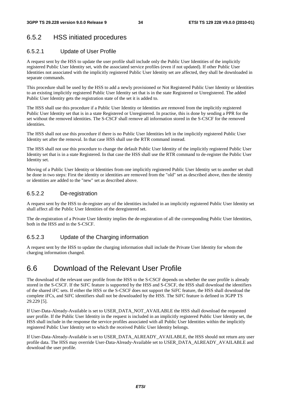### 6.5.2 HSS initiated procedures

#### 6.5.2.1 Update of User Profile

A request sent by the HSS to update the user profile shall include only the Public User Identities of the implicitly registered Public User Identity set, with the associated service profiles (even if not updated). If other Public User Identities not associated with the implicitly registered Public User Identity set are affected, they shall be downloaded in separate commands.

This procedure shall be used by the HSS to add a newly provisioned or Not Registered Public User Identity or Identities to an existing implicitly registered Public User Identity set that is in the state Registered or Unregistered. The added Public User Identity gets the registration state of the set it is added to.

The HSS shall use this procedure if a Public User Identity or Identities are removed from the implicitly registered Public User Identity set that is in a state Registered or Unregistered. In practise, this is done by sending a PPR for the set without the removed identities. The S-CSCF shall remove all information stored in the S-CSCF for the removed identities.

The HSS shall not use this procedure if there is no Public User Identities left in the implicitly registered Public User Identity set after the removal. In that case HSS shall use the RTR command instead.

The HSS shall not use this procedure to change the default Public User Identity of the implicitly registered Public User Identity set that is in a state Registered. In that case the HSS shall use the RTR command to de-register the Public User Identity set.

Moving of a Public User Identity or Identities from one implicitly registered Public User Identity set to another set shall be done in two steps: First the identity or identities are removed from the "old" set as described above, then the identity or identities are added to the "new" set as described above.

#### 6.5.2.2 De-registration

A request sent by the HSS to de-register any of the identities included in an implicitly registered Public User Identity set shall affect all the Public User Identities of the deregistered set.

The de-registration of a Private User Identity implies the de-registration of all the corresponding Public User Identities, both in the HSS and in the S-CSCF.

#### 6.5.2.3 Update of the Charging information

A request sent by the HSS to update the charging information shall include the Private User Identity for whom the charging information changed.

### 6.6 Download of the Relevant User Profile

The download of the relevant user profile from the HSS to the S-CSCF depends on whether the user profile is already stored in the S-CSCF. If the SiFC feature is supported by the HSS and S-CSCF, the HSS shall download the identifiers of the shared iFC sets. If either the HSS or the S-CSCF does not support the SiFC feature, the HSS shall download the complete iFCs, and SiFC identifiers shall not be downloaded by the HSS. The SiFC feature is defined in 3GPP TS 29.229 [5].

If User-Data-Already-Available is set to USER\_DATA\_NOT\_AVAILABLE the HSS shall download the requested user profile. If the Public User Identity in the request is included in an implicitly registered Public User Identity set, the HSS shall include in the response the service profiles associated with all Public User Identities within the implicitly registered Public User Identity set to which the received Public User Identity belongs.

If User-Data-Already-Available is set to USER\_DATA\_ALREADY\_AVAILABLE, the HSS should not return any user profile data. The HSS may override User-Data-Already-Available set to USER\_DATA\_ALREADY\_AVAILABLE and download the user profile.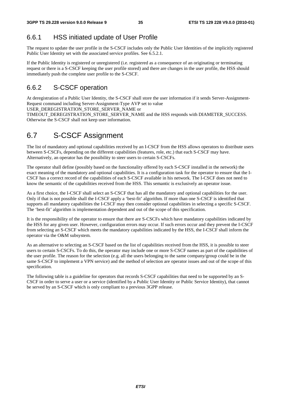### 6.6.1 HSS initiated update of User Profile

The request to update the user profile in the S-CSCF includes only the Public User Identities of the implicitly registered Public User Identity set with the associated service profiles. See 6.5.2.1.

If the Public Identity is registered or unregistered (i.e. registered as a consequence of an originating or terminating request or there is a S-CSCF keeping the user profile stored) and there are changes in the user profile, the HSS should immediately push the complete user profile to the S-CSCF.

### 6.6.2 S-CSCF operation

At deregistration of a Public User Identity, the S-CSCF shall store the user information if it sends Server-Assignment-Request command including Server-Assignment-Type AVP set to value

USER\_DEREGISTRATION\_STORE\_SERVER\_NAME or

TIMEOUT\_DEREGISTRATION\_STORE\_SERVER\_NAME and the HSS responds with DIAMETER\_SUCCESS. Otherwise the S-CSCF shall not keep user information.

### 6.7 S-CSCF Assignment

The list of mandatory and optional capabilities received by an I-CSCF from the HSS allows operators to distribute users between S-CSCFs, depending on the different capabilities (features, role, etc.) that each S-CSCF may have. Alternatively, an operator has the possibility to steer users to certain S-CSCFs.

The operator shall define (possibly based on the functionality offered by each S-CSCF installed in the network) the exact meaning of the mandatory and optional capabilities. It is a configuration task for the operator to ensure that the I-CSCF has a correct record of the capabilities of each S-CSCF available in his network. The I-CSCF does not need to know the semantic of the capabilities received from the HSS. This semantic is exclusively an operator issue.

As a first choice, the I-CSCF shall select an S-CSCF that has all the mandatory and optional capabilities for the user. Only if that is not possible shall the I-CSCF apply a 'best-fit' algorithm. If more than one S-CSCF is identified that supports all mandatory capabilities the I-CSCF may then consider optional capabilities in selecting a specific S-CSCF. The 'best-fit' algorithm is implementation dependent and out of the scope of this specification.

It is the responsibility of the operator to ensure that there are S-CSCFs which have mandatory capabilities indicated by the HSS for any given user. However, configuration errors may occur. If such errors occur and they prevent the I-CSCF from selecting an S-CSCF which meets the mandatory capabilities indicated by the HSS, the I-CSCF shall inform the operator via the O&M subsystem.

As an alternative to selecting an S-CSCF based on the list of capabilities received from the HSS, it is possible to steer users to certain S-CSCFs. To do this, the operator may include one or more S-CSCF names as part of the capabilities of the user profile. The reason for the selection (e.g. all the users belonging to the same company/group could be in the same S-CSCF to implement a VPN service) and the method of selection are operator issues and out of the scope of this specification.

The following table is a guideline for operators that records S-CSCF capabilities that need to be supported by an S-CSCF in order to serve a user or a service (identified by a Public User Identity or Public Service Identity), that cannot be served by an S-CSCF which is only compliant to a previous 3GPP release.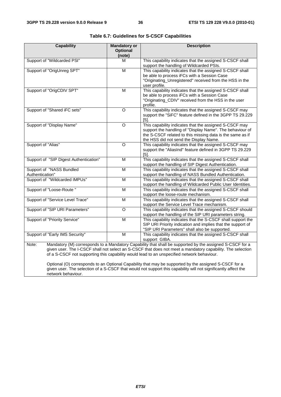| <b>Capability</b>                                                                                                                                                                                                                                                                                                                                                                                                                                                                                                                                        | <b>Mandatory or</b>       | <b>Description</b>                                                                                                                                                                                                        |  |  |  |
|----------------------------------------------------------------------------------------------------------------------------------------------------------------------------------------------------------------------------------------------------------------------------------------------------------------------------------------------------------------------------------------------------------------------------------------------------------------------------------------------------------------------------------------------------------|---------------------------|---------------------------------------------------------------------------------------------------------------------------------------------------------------------------------------------------------------------------|--|--|--|
|                                                                                                                                                                                                                                                                                                                                                                                                                                                                                                                                                          | <b>Optional</b><br>(note) |                                                                                                                                                                                                                           |  |  |  |
| Support of "Wildcarded PSI"                                                                                                                                                                                                                                                                                                                                                                                                                                                                                                                              | M                         | This capability indicates that the assigned S-CSCF shall<br>support the handling of Wildcarded PSIs.                                                                                                                      |  |  |  |
| Support of "OrigUnreg SPT"                                                                                                                                                                                                                                                                                                                                                                                                                                                                                                                               | $\overline{\mathsf{M}}$   | This capability indicates that the assigned S-CSCF shall<br>be able to process iFCs with a Session Case<br>"Originating_Unregistered" received from the HSS in the<br>user profile.                                       |  |  |  |
| Support of "OrigCDIV SPT"                                                                                                                                                                                                                                                                                                                                                                                                                                                                                                                                | M                         | This capability indicates that the assigned S-CSCF shall<br>be able to process iFCs with a Session Case<br>"Originating_CDIV" received from the HSS in the user<br>profile.                                               |  |  |  |
| Support of "Shared iFC sets"                                                                                                                                                                                                                                                                                                                                                                                                                                                                                                                             | $\Omega$                  | This capability indicates that the assigned S-CSCF may<br>support the "SiFC" feature defined in the 3GPP TS 29.229<br>[5]                                                                                                 |  |  |  |
| Support of "Display Name"                                                                                                                                                                                                                                                                                                                                                                                                                                                                                                                                | O                         | This capability indicates that the assigned S-CSCF may<br>support the handling of "Display Name". The behaviour of<br>the S-CSCF related to this missing data is the same as if<br>the HSS did not send the Display Name. |  |  |  |
| Support of "Alias"                                                                                                                                                                                                                                                                                                                                                                                                                                                                                                                                       | $\Omega$                  | This capability indicates that the assigned S-CSCF may<br>support the "AliasInd" feature defined in 3GPP TS 29.229<br>$[5]$ .                                                                                             |  |  |  |
| Support of "SIP Digest Authentication"                                                                                                                                                                                                                                                                                                                                                                                                                                                                                                                   | M                         | This capability indicates that the assigned S-CSCF shall<br>support the handling of SIP Digest Authentication.                                                                                                            |  |  |  |
| Support of "NASS Bundled<br>Authentication"                                                                                                                                                                                                                                                                                                                                                                                                                                                                                                              | $\overline{M}$            | This capability indicates that the assigned S-CSCF shall<br>support the handling of NASS Bundled Authentication.                                                                                                          |  |  |  |
| Support of "Wildcarded IMPUs"                                                                                                                                                                                                                                                                                                                                                                                                                                                                                                                            | M                         | This capability indicates that the assigned S-CSCF shall<br>support the handling of Wildcarded Public User Identities.                                                                                                    |  |  |  |
| Support of "Loose-Route "                                                                                                                                                                                                                                                                                                                                                                                                                                                                                                                                | M                         | This capability indicates that the assigned S-CSCF shall<br>support the loose-route mechanism.                                                                                                                            |  |  |  |
| Support of "Service Level Trace"                                                                                                                                                                                                                                                                                                                                                                                                                                                                                                                         | M                         | This capability indicates that the assigned S-CSCF shall<br>support the Service Level Trace mechanism.                                                                                                                    |  |  |  |
| Support of "SIP URI Parameters"                                                                                                                                                                                                                                                                                                                                                                                                                                                                                                                          | $\overline{\circ}$        | This capability indicates that the assigned S-CSCF should<br>support the handling of the SIP URI parameters string.                                                                                                       |  |  |  |
| Support of "Priority Service"                                                                                                                                                                                                                                                                                                                                                                                                                                                                                                                            | M                         | This capability indicates that the S-CSCF shall support the<br>SIP URI Priority indication and implies that the support of<br>"SIP URI Parameters" shall also be supported.                                               |  |  |  |
| Support of "Early IMS Security"                                                                                                                                                                                                                                                                                                                                                                                                                                                                                                                          | M                         | This capability indicates that the assigned S-CSCF shall<br>support GIBA.                                                                                                                                                 |  |  |  |
| Mandatory (M) corresponds to a Mandatory Capability that shall be supported by the assigned S-CSCF for a<br>Note:<br>given user. The I-CSCF shall not select an S-CSCF that does not meet a mandatory capability. The selection<br>of a S-CSCF not supporting this capability would lead to an unspecified network behaviour.<br>Optional (O) corresponds to an Optional Capability that may be supported by the assigned S-CSCF for a<br>given user. The selection of a S-CSCF that would not support this capability will not significantly affect the |                           |                                                                                                                                                                                                                           |  |  |  |
| network behaviour.                                                                                                                                                                                                                                                                                                                                                                                                                                                                                                                                       |                           |                                                                                                                                                                                                                           |  |  |  |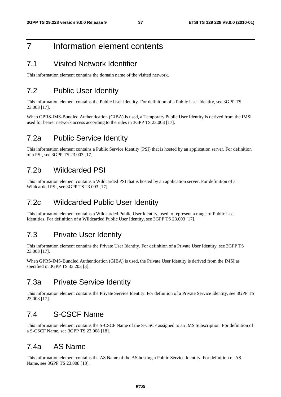### 7 Information element contents

#### 7.1 Visited Network Identifier

This information element contains the domain name of the visited network.

### 7.2 Public User Identity

This information element contains the Public User Identity. For definition of a Public User Identity, see 3GPP TS 23.003 [17].

When GPRS-IMS-Bundled Authentication (GIBA) is used, a Temporary Public User Identity is derived from the IMSI used for bearer network access according to the rules in 3GPP TS 23.003 [17].

### 7.2a Public Service Identity

This information element contains a Public Service Identity (PSI) that is hosted by an application server. For definition of a PSI, see 3GPP TS 23.003 [17].

#### 7.2b Wildcarded PSI

This information element contains a Wildcarded PSI that is hosted by an application server. For definition of a Wildcarded PSI, see 3GPP TS 23.003 [17].

### 7.2c Wildcarded Public User Identity

This information element contains a Wildcarded Public User Identity, used to represent a range of Public User Identities. For definition of a Wildcarded Public User Identity, see 3GPP TS 23.003 [17].

#### 7.3 Private User Identity

This information element contains the Private User Identity. For definition of a Private User Identity, see 3GPP TS 23.003 [17].

When GPRS-IMS-Bundled Authentication (GIBA) is used, the Private User Identity is derived from the IMSI as specified in 3GPP TS 33.203 [3].

#### 7.3a Private Service Identity

This information element contains the Private Service Identity. For definition of a Private Service Identity, see 3GPP TS 23.003 [17].

### 7.4 S-CSCF Name

This information element contains the S-CSCF Name of the S-CSCF assigned to an IMS Subscription. For definition of a S-CSCF Name, see 3GPP TS 23.008 [18].

### 7.4a AS Name

This information element contains the AS Name of the AS hosting a Public Service Identity. For definition of AS Name, see 3GPP TS 23.008 [18].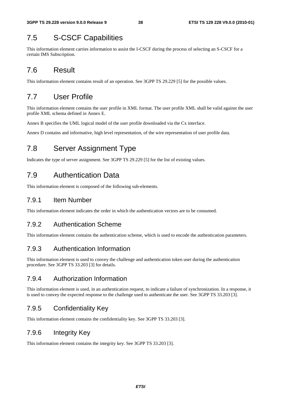### 7.5 S-CSCF Capabilities

This information element carries information to assist the I-CSCF during the process of selecting an S-CSCF for a certain IMS Subscription.

### 7.6 Result

This information element contains result of an operation. See 3GPP TS 29.229 [5] for the possible values.

### 7.7 User Profile

This information element contains the user profile in XML format. The user profile XML shall be valid against the user profile XML schema defined in Annex E.

Annex B specifies the UML logical model of the user profile downloaded via the Cx interface.

Annex D contains and informative, high level representation, of the wire representation of user profile data.

### 7.8 Server Assignment Type

Indicates the type of server assignment. See 3GPP TS 29.229 [5] for the list of existing values.

### 7.9 Authentication Data

This information element is composed of the following sub-elements.

#### 7.9.1 Item Number

This information element indicates the order in which the authentication vectors are to be consumed.

#### 7.9.2 Authentication Scheme

This information element contains the authentication scheme, which is used to encode the authentication parameters.

#### 7.9.3 Authentication Information

This information element is used to convey the challenge and authentication token user during the authentication procedure. See 3GPP TS 33.203 [3] for details.

#### 7.9.4 Authorization Information

This information element is used, in an authentication request, to indicate a failure of synchronization. In a response, it is used to convey the expected response to the challenge used to authenticate the user. See 3GPP TS 33.203 [3].

#### 7.9.5 Confidentiality Key

This information element contains the confidentiality key. See 3GPP TS 33.203 [3].

#### 7.9.6 Integrity Key

This information element contains the integrity key. See 3GPP TS 33.203 [3].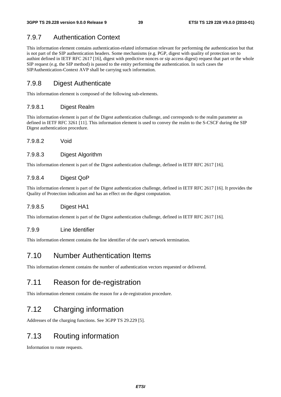### 7.9.7 Authentication Context

This information element contains authentication-related information relevant for performing the authentication but that is not part of the SIP authentication headers. Some mechanisms (e.g. PGP, digest with quality of protection set to authint defined in IETF RFC 2617 [16], digest with predictive nonces or sip access digest) request that part or the whole SIP request (e.g. the SIP method) is passed to the entity performing the authentication. In such cases the SIPAuthentication-Context AVP shall be carrying such information.

### 7.9.8 Digest Authenticate

This information element is composed of the following sub-elements.

#### 7.9.8.1 Digest Realm

This information element is part of the Digest authentication challenge, and corresponds to the realm parameter as defined in IETF RFC 3261 [11]. This information element is used to convey the realm to the S-CSCF during the SIP Digest authentication procedure.

7.9.8.2 Void

#### 7.9.8.3 Digest Algorithm

This information element is part of the Digest authentication challenge, defined in IETF RFC 2617 [16].

#### 7.9.8.4 Digest QoP

This information element is part of the Digest authentication challenge, defined in IETF RFC 2617 [16]. It provides the Quality of Protection indication and has an effect on the digest computation.

#### 7.9.8.5 Digest HA1

This information element is part of the Digest authentication challenge, defined in IETF RFC 2617 [16].

#### 7.9.9 Line Identifier

This information element contains the line identifier of the user's network termination.

### 7.10 Number Authentication Items

This information element contains the number of authentication vectors requested or delivered.

### 7.11 Reason for de-registration

This information element contains the reason for a de-registration procedure.

### 7.12 Charging information

Addresses of the charging functions. See 3GPP TS 29.229 [5].

### 7.13 Routing information

Information to route requests.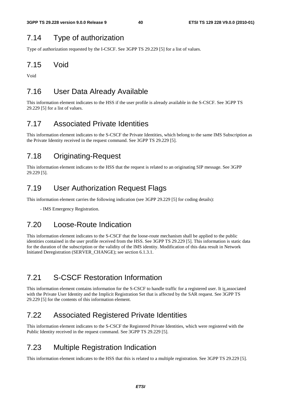### 7.14 Type of authorization

Type of authorization requested by the I-CSCF. See 3GPP TS 29.229 [5] for a list of values.

### 7.15 Void

Void

### 7.16 User Data Already Available

This information element indicates to the HSS if the user profile is already available in the S-CSCF. See 3GPP TS 29.229 [5] for a list of values.

### 7.17 Associated Private Identities

This information element indicates to the S-CSCF the Private Identities, which belong to the same IMS Subscription as the Private Identity received in the request command. See 3GPP TS 29.229 [5].

### 7.18 Originating-Request

This information element indicates to the HSS that the request is related to an originating SIP message. See 3GPP 29.229 [5].

### 7.19 User Authorization Request Flags

This information element carries the following indication (see 3GPP 29.229 [5] for coding details):

- IMS Emergency Registration.

### 7.20 Loose-Route Indication

This information element indicates to the S-CSCF that the loose-route mechanism shall be applied to the public identities contained in the user profile received from the HSS. See 3GPP TS 29.229 [5]. This information is static data for the duration of the subscription or the validity of the IMS identity. Modification of this data result in Network Initiated Deregistration (SERVER\_CHANGE); see section 6.1.3.1.

### 7.21 S-CSCF Restoration Information

This information element contains information for the S-CSCF to handle traffic for a registered user. It is associated with the Private User Identity and the Implicit Registration Set that is affected by the SAR request. See 3GPP TS 29.229 [5] for the contents of this information element.

### 7.22 Associated Registered Private Identities

This information element indicates to the S-CSCF the Registered Private Identities, which were registered with the Public Identity received in the request command. See 3GPP TS 29.229 [5].

### 7.23 Multiple Registration Indication

This information element indicates to the HSS that this is related to a multiple registration. See 3GPP TS 29.229 [5].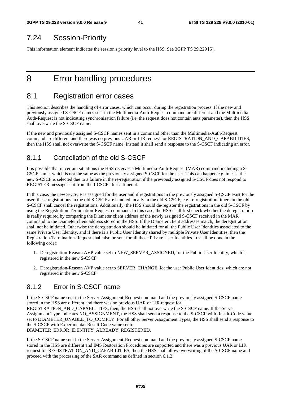### 7.24 Session-Priority

This information element indicates the session's priority level to the HSS. See 3GPP TS 29.229 [5].

## 8 Error handling procedures

#### 8.1 Registration error cases

This section describes the handling of error cases, which can occur during the registration process. If the new and previously assigned S-CSCF names sent in the Multimedia-Auth-Request command are different and the Multimedia-Auth-Request is not indicating synchronisation failure (i.e. the request does not contain auts parameter), then the HSS shall overwrite the S-CSCF name.

If the new and previously assigned S-CSCF names sent in a command other than the Multimedia-Auth-Request command are different and there was no previous UAR or LIR request for REGISTRATION\_AND\_CAPABILITIES, then the HSS shall not overwrite the S-CSCF name; instead it shall send a response to the S-CSCF indicating an error.

#### 8.1.1 Cancellation of the old S-CSCF

It is possible that in certain situations the HSS receives a Multimedia-Auth-Request (MAR) command including a S-CSCF name, which is not the same as the previously assigned S-CSCF for the user. This can happen e.g. in case the new S-CSCF is selected due to a failure in the re-registration if the previously assigned S-CSCF does not respond to REGISTER message sent from the I-CSCF after a timeout.

In this case, the new S-CSCF is assigned for the user and if registrations in the previously assigned S-CSCF exist for the user, these registrations in the old S-CSCF are handled locally in the old S-CSCF, e.g. re-registration timers in the old S-CSCF shall cancel the registrations. Additionally, the HSS should de-register the registrations in the old S-CSCF by using the Registration-Termination-Request command. In this case, the HSS shall first check whether the deregistration is really required by comparing the Diameter client address of the newly assigned S-CSCF received in the MAR command to the Diameter client address stored in the HSS. If the Diameter client addresses match, the deregistration shall not be initiated. Otherwise the deregistration should be initiated for all the Public User Identities associated to the same Private User Identity, and if there is a Public User Identity shared by multiple Private User Identities, then the Registration-Termination-Request shall also be sent for all those Private User Identities. It shall be done in the following order:

- 1. Deregistration-Reason AVP value set to NEW\_SERVER\_ASSIGNED, for the Public User Identity, which is registered in the new S-CSCF.
- 2. Deregistration-Reason AVP value set to SERVER\_CHANGE, for the user Public User Identities, which are not registered in the new S-CSCF.

#### 8.1.2 Error in S-CSCF name

If the S-CSCF name sent in the Server-Assignment-Request command and the previously assigned S-CSCF name stored in the HSS are different and there was no previous UAR or LIR request for REGISTRATION AND CAPABILITIES, then, the HSS shall not overwrite the S-CSCF name. If the Server Assignment Type indicates NO\_ASSIGNMENT, the HSS shall send a response to the S-CSCF with Result-Code value set to DIAMETER\_UNABLE\_TO\_COMPLY. For all other Server Assignment Types, the HSS shall send a response to the S-CSCF with Experimental-Result-Code value set to DIAMETER\_ERROR\_IDENTITY\_ALREADY\_REGISTERED.

If the S-CSCF name sent in the Server-Assignment-Request command and the previously assigned S-CSCF name stored in the HSS are different and IMS Restoration Procedures are supported and there was a previous UAR or LIR request for REGISTRATION\_AND\_CAPABILITIES, then the HSS shall allow overwriting of the S-CSCF name and proceed with the processing of the SAR command as defined in section 6.1.2.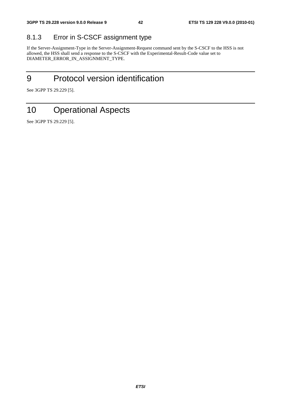### 8.1.3 Error in S-CSCF assignment type

If the Server-Assignment-Type in the Server-Assignment-Request command sent by the S-CSCF to the HSS is not allowed, the HSS shall send a response to the S-CSCF with the Experimental-Result-Code value set to DIAMETER\_ERROR\_IN\_ASSIGNMENT\_TYPE.

## 9 Protocol version identification

See 3GPP TS 29.229 [5].

## 10 Operational Aspects

See 3GPP TS 29.229 [5].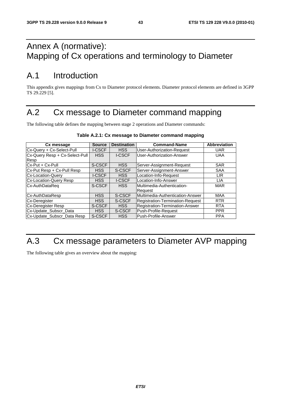## Annex A (normative): Mapping of Cx operations and terminology to Diameter

## A.1 Introduction

This appendix gives mappings from Cx to Diameter protocol elements. Diameter protocol elements are defined in 3GPP TS 29.229 [5].

## A.2 Cx message to Diameter command mapping

The following table defines the mapping between stage 2 operations and Diameter commands:

| Cx message                     | <b>Source</b> | <b>Destination</b> | <b>Command-Name</b>               | <b>Abbreviation</b> |
|--------------------------------|---------------|--------------------|-----------------------------------|---------------------|
| Cx-Query + Cx-Select-Pull      | <b>I-CSCF</b> | <b>HSS</b>         | <b>User-Authorization-Request</b> | <b>UAR</b>          |
| Cx-Query Resp + Cx-Select-Pull | <b>HSS</b>    | <b>I-CSCF</b>      | User-Authorization-Answer         | <b>UAA</b>          |
| Resp                           |               |                    |                                   |                     |
| Cx-Put + Cx-Pull               | S-CSCF        | <b>HSS</b>         | Server-Assignment-Request         | <b>SAR</b>          |
| Cx-Put Resp + Cx-Pull Resp     | <b>HSS</b>    | S-CSCF             | Server-Assignment-Answer          | <b>SAA</b>          |
| <b>Cx-Location-Querv</b>       | <b>I-CSCF</b> | <b>HSS</b>         | Location-Info-Request             | <b>LIR</b>          |
| <b>Cx-Location-Query Resp</b>  | <b>HSS</b>    | <b>I-CSCF</b>      | Location-Info-Answer              | <b>LIA</b>          |
| Cx-AuthDataReq                 | S-CSCF        | <b>HSS</b>         | <b>Multimedia-Authentication-</b> | <b>MAR</b>          |
|                                |               |                    | <b>Request</b>                    |                     |
| Cx-AuthDataResp                | <b>HSS</b>    | S-CSCF             | Multimedia-Authentication-Answer  | <b>MAA</b>          |
| <b>Cx-Deregister</b>           | <b>HSS</b>    | S-CSCF             | Registration-Termination-Request  | <b>RTR</b>          |
| <b>Cx-Deregister Resp</b>      | S-CSCF        | <b>HSS</b>         | Registration-Termination-Answer   | <b>RTA</b>          |
| Cx-Update_Subscr_Data          | <b>HSS</b>    | S-CSCF             | Push-Profile-Request              | <b>PPR</b>          |
| Cx-Update_Subscr_Data Resp     | S-CSCF        | <b>HSS</b>         | Push-Profile-Answer               | <b>PPA</b>          |

#### **Table A.2.1: Cx message to Diameter command mapping**

## A.3 Cx message parameters to Diameter AVP mapping

The following table gives an overview about the mapping: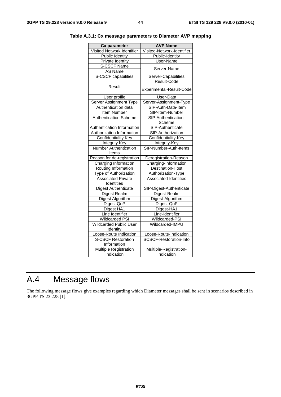| <b>Cx parameter</b>          | <b>AVP Name</b>               |  |
|------------------------------|-------------------------------|--|
| Visited Network Identifier   | Visited-Network-Identifier    |  |
| Public Identity              | Public-Identity               |  |
| Private Identity             | User-Name                     |  |
| S-CSCF Name                  |                               |  |
| AS Name                      | Server-Name                   |  |
| S-CSCF capabilities          | Server-Capabilities           |  |
|                              | Result-Code                   |  |
| Result                       |                               |  |
|                              | Experimental-Result-Code      |  |
| User profile                 | User-Data                     |  |
| Server Assignment Type       | Server-Assignment-Type        |  |
| Authentication data          | SIP-Auth-Data-Item            |  |
| Item Number                  | SIP-Item-Number               |  |
| <b>Authentication Scheme</b> | SIP-Authentication-           |  |
|                              | Scheme                        |  |
| Authentication Information   | SIP-Authenticate              |  |
| Authorization Information    | SIP-Authorization             |  |
| <b>Confidentiality Key</b>   | Confidentiality-Key           |  |
| <b>Integrity Key</b>         | Integrity-Key                 |  |
| <b>Number Authentication</b> | SIP-Number-Auth-Items         |  |
| Items                        |                               |  |
| Reason for de-registration   | Deregistration-Reason         |  |
| Charging Information         | Charging-Information          |  |
| Routing Information          | Destination-Host              |  |
| Type of Authorization        | Authorization-Type            |  |
| <b>Associated Private</b>    | Associated-Identities         |  |
| Identities                   |                               |  |
| Digest Authenticate          | SIP-Digest-Authenticate       |  |
| Digest Realm                 | Digest-Realm                  |  |
| <b>Digest Algorithm</b>      | Digest-Algorithm              |  |
| Digest QoP                   | Digest-QoP                    |  |
| Digest HA1                   | Digest-HA1                    |  |
| Line Identifier              | Line-Identifier               |  |
| <b>Wildcarded PSI</b>        | Wildcarded-PSI                |  |
| Wildcarded Public User       | Wildcarded-IMPU               |  |
| Identity                     |                               |  |
| Loose-Route Indication       | Loose-Route-Indication        |  |
| <b>S-CSCF Restoration</b>    | <b>SCSCF-Restoration-Info</b> |  |
| Information                  |                               |  |
| <b>Multiple Registration</b> | Multiple-Registration-        |  |
| Indication                   | Indication                    |  |

|  |  |  |  | Table A.3.1: Cx message parameters to Diameter AVP mapping |
|--|--|--|--|------------------------------------------------------------|
|--|--|--|--|------------------------------------------------------------|

## A.4 Message flows

The following message flows give examples regarding which Diameter messages shall be sent in scenarios described in 3GPP TS 23.228 [1].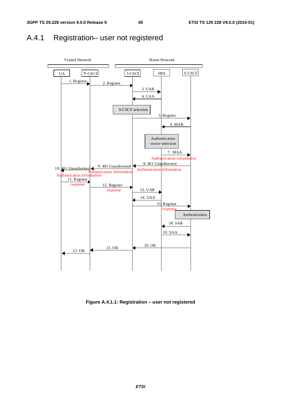### A.4.1 Registration– user not registered



**Figure A.4.1.1: Registration – user not registered**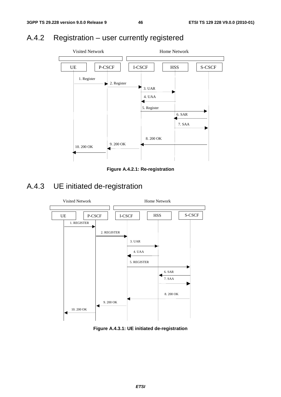## A.4.2 Registration – user currently registered



**Figure A.4.2.1: Re-registration** 

## A.4.3 UE initiated de-registration



**Figure A.4.3.1: UE initiated de-registration**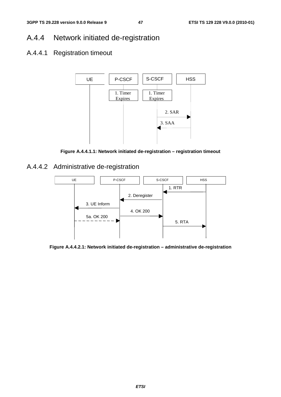## A.4.4 Network initiated de-registration

### A.4.4.1 Registration timeout



**Figure A.4.4.1.1: Network initiated de-registration – registration timeout** 

A.4.4.2 Administrative de-registration



**Figure A.4.4.2.1: Network initiated de-registration – administrative de-registration**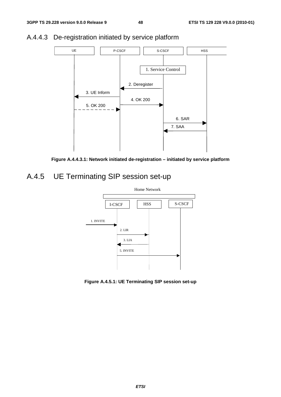

### A.4.4.3 De-registration initiated by service platform



## A.4.5 UE Terminating SIP session set-up



**Figure A.4.5.1: UE Terminating SIP session set-up**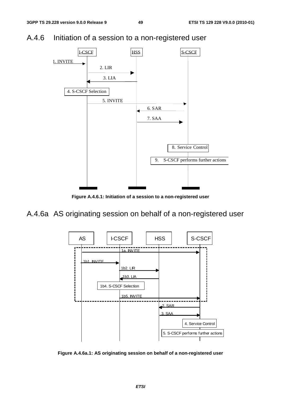



**Figure A.4.6.1: Initiation of a session to a non-registered user** 

A.4.6a AS originating session on behalf of a non-registered user



**Figure A.4.6a.1: AS originating session on behalf of a non-registered user**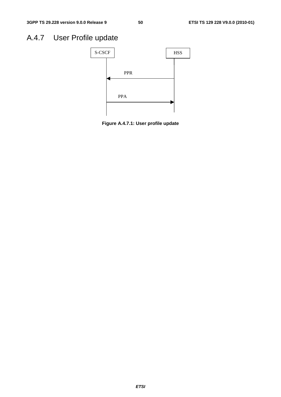## A.4.7 User Profile update



**Figure A.4.7.1: User profile update**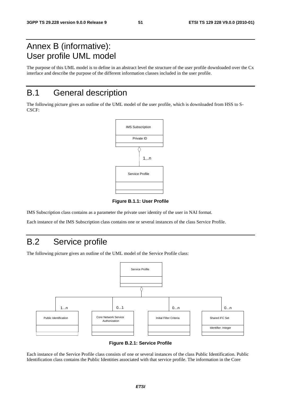## Annex B (informative): User profile UML model

The purpose of this UML model is to define in an abstract level the structure of the user profile downloaded over the Cx interface and describe the purpose of the different information classes included in the user profile.

## B.1 General description

The following picture gives an outline of the UML model of the user profile, which is downloaded from HSS to S-CSCF:



**Figure B.1.1: User Profile** 

IMS Subscription class contains as a parameter the private user identity of the user in NAI format.

Each instance of the IMS Subscription class contains one or several instances of the class Service Profile.

## B.2 Service profile

The following picture gives an outline of the UML model of the Service Profile class:



**Figure B.2.1: Service Profile** 

Each instance of the Service Profile class consists of one or several instances of the class Public Identification. Public Identification class contains the Public Identities associated with that service profile. The information in the Core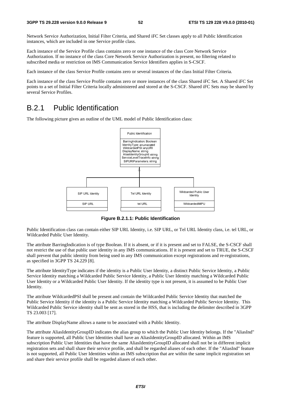Network Service Authorization, Initial Filter Criteria, and Shared iFC Set classes apply to all Public Identification instances, which are included in one Service profile class.

Each instance of the Service Profile class contains zero or one instance of the class Core Network Service Authorization. If no instance of the class Core Network Service Authorization is present, no filtering related to subscribed media or restriction on IMS Communication Service Identifiers applies in S-CSCF.

Each instance of the class Service Profile contains zero or several instances of the class Initial Filter Criteria.

Each instance of the class Service Profile contains zero or more instances of the class Shared iFC Set. A Shared iFC Set points to a set of Initial Filter Criteria locally administered and stored at the S-CSCF. Shared iFC Sets may be shared by several Service Profiles.

### B.2.1 Public Identification

The following picture gives an outline of the UML model of Public Identification class:



**Figure B.2.1.1: Public Identification** 

Public Identification class can contain either SIP URL Identity, i.e. SIP URL, or Tel URL Identity class, i.e. tel URL, or Wildcarded Public User Identity.

The attribute BarringIndication is of type Boolean. If it is absent, or if it is present and set to FALSE, the S-CSCF shall not restrict the use of that public user identity in any IMS communications. If it is present and set to TRUE, the S-CSCF shall prevent that public identity from being used in any IMS communication except registrations and re-registrations, as specified in 3GPP TS 24.229 [8].

The attribute IdentityType indicates if the identity is a Public User Identity, a distinct Public Service Identity, a Public Service Identity matching a Wildcarded Public Service Identity, a Public User Identity matching a Wildcarded Public User Identity or a Wildcarded Public User Identity. If the identity type is not present, it is assumed to be Public User Identity.

The attribute WildcardedPSI shall be present and contain the Wildcarded Public Service Identity that matched the Public Service Identity if the identity is a Public Service Identity matching a Wildcarded Public Service Identity. This Wildcarded Public Service identity shall be sent as stored in the HSS, that is including the delimiter described in 3GPP TS 23.003 [17].

The attribute DisplayName allows a name to be associated with a Public Identity.

The attribute AliasIdentityGroupID indicates the alias group to which the Public User Identity belongs. If the "AliasInd" feature is supported, all Public User Identities shall have an AliasIdentityGroupID allocated. Within an IMS subscription Public User Identities that have the same AliasIdentityGroupID allocated shall not be in different implicit registration sets and shall share their service profile, and shall be regarded aliases of each other. If the "AliasInd" feature is not supported, all Public User Identities within an IMS subscription that are within the same implicit registration set and share their service profile shall be regarded aliases of each other.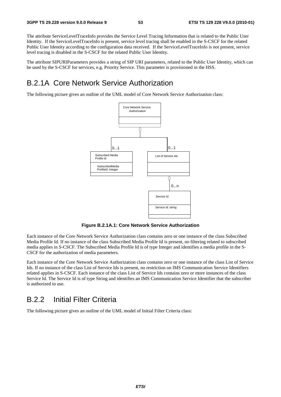The attribute ServiceLevelTraceInfo provides the Service Level Tracing Information that is related to the Public User Identity. If the ServiceLevelTraceInfo is present, service level tracing shall be enabled in the S-CSCF for the related Public User Identity according to the configuration data received. If the ServiceLevelTraceInfo is not present, service level tracing is disabled in the S-CSCF for the related Public User Identity.

The attribute SIPURIParameters provides a string of SIP URI parameters, related to the Public User Identity, which can be used by the S-CSCF for services, e.g. Priority Service. This parameter is provisioned in the HSS.

### B.2.1A Core Network Service Authorization

The following picture gives an outline of the UML model of Core Network Service Authorization class:



**Figure B.2.1A.1: Core Network Service Authorization** 

Each instance of the Core Network Service Authorization class contains zero or one instance of the class Subscribed Media Profile Id. If no instance of the class Subscribed Media Profile Id is present, no filtering related to subscribed media applies in S-CSCF. The Subscribed Media Profile Id is of type Integer and identifies a media profile in the S-CSCF for the authorization of media parameters.

Each instance of the Core Network Service Authorization class contains zero or one instance of the class List of Service Ids. If no instance of the class List of Service Ids is present, no restriction on IMS Communication Service Identifiers related applies in S-CSCF. Each instance of the class List of Service Ids contains zero or more instances of the class Service Id. The Service Id is of type String and identifies an IMS Communication Service Identifier that the subscriber is authorized to use.

### B.2.2 Initial Filter Criteria

The following picture gives an outline of the UML model of Initial Filter Criteria class: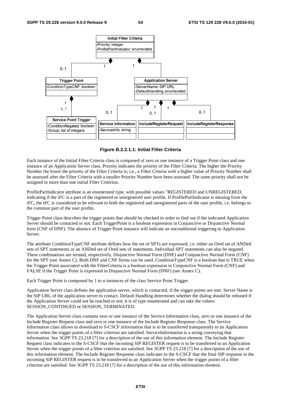

**Figure B.2.2.1.1: Initial Filter Criteria** 

Each instance of the Initial Filter Criteria class is composed of zero or one instance of a Trigger Point class and one instance of an Application Server class. Priority indicates the priority of the Filter Criteria. The higher the Priority Number the lower the priority of the Filter Criteria is; i.e., a Filter Criteria with a higher value of Priority Number shall be assessed after the Filter Criteria with a smaller Priority Number have been assessed. The same priority shall not be assigned to more than one initial Filter Criterion.

ProfilePartIndicator attribute is an enumerated type, with possible values "REGISTERED and UNREGISTERED, indicating if the iFC is a part of the registered or unregistered user profile. If ProfilePartIndicator is missing from the iFC, the iFC is considered to be relevant to both the registered and unregistered parts of the user profile, i.e. belongs to the common part of the user profile.

Trigger Point class describes the trigger points that should be checked in order to find out if the indicated Application Server should be contacted or not. Each TriggerPoint is a boolean expression in Conjunctive or Disjunctive Normal form (CNF of DNF). The absence of Trigger Point instance will indicate an unconditional triggering to Application Server.

The attribute ConditionTypeCNF attribute defines how the set of SPTs are expressed, i.e. either an Ored set of ANDed sets of SPT statements or an ANDed set of Ored sets of statements. Individual SPT statements can also be negated. These combinations are termed, respectively, Disjunctive Normal Form (DNF) and Conjunctive Normal Form (CNF) for the SPT (see Annex C). Both DNF and CNF forms can be used. ConditionTypeCNF is a boolean that is TRUE when the Trigger Point associated with the FilterCriteria is a boolean expression in Conjunctive Normal Form (CNF) and FALSE if the Trigger Point is expressed in Disjunctive Normal Form (DNF) (see Annex C).

Each Trigger Point is composed by 1 to n instances of the class Service Point Trigger.

Application Server class defines the application server, which is contacted, if the trigger points are met. Server Name is the SIP URL of the application server to contact. Default Handling determines whether the dialog should be released if the Application Server could not be reached or not; it is of type enumerated and can take the values: SESSION\_CONTINUED or SESSION\_TERMINATED.

The Application Server class contains zero or one instance of the Service Information class, zero or one instance of the Include Register Request class and zero or one instance of the Include Register Response class. The Service Information class allows to download to S-CSCF information that is to be transferred transparently to an Application Server when the trigger points of a filter criterion are satisfied. ServiceInformation is a string conveying that information. See 3GPP TS 23.218 [7] for a description of the use of this information element. The Include Register Request class indicates to the S-CSCF that the incoming SIP REGISTER request is to be transferred to an Application Server when the trigger points of a filter criterion are satisfied. See 3GPP TS 23.218 [7] for a description of the use of this information element. The Include Register Response class indicates to the S-CSCF that the final SIP response to the incoming SIP REGISTER request is to be transferred to an Application Server when the trigger points of a filter criterion are satisfied. See 3GPP TS 23.218 [7] for a description of the use of this information element.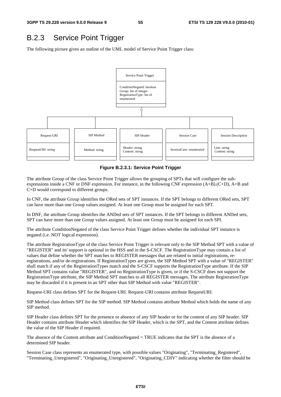### B.2.3 Service Point Trigger

The following picture gives an outline of the UML model of Service Point Trigger class:



**Figure B.2.3.1: Service Point Trigger** 

The attribute Group of the class Service Point Trigger allows the grouping of SPTs that will configure the subexpressions inside a CNF or DNF expression. For instance, in the following CNF expression (A+B).(C+D), A+B and C+D would correspond to different groups.

In CNF, the attribute Group identifies the ORed sets of SPT instances. If the SPT belongs to different ORed sets, SPT can have more than one Group values assigned. At least one Group must be assigned for each SPT.

In DNF, the attribute Group identifies the ANDed sets of SPT instances. If the SPT belongs to different ANDed sets, SPT can have more than one Group values assigned. At least one Group must be assigned for each SPI.

The attribute ConditionNegated of the class Service Point Trigger defines whether the individual SPT instance is negated (i.e. NOT logical expression).

The attribute RegistrationType of the class Service Point Trigger is relevant only to the SIP Method SPT with a value of "REGISTER" and its' support is optional in the HSS and in the S-CSCF. The RegistrationType may contain a list of values that define whether the SPT matches to REGISTER messages that are related to initial registrations, reregistrations, and/or de-registrations. If RegistrationTypes are given, the SIP Method SPT with a value of "REGISTER" shall match if any of the RegistrationTypes match and the S-CSCF supports the RegistrationType attribute. If the SIP Method SPT contains value "REGISTER", and no RegistrationType is given, or if the S-CSCF does not support the RegistrationType attribute, the SIP Method SPT matches to all REGISTER messages. The attribute RegistrationType may be discarded if it is present in an SPT other than SIP Method with value "REGISTER".

Request-URI class defines SPT for the Request-URI. Request-URI contains attribute RequestURI.

SIP Method class defines SPT for the SIP method. SIP Method contains attribute Method which holds the name of any SIP method.

SIP Header class defines SPT for the presence or absence of any SIP header or for the content of any SIP header. SIP Header contains attribute Header which identifies the SIP Header, which is the SPT, and the Content attribute defines the value of the SIP Header if required.

The absence of the Content attribute and ConditionNegated = TRUE indicates that the SPT is the absence of a determined SIP header.

Session Case class represents an enumerated type, with possible values "Originating", "Terminating\_Registered", "Terminating\_Unregistered", "Originating\_Unregistered", "Originating\_CDIV" indicating whether the filter should be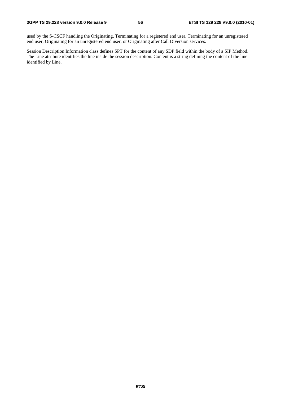used by the S-CSCF handling the Originating, Terminating for a registered end user, Terminating for an unregistered end user, Originating for an unregistered end user, or Originating after Call Diversion services.

Session Description Information class defines SPT for the content of any SDP field within the body of a SIP Method. The Line attribute identifies the line inside the session description. Content is a string defining the content of the line identified by Line.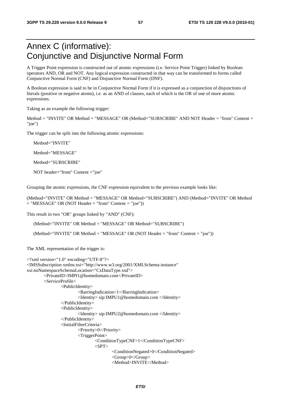## Annex C (informative): Conjunctive and Disjunctive Normal Form

A Trigger Point expression is constructed out of atomic expressions (i.e. Service Point Trigger) linked by Boolean operators AND, OR and NOT. Any logical expression constructed in that way can be transformed to forms called Conjunctive Normal Form (CNF) and Disjunctive Normal Form (DNF).

A Boolean expression is said to be in Conjunctive Normal Form if it is expressed as a conjunction of disjunctions of literals (positive or negative atoms), i.e. as an AND of clauses, each of which is the OR of one of more atomic expressions.

Taking as an example the following trigger:

Method = "INVITE" OR Method = "MESSAGE" OR (Method="SUBSCRIBE" AND NOT Header = "from" Content = "joe")

The trigger can be split into the following atomic expressions:

Method="INVITE"

Method="MESSAGE"

Method="SUBSCRIBE"

NOT header="from" Content ="joe"

Grouping the atomic expressions, the CNF expression equivalent to the previous example looks like:

(Method="INVITE" OR Method = "MESSAGE" OR Method="SUBSCRIBE") AND (Method="INVITE" OR Method  $=$  "MESSAGE" OR (NOT Header  $=$  "from" Content  $=$  "joe"))

This result in two "OR" groups linked by "AND" (CNF):

(Method="INVITE" OR Method = "MESSAGE" OR Method="SUBSCRIBE")

(Method="INVITE" OR Method = "MESSAGE" OR (NOT Header = "from" Content = "joe"))

The XML representation of the trigger is:

```
<?xml version="1.0" encoding="UTF-8"?> 
<IMSSubscription xmlns:xsi="http://www.w3.org/2001/XMLSchema-instance" 
xsi:noNamespaceSchemaLocation="CxDataType.xsd"> 
         <PrivateID>IMPI1@homedomain.com</PrivateID> 
         <ServiceProfile> 
                 <PublicIdentity> 
                          <BarringIndication>1</BarringIndication> 
                          <Identity> sip:IMPU1@homedomain.com </Identity> 
                  </PublicIdentity> 
                  <PublicIdentity> 
                          <Identity> sip:IMPU2@homedomain.com </Identity> 
                  </PublicIdentity> 
                  <InitialFilterCriteria> 
                          <Priority>0</Priority> 
                          <TriggerPoint> 
                                  <ConditionTypeCNF>1</ConditionTypeCNF> 
                                 <SPT> <ConditionNegated>0</ConditionNegated> 
                                           <Group>0</Group> 
                                           <Method>INVITE</Method>
```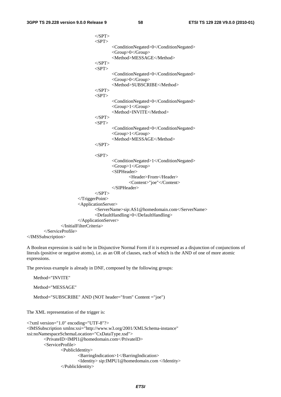$\langle$ SPT $>$  $<$ SPT $>$  <ConditionNegated>0</ConditionNegated> <Group>0</Group> <Method>MESSAGE</Method>  $<$ /SPT>  $<$ SPT $>$  <ConditionNegated>0</ConditionNegated> <Group>0</Group> <Method>SUBSCRIBE</Method>  $<$ /SPT>  $<$ SPT $>$  <ConditionNegated>0</ConditionNegated> <Group>1</Group> <Method>INVITE</Method>  $<$ /SPT>  $<$ SPT $>$  <ConditionNegated>0</ConditionNegated> <Group>1</Group> <Method>MESSAGE</Method>  $<$ /SPT $>$  $<$ SPT $>$  <ConditionNegated>1</ConditionNegated> <Group>1</Group> <SIPHeader> <Header>From</Header> <Content>"joe"</Content> </SIPHeader>  $<$ /SPT> </TriggerPoint> <ApplicationServer> <ServerName>sip:AS1@homedomain.com</ServerName> <DefaultHandling>0</DefaultHandling> </ApplicationServer> </InitialFilterCriteria> </ServiceProfile> </IMSSubscription>

A Boolean expression is said to be in Disjunctive Normal Form if it is expressed as a disjunction of conjunctions of literals (positive or negative atoms), i.e. as an OR of clauses, each of which is the AND of one of more atomic expressions.

The previous example is already in DNF, composed by the following groups:

Method="SUBSCRIBE" AND (NOT header="from" Content ="joe")

Method="INVITE"

Method="MESSAGE"

```
The XML representation of the trigger is: 
<?xml version="1.0" encoding="UTF-8"?> 
<IMSSubscription xmlns:xsi="http://www.w3.org/2001/XMLSchema-instance" 
xsi:noNamespaceSchemaLocation="CxDataType.xsd"> 
         <PrivateID>IMPI1@homedomain.com</PrivateID> 
         <ServiceProfile> 
                 <PublicIdentity> 
                          <BarringIndication>1</BarringIndication> 
                          <Identity> sip:IMPU1@homedomain.com </Identity> 
                  </PublicIdentity>
```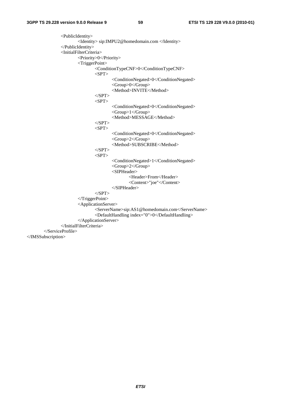<PublicIdentity> <Identity> sip:IMPU2@homedomain.com </Identity> </PublicIdentity> <InitialFilterCriteria> <Priority>0</Priority> <TriggerPoint> <ConditionTypeCNF>0</ConditionTypeCNF>  $<$ SPT $>$  <ConditionNegated>0</ConditionNegated> <Group>0</Group> <Method>INVITE</Method>  $<$ /SPT $>$  $<$ SPT $>$  <ConditionNegated>0</ConditionNegated> <Group>1</Group> <Method>MESSAGE</Method>  $<$ /SPT>  $<$ SPT $>$  <ConditionNegated>0</ConditionNegated> <Group>2</Group> <Method>SUBSCRIBE</Method>  $<$ /SPT>  $\langle$ SPT $>$  <ConditionNegated>1</ConditionNegated> <Group>2</Group> <SIPHeader> <Header>From</Header> <Content>"joe"</Content> </SIPHeader>  $<$ /SPT> </TriggerPoint> <ApplicationServer> <ServerName>sip:AS1@homedomain.com</ServerName> <DefaultHandling index="0">0</DefaultHandling> </ApplicationServer> </InitialFilterCriteria> </ServiceProfile> </IMSSubscription>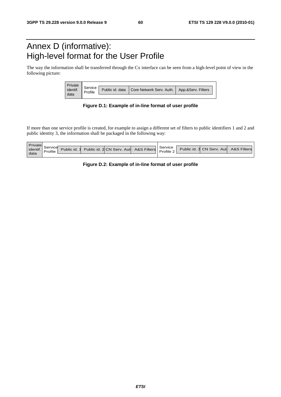## Annex D (informative): High-level format for the User Profile

The way the information shall be transferred through the Cx interface can be seen from a high-level point of view in the following picture:

| Private  |         |                                            |                    |
|----------|---------|--------------------------------------------|--------------------|
| identif. | Service | Public id. data   Core Network Serv. Auth. | App.&Serv. Filters |
|          |         |                                            |                    |

**Figure D.1: Example of in-line format of user profile** 

If more than one service profile is created, for example to assign a different set of filters to public identifiers 1 and 2 and public identity 3, the information shall be packaged in the following way:

| Private  |         |              |                                       |           |                                        |  |
|----------|---------|--------------|---------------------------------------|-----------|----------------------------------------|--|
| identif. | Service | Public id. 1 | Public id. 2 CN Serv. Aut A&S Filters | Service   | Public id. 3 CN Serv. Autl A&S Filters |  |
|          | Profile |              |                                       | Profile 2 |                                        |  |
| data     |         |              |                                       |           |                                        |  |

#### **Figure D.2: Example of in-line format of user profile**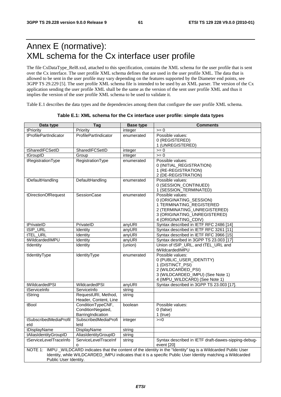## Annex E (normative): XML schema for the Cx interface user profile

The file CxDataType\_Rel8.xsd, attached to this specification, contains the XML schema for the user profile that is sent over the Cx interface. The user profile XML schema defines that are used in the user profile XML. The data that is allowed to be sent in the user profile may vary depending on the features supported by the Diameter end points, see 3GPP TS 29.229 [5]. The user profile XML schema file is intended to be used by an XML parser. The version of the Cx application sending the user profile XML shall be the same as the version of the sent user profile XML and thus it implies the version of the user profile XML schema to be used to validate it.

Table E.1 describes the data types and the dependencies among them that configure the user profile XML schema.

| Data type              | Tag                   | <b>Base type</b> | Comments                                                                                                           |  |  |  |  |
|------------------------|-----------------------|------------------|--------------------------------------------------------------------------------------------------------------------|--|--|--|--|
| tPriority              | Priority              | integer          | $>= 0$                                                                                                             |  |  |  |  |
| tProfilePartIndicator  | ProfilePartIndicator  | enumerated       | Possible values:                                                                                                   |  |  |  |  |
|                        |                       |                  | 0 (REGISTERED)                                                                                                     |  |  |  |  |
|                        |                       |                  | 1 (UNREGISTERED)                                                                                                   |  |  |  |  |
| tSharedIFCSetID        | SharedIFCSetID        | integer          | $>= 0$                                                                                                             |  |  |  |  |
| tGroupID               | Group                 | integer          | $>= 0$                                                                                                             |  |  |  |  |
| tRegistrationType      | RegistrationType      | enumerated       | Possible values:                                                                                                   |  |  |  |  |
|                        |                       |                  | 0 (INITIAL_REGISTRATION)                                                                                           |  |  |  |  |
|                        |                       |                  | 1 (RE-REGISTRATION)                                                                                                |  |  |  |  |
|                        |                       |                  | 2 (DE-REGISTRATION)                                                                                                |  |  |  |  |
| tDefaultHandling       | DefaultHandling       | enumerated       | Possible values:                                                                                                   |  |  |  |  |
|                        |                       |                  | 0 (SESSION_CONTINUED)                                                                                              |  |  |  |  |
|                        |                       |                  | 1 (SESSION_TERMINATED)                                                                                             |  |  |  |  |
| tDirectionOfRequest    | SessionCase           | enumerated       | Possible values:                                                                                                   |  |  |  |  |
|                        |                       |                  | 0 (ORIGINATING_SESSION)                                                                                            |  |  |  |  |
|                        |                       |                  | 1 TERMINATING_REGISTERED                                                                                           |  |  |  |  |
|                        |                       |                  | 2 (TERMINATING UNREGISTERED)                                                                                       |  |  |  |  |
|                        |                       |                  | 3 (ORIGINATING_UNREGISTERED)                                                                                       |  |  |  |  |
|                        |                       |                  | 4 (ORIGINATING_CDIV)                                                                                               |  |  |  |  |
| tPrivateID             | PrivateID             | anyURI           | Syntax described in IETF RFC 2486 [14]                                                                             |  |  |  |  |
| tSIP_URL               | Identity              | anyURI           | Syntax described in IETF RFC 3261 [11]                                                                             |  |  |  |  |
| tTEL_URL               | Identity              | anyURI           | Syntax described in IETF RFC 3966 [15]                                                                             |  |  |  |  |
| tWildcardedIMPU        | Identity              | anyURI           | Syntax desribed in 3GPP TS 23.003 [17]                                                                             |  |  |  |  |
| tIdentity              | Identity              | (union)          | Union of tSIP_URL, and tTEL_URL and                                                                                |  |  |  |  |
|                        |                       |                  | tWildcardedIMPU                                                                                                    |  |  |  |  |
| tIdentityType          | IdentityType          | enumerated       | Possible values:                                                                                                   |  |  |  |  |
|                        |                       |                  | 0 (PUBLIC_USER_IDENTITY)                                                                                           |  |  |  |  |
|                        |                       |                  | 1 (DISTINCT_PSI)<br>2 (WILDCARDED_PSI)                                                                             |  |  |  |  |
|                        |                       |                  | 3 (WILDCARDED_IMPU) (See Note 1)                                                                                   |  |  |  |  |
|                        |                       |                  | 4 (IMPU_WILDCARD) (See Note 1)                                                                                     |  |  |  |  |
| tWildcardedPSI         | WildcardedPSI         | anyURI           | Syntax described in 3GPP TS 23.003 [17].                                                                           |  |  |  |  |
| tServiceInfo           | ServiceInfo           | string           |                                                                                                                    |  |  |  |  |
| tString                | RequestURI, Method,   | string           |                                                                                                                    |  |  |  |  |
|                        | Header, Content, Line |                  |                                                                                                                    |  |  |  |  |
| tBool                  | ConditionTypeCNF,     | boolean          | Possible values:                                                                                                   |  |  |  |  |
|                        | ConditionNegated,     |                  | $0$ (false)                                                                                                        |  |  |  |  |
|                        | BarringIndication     |                  | 1 (true)                                                                                                           |  |  |  |  |
| tSubscribedMediaProfil | SubscribedMediaProfi  | integer          | $>=0$                                                                                                              |  |  |  |  |
| eld                    | leld                  |                  |                                                                                                                    |  |  |  |  |
| tDisplayName           | DisplayName           | string           |                                                                                                                    |  |  |  |  |
| tAliasIdentityGroupID  | AliasIdentityGroupID  | string           |                                                                                                                    |  |  |  |  |
| tServiceLevelTraceInfo | ServiceLevelTraceInf  | string           | Syntax described in IETF draft-dawes-sipping-debug-                                                                |  |  |  |  |
|                        | $\Omega$              |                  | event [20]                                                                                                         |  |  |  |  |
|                        |                       |                  | NOTE 1: IMPU_WILDCARD indicates that the content of the identity in the "Identity" tag is a Wildcarded Public User |  |  |  |  |
|                        |                       |                  | Identity, while WILDCARDED_IMPU indicates that it is a specific Public User Identity matching a Wildcarded         |  |  |  |  |
| Public User Identity.  |                       |                  |                                                                                                                    |  |  |  |  |

#### **Table E.1: XML schema for the Cx interface user profile: simple data types**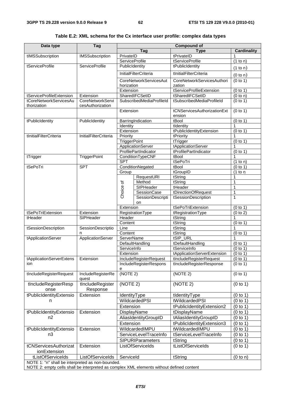| Data type                                        | Tag                                                                                      |                       |                               | <b>Compound of</b>          |                                |  |  |
|--------------------------------------------------|------------------------------------------------------------------------------------------|-----------------------|-------------------------------|-----------------------------|--------------------------------|--|--|
|                                                  |                                                                                          |                       | Tag                           | <b>Type</b>                 | <b>Cardinality</b>             |  |  |
| tIMSSubscription                                 | <b>IMSSubscription</b>                                                                   | PrivateID             |                               | tPrivateID                  | 1                              |  |  |
|                                                  |                                                                                          | <b>ServiceProfile</b> |                               | tServiceProfile             | (1 to n)                       |  |  |
| tServiceProfile                                  | <b>ServiceProfile</b>                                                                    | PublicIdentity        |                               | tPublicIdentity             | (1 to n)                       |  |  |
|                                                  |                                                                                          |                       | <b>InitialFilterCriteria</b>  | tInitialFilterCriteria      | (0 to n)                       |  |  |
|                                                  |                                                                                          |                       | <b>CoreNetworkServicesAut</b> | CoreNetworkServicesAuthori  | (0 to 1)                       |  |  |
|                                                  |                                                                                          | horization            |                               | zation                      |                                |  |  |
|                                                  |                                                                                          | Extension             |                               | tServiceProfileExtension    | (0 to 1)                       |  |  |
| tServiceProfileExtension                         | Extension                                                                                |                       | SharedIFCSetID                | tSharedIFCSetID             | $\overline{(0 \text{ to } n)}$ |  |  |
| tCoreNetworkServicesAu<br>thorization            | <b>CoreNetworkServi</b><br>cesAuthorization                                              |                       | SubscribedMediaProfileId      | tSubscribedMediaProfileId   | (0 to 1)                       |  |  |
|                                                  |                                                                                          | Extension             |                               | tCNServicesAuthorizationExt | (0 to 1)                       |  |  |
|                                                  |                                                                                          |                       |                               | ension                      |                                |  |  |
| tPublicIdentity                                  | PublicIdentity                                                                           |                       | BarringIndication             | tBool                       | (0 to 1)                       |  |  |
|                                                  |                                                                                          | Identity              |                               | tIdentity                   |                                |  |  |
|                                                  |                                                                                          | Extension             |                               | tPublicIdentityExtension    | (0 to 1)                       |  |  |
| tInitialFilterCriteria                           | <b>InitialFilterCriteria</b>                                                             | Priority              |                               | tPriority                   | 1                              |  |  |
|                                                  |                                                                                          | <b>TriggerPoint</b>   |                               | tTrigger                    | (0 to 1)                       |  |  |
|                                                  |                                                                                          |                       | ApplicationServer             | tApplicationServer          | 1                              |  |  |
|                                                  |                                                                                          |                       | ProfilePartIndicator          | tProfilePartIndicator       | (0 to 1)                       |  |  |
| tTrigger                                         | TriggerPoint                                                                             |                       | ConditionTypeCNF              | tBool                       | 1                              |  |  |
|                                                  |                                                                                          | <b>SPT</b>            |                               | tSePoTri                    | (1 to n)                       |  |  |
| tSePoTri                                         | <b>SPT</b>                                                                               |                       | ConditionNegated              | tBool                       | (0 to 1)                       |  |  |
|                                                  |                                                                                          | Group                 |                               | tGroupID                    | (1 to n)                       |  |  |
|                                                  |                                                                                          |                       | RequestURI                    | tString                     | 1                              |  |  |
|                                                  |                                                                                          |                       | Method                        | tString                     | 1                              |  |  |
|                                                  |                                                                                          | Choice of             | SIPHeader                     | tHeader                     | 1                              |  |  |
|                                                  |                                                                                          |                       | SessionCase                   | tDirectionOfRequest         | $\overline{1}$                 |  |  |
|                                                  |                                                                                          |                       | SessionDescripti              | tSessionDescription         | $\mathbf{1}$                   |  |  |
|                                                  |                                                                                          |                       | on                            |                             |                                |  |  |
|                                                  |                                                                                          | Extension             |                               | tSePoTriExtension           | (0 to 1)                       |  |  |
| tSePoTriExtension                                | Extension                                                                                |                       | RegistrationType              | tRegistrationType           | (0 to 2)                       |  |  |
| tHeader                                          | SIPHeader                                                                                | Header                |                               | tString                     | 1                              |  |  |
|                                                  |                                                                                          | Content               |                               | tString                     | (0 to 1)                       |  |  |
| tSessionDescription                              | SessionDescriptio                                                                        | Line                  |                               | tString                     | 1                              |  |  |
|                                                  | n                                                                                        | Content               |                               | tString                     | (0 to 1)                       |  |  |
| tApplicationServer                               | ApplicationServer                                                                        | ServerName            |                               | tSIP_URL                    | 1                              |  |  |
|                                                  |                                                                                          |                       | DefaultHandling               | tDefaultHandling            | (0 to 1)                       |  |  |
|                                                  |                                                                                          | ServiceInfo           |                               | tServiceInfo                | (0 to 1)                       |  |  |
|                                                  |                                                                                          | Extension             |                               | tApplicationServerExtension | (0 to 1)                       |  |  |
| tApplicationServerExtens                         | Extension                                                                                |                       | IncludeRegisterRequest        | tIncludeRegisterRequest     | (0 to 1)                       |  |  |
| ion                                              |                                                                                          |                       | IncludeRegisterRespons        | tIncludeRegisterResponse    | (0 to 1)                       |  |  |
|                                                  |                                                                                          | е                     |                               |                             |                                |  |  |
| tIncludeRegisterRequest                          | IncludeRegisterRe<br>quest                                                               | (NOTE 2)              |                               | (NOTE 2)                    | (0 to 1)                       |  |  |
| tIncludeRegisterResp                             | tIncludeRegister                                                                         | (NOTE 2)              |                               | (NOTE 2)                    | (0 to 1)                       |  |  |
| onse                                             | Response                                                                                 |                       |                               |                             |                                |  |  |
| tPublicIdentityExtensio                          | Extension                                                                                | <b>IdentityType</b>   |                               | tIdentityType               | (0 to 1)                       |  |  |
| n                                                |                                                                                          |                       | WildcardedPSI                 | tWildcardedPSI              | (0 to 1)                       |  |  |
|                                                  |                                                                                          | Extension             |                               | tPublicIdentityExtension2   | (0 to 1)                       |  |  |
| tPublicIdentityExtensio                          | Extension                                                                                | DisplayName           |                               | tDisplayName                | (0 to 1)                       |  |  |
| n2                                               |                                                                                          |                       | AliasIdentityGroupID          | tAliasIdentityGroupID       | (0 to 1)                       |  |  |
|                                                  |                                                                                          | Extension             |                               | tPublicIdentityExtension3   | (0 to 1)                       |  |  |
|                                                  |                                                                                          |                       |                               |                             |                                |  |  |
| tPublicIdentityExtensio                          | Extension                                                                                |                       | WildcardedIMPU                | tWildcardedIMPU             | (0 to 1)                       |  |  |
| n3                                               |                                                                                          |                       | ServiceLevelTraceInfo         | tServiceLevelTraceInfo      | (0 to 1)                       |  |  |
|                                                  |                                                                                          |                       | <b>SIPURIParameters</b>       | tString                     | (0 to 1)                       |  |  |
| tCNServicesAuthorizat                            | Extension                                                                                |                       | ListOfServiceIds              | tListOfServiceIds           | (0 to 1)                       |  |  |
| ionExtension                                     |                                                                                          |                       |                               |                             |                                |  |  |
| tListOfServiceIds                                | ListOfServiceIds                                                                         | ServiceId             |                               | tString                     | (0 to n)                       |  |  |
| NOTE 1: "n" shall be interpreted as non-bounded. |                                                                                          |                       |                               |                             |                                |  |  |
|                                                  | NOTE 2: empty cells shall be interpreted as complex XML elements without defined content |                       |                               |                             |                                |  |  |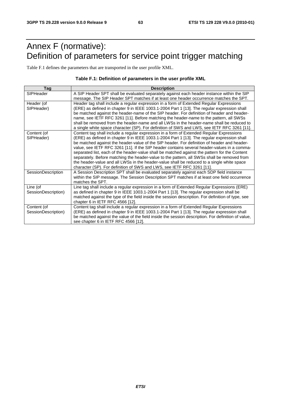## Annex F (normative): Definition of parameters for service point trigger matching

Table F.1 defines the parameters that are transported in the user profile XML.

#### **Table F.1: Definition of parameters in the user profile XML**

| Tag                                | <b>Description</b>                                                                                                                                                                                                                                                                                                                                                                                                                                                                                                                                                                                                                                                                                                                                            |
|------------------------------------|---------------------------------------------------------------------------------------------------------------------------------------------------------------------------------------------------------------------------------------------------------------------------------------------------------------------------------------------------------------------------------------------------------------------------------------------------------------------------------------------------------------------------------------------------------------------------------------------------------------------------------------------------------------------------------------------------------------------------------------------------------------|
| SIPHeader                          | A SIP Header SPT shall be evaluated separately against each header instance within the SIP<br>message. The SIP Header SPT matches if at least one header occurrence matches the SPT.                                                                                                                                                                                                                                                                                                                                                                                                                                                                                                                                                                          |
| Header (of<br>SIPHeader)           | Header tag shall include a regular expression in a form of Extended Regular Expressions<br>(ERE) as defined in chapter 9 in IEEE 1003.1-2004 Part 1 [13]. The regular expression shall<br>be matched against the header-name of the SIP header. For definition of header and header-<br>name, see IETF RFC 3261 [11]. Before matching the header-name to the pattern, all SWSs<br>shall be removed from the header-name and all LWSs in the header-name shall be reduced to<br>a single white space character (SP). For definition of SWS and LWS, see IETF RFC 3261 [11].                                                                                                                                                                                    |
| Content (of<br>SIPHeader)          | Content tag shall include a regular expression in a form of Extended Regular Expressions<br>(ERE) as defined in chapter 9 in IEEE 1003.1-2004 Part 1 [13]. The regular expression shall<br>be matched against the header-value of the SIP header. For definition of header and header-<br>value, see IETF RFC 3261 [11]. If the SIP header contains several header-values in a comma-<br>separated list, each of the header-value shall be matched against the pattern for the Content<br>separately. Before matching the header-value to the pattern, all SWSs shall be removed from<br>the header-value and all LWSs in the header-value shall be reduced to a single white space<br>character (SP). For definition of SWS and LWS, see IETF RFC 3261 [11]. |
| SessionDescription                 | A Session Description SPT shall be evaluated separately against each SDP field instance<br>within the SIP message. The Session Description SPT matches if at least one field occurrence<br>matches the SPT.                                                                                                                                                                                                                                                                                                                                                                                                                                                                                                                                                   |
| Line (of<br>SessionDescription)    | Line tag shall include a regular expression in a form of Extended Regular Expressions (ERE)<br>as defined in chapter 9 in IEEE 1003.1-2004 Part 1 [13]. The regular expression shall be<br>matched against the type of the field inside the session description. For definition of type, see<br>chapter 6 in IETF RFC 4566 [12].                                                                                                                                                                                                                                                                                                                                                                                                                              |
| Content (of<br>SessionDescription) | Content tag shall include a regular expression in a form of Extended Regular Expressions<br>(ERE) as defined in chapter 9 in IEEE 1003.1-2004 Part 1 [13]. The regular expression shall<br>be matched against the value of the field inside the session description. For definition of value,<br>see chapter 6 in IETF RFC 4566 [12].                                                                                                                                                                                                                                                                                                                                                                                                                         |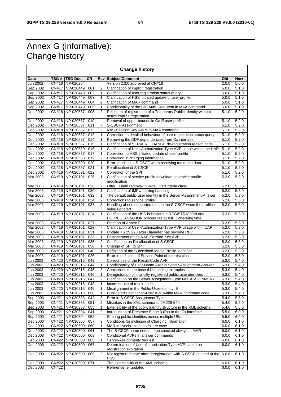## Annex G (informative): Change history

 $\overline{\Gamma}$ 

| <b>Change history</b> |              |                                    |            |                          |                                                                                                  |                |                |
|-----------------------|--------------|------------------------------------|------------|--------------------------|--------------------------------------------------------------------------------------------------|----------------|----------------|
| Date                  | TSG #        | <b>TSG Doc.</b>                    | <b>CR</b>  |                          | <b>Rev Subject/Comment</b>                                                                       | Old            | <b>New</b>     |
| Jun 2002              |              | CN#16 NP-020264                    |            |                          | Version 2.0.0 approved at CN#16                                                                  | 2.0.0          | 5.0.0          |
| Sep 2002              |              | CN#17 NP-020449                    | 001        | $\overline{2}$           | Clarification of implicit registration                                                           | 5.0.0          | 5.1.0          |
| Sep 2002              |              | CN#17   NP-020449                  | 002        | 1                        | Clarification of user registration status query                                                  | 5.0.0          | 5.1.0          |
| Sep 2002              |              | CN#17 NP-020449                    | 003        | 1                        | Clarification of HSS initiated update of user profile                                            | 5.0.0          | 5.1.0          |
| Sep 2002              |              | CN#17 NP-020449                    | 004        | $\overline{2}$           | Clarification of MAR command                                                                     | 5.0.0          | 5.1.0          |
| Sep 2002              |              | CN#17   NP-020449                  | 005        | 1                        | Conditionality of the SIP-Auth-Data-Item in MAA command                                          | 5.0.0          | 5.1.0          |
| Dec 2002              |              | CN#18 NP-020587                    | 008        | $\mathfrak{p}$           | Rejection of registration of a Temporary Public Identity without<br>active implicit registration | 5.1.0          | 5.2.0          |
| Dec 2002              |              | CN#18 NP-020587                    | 010        | $\blacksquare$           | Removal of upper bounds in Cx i/f user profile                                                   | 5.1.0          | 5.2.0          |
| Dec 2002              |              | CN#18 NP-020587                    | 011        | $\overline{\phantom{a}}$ | S-CSCF Assignment                                                                                | 5.1.0          | 5.2.0          |
| Dec 2002              |              | CN#18 NP-020587                    | 012        | $\Box$                   | NAS-Session-Key AVPs in MAA command                                                              | 5.1.0          | 5.2.0          |
| Dec 2002              |              | CN#18 NP-020587                    | 013        | 1                        | Correction to detailed behaviour of user registration status query                               | 5.1.0          | 5.2.0          |
| Dec 2002              |              | CN#18 NP-020587                    | 014        | 1                        | Removing the DDF dependencies from Cx interface                                                  | 5.1.0          | 5.2.0          |
| Dec 2002              |              | CN#18 NP-020587                    | 015        | 1                        | Clarification of SERVER_CHANGE de-registration reason code                                       | 5.1.0          | 5.2.0          |
| Dec 2002              |              | CN#18 NP-020589                    | 016        | 1                        | Clarification of User-Authorization-Type AVP usage within the UAR                                | 5.1.0          | 5.2.0          |
| Dec 2002              |              | CN#18 NP-020587                    | 017        | 1                        | Correction to HSS initiated update of user profile                                               | 5.1.0          | 5.2.0          |
| Dec 2002              |              | CN#18 NP-020588                    | 019        |                          | Correction in charging information                                                               | 5.1.0          | 5.2.0          |
| Dec 2002              |              | CN#18 NP-020590                    | 020        | 1                        | Error handling in S-CSCF when receiving too much data                                            | 5.1.0          | 5.2.0          |
| Dec 2002              |              | CN#18 NP-020587                    | 021        | $\mathbf{1}$             | Re-allocation of S-CSCF                                                                          | 5.1.0          | 5.2.0          |
| Dec 2002              |              | CN#18 NP-020591                    | 022        | $\overline{\phantom{a}}$ | Correction of the SPI                                                                            | 5.1.0          | 5.2.0          |
| Mar 2003              |              | CN#19 NP-030101                    | 025        | 1                        | Clarification of service profile download at service profile                                     | 5.2.0          | 5.3.0          |
|                       |              |                                    |            |                          | modification                                                                                     |                |                |
| Mar 2003              |              | CN#19 NP-030101                    | 028        | $\blacksquare$           | Filter ID field removal in InitialFilterCriteria class                                           | 5.2.0          | 5.3.0          |
| Mar 2003              |              | CN#19 NP-030101                    | 030        | 1                        | Clarification of IMPU barring handling                                                           | 5.2.0          | 5.3.0          |
| Mar 2003              |              | CN#19 NP-030101                    | 032        | $\mathbf{1}$             | The default public user identity in the Server-Assignment-Answer                                 | 5.2.0          | 5.3.0          |
| Mar 2003              |              | CN#19 NP-030101                    | 034        | 2<br>3                   | Corrections to service profile                                                                   | 5.2.0<br>5.2.0 | 5.3.0<br>5.3.0 |
| Mar 2003              |              | CN#19 NP-030101                    | 037        |                          | Handling of non supported data in the S-CSCF when the profile is<br>being updated                |                |                |
| Mar 2003              |              | CN#19 NP-030101                    | 024        | $\mathbf{1}$             | Clarification of the HSS behaviour in REGISTRATION and                                           | 5.2.0          | 5.3.0          |
|                       |              |                                    |            |                          | DE_REGISTRATION procedures at IMPU checking time.                                                |                |                |
| Mar 2003              |              | CN#19 NP-030101                    | 027        | $\blacksquare$           | Deletion of Annex F                                                                              | 5.2.0          | 5.3.0          |
| Mar 2003              |              | CN#19 NP-030101                    | 029        | $\blacksquare$           | Clarification of User-Authorization-Type AVP usage within UAR                                    | 5.2.0          | 5.3.0          |
| Mar 2003              |              | CN#19 NP-030101                    | 031        | $\mathbf{1}$             | Update TS 29.228 after Diameter has become RFC                                                   | 5.2.0          | 5.3.0          |
| Mar 2003              |              | CN#19 NP-030101                    | 033<br>035 | 1<br>$\overline{2}$      | Replacement of the NAS-Session-Key AVP                                                           | 5.2.0          | 5.3.0          |
| Mar 2003<br>Mar 2003  |              | CN#19 NP-030101<br>CN#19 NP-030101 | 038        | $\mathbf{1}$             | Clarification on Re-allocation of S-CSCF<br>Change of SPI to SPT                                 | 5.2.0<br>5.2.0 | 5.3.0<br>5.3.0 |
| Mar 2003              |              | CN#19 NP-030101                    | 040        | $\mathbf{1}$             | Definition of the Subscribed Media Profile Identifier                                            | 5.2.0          | 5.3.0          |
| Mar 2003              |              | CN#19 NP-030101                    | 026        |                          | Error in definition of Service Point of Interest class                                           | 5.2.0          | 5.3.0          |
| Jun 2003              |              | CN#20 NP-030215                    | 043        | $\overline{\phantom{a}}$ | Correct use of the Result-Code AVP                                                               | 5.3.0          | 5.4.0          |
| Jun 2003              |              | CN#20 NP-030215                    | 044        | 1                        | Conditionality of User-Name AVP in Server-Assignment-Answer                                      | 5.3.0          | 5.4.0          |
| Jun 2003              |              | CN#20 NP-030215                    | 045        | $\overline{2}$           | Corrections to the base 64 encoding examples                                                     | 5.3.0          | 5.4.0          |
| Jun 2003              |              | CN#20   NP-030215                  | 046        | 1                        | Deregistration of implicitly registered public user identities                                   | 5.3.0          | 5.4.0          |
| Jun 2003              |              | CN#20 NP-030215                    | 047        | $\overline{\phantom{a}}$ | Clarification on the Server-Assignment-Type NO_ASSIGNMENT                                        | 5.3.0          | 5.4.0          |
| Jun 2003              |              | CN#20 NP-030215                    | 048        | 1                        | Incorrect use of result-code                                                                     | 5.3.0          | 5.4.0          |
| Jun 2003              |              | CN#20 NP-030215                    | 049        | 1                        | Misalignment in the Public-User-Identity IE                                                      | 5.3.0          | 5.4.0          |
| Jun 2003              |              | CN#20 NP-030215                    | 050        | 1                        | Duplicated Destination-Host AVP within MAR command code                                          | 5.3.0          | 5.4.0          |
| Sep 2003              |              | CN#21 NP-030383                    | 042        | 3                        | Error in S-CSCF Assignment Type                                                                  | 5.4.0          | 5.5.0          |
| Sep 2003              | CN#21        | NP-030383                          | 051        | $\overline{2}$           | Mistakes in the XML schema of 29.228-540                                                         | 5.4.0          | 5.5.0          |
| Sep 2003              | CN#21        | NP-030383                          | 055        | 1                        | Extensibility of the public identity structure in the XML schema                                 | 5.4.0          | 5.5.0          |
| Sep 2003              |              | CN#21 NP-030394                    | 041        | 2                        | Introduction of Presence Stage 3 (Px) to the Cx interface                                        | 5.5.0          | 6.0.0          |
| Sep 2003              | CN#21        | NP-030394                          | 052        |                          | Sharing public identities across multiple UEs                                                    | 5.5.0          | 6.0.0          |
| Dec 2003              |              | CN#22 NP-030585                    | 057        | 3                        | Conditions for inclusion of Charging Information                                                 | 6.0.0          | 6.1.0          |
| Dec 2003              |              | CN#22 NP-030500                    | 060        | 1                        | MAR in synchronisation failure case                                                              | 6.0.0          | 6.1.0          |
| Dec 2003              |              | CN#22 NP-030500                    | 061        | 1                        | The S-CSCF name needs to be checked always in MAR                                                | 6.0.0          | 6.1.0          |
| Dec 2003              |              | CN#22 NP-030500                    | 063        | $\blacksquare$           | Conditional AVPs in answer commands                                                              | 6.0.0          | 6.1.0          |
| Dec 2003              |              | CN#22 NP-030500                    | 065        | 1                        | Server-Assignment-Request                                                                        | 6.0.0          | 6.1.0          |
| Dec 2003              | CN#22        | NP-030500                          | 067        | $\blacksquare$           | Determination of User-Authorization-Type AVP based on                                            | 6.0.0          | 6.1.0          |
|                       |              |                                    |            |                          | registration expiration                                                                          |                |                |
| Dec 2003              |              | CN#22 NP-030500                    | 069        | 2                        | Not registered state after deregistration with S-CSCF deleted at the<br>HSS                      | 6.0.0          | 6.1.0          |
| Dec 2003              | <b>CN#22</b> | NP-030500                          | 071        | $\blacksquare$           | The extensibility of the XML schema                                                              | 6.0.0          | 6.1.0          |
| Dec 2003              | <b>CN#22</b> |                                    |            |                          | Reference [9] updated                                                                            | 6.0.0          | 6.1.0          |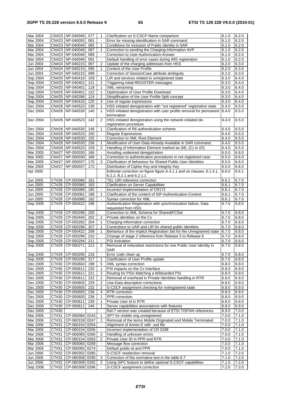| Mar 2004             |                     | CN#23 NP-040046                    | 077        | 1                        | Clarification on S-CSCF-Name comparison                                                         | 6.1.0          | 6.2.0          |
|----------------------|---------------------|------------------------------------|------------|--------------------------|-------------------------------------------------------------------------------------------------|----------------|----------------|
| Mar 2004             |                     | CN#23 NP-040055                    | 081        | ä,                       | Error for missing identification in SAR command                                                 | 6.1.0          | 6.2.0          |
| Mar 2004             |                     | CN#23 NP-040046                    | 085        | $\mathbf{1}$             | Conditions for inclusion of Public Identity in SAR                                              | 6.1.0          | 6.2.0          |
| Mar 2004             |                     | CN#23   NP-040046                  | 087        | 1                        | Correction to sending the Charging-Information AVP                                              | 6.1.0          | 6.2.0          |
| Mar 2004             |                     | CN#23 NP-040046                    | 089        | $\omega$                 | Correction to User-Authorization-Answer                                                         | 6.1.0          | 6.2.0          |
| Mar 2004             |                     | CN#23 NP-040046                    | 091        | $\overline{\phantom{a}}$ | Default handling of error cases during IMS registration                                         | 6.1.0          | 6.2.0          |
| Jun 2004             |                     | CN#24 NP-040215                    | 097        | 2                        | Update of the charging addresses from HSS                                                       | 6.2.0          | 6.3.0          |
| Jun 2004             |                     | CN#24 NP-040215                    | 095        | $\mathbf{1}$             | Content of the User Profile                                                                     | 6.2.0          | 6.3.0          |
| Jun 2004             |                     | CN#24 NP-040215                    | 099        | $\overline{\phantom{a}}$ | Correction of SessionCase attribute ambiguity                                                   | 6.2.0          | 6.3.0          |
| Sep 2004             |                     | CN#25 NP-040416                    | 109        | 1                        | LIR and services related to unregistered state                                                  | 6.3.0          | 6.4.0          |
| Sep 2004             |                     | CN#25 NP-040401                    | 121        | $\overline{2}$           | <b>Triggering initial REGISTER messages</b>                                                     | 6.3.0          | 6.4.0          |
| Sep 2004             |                     | CN#25 NP-040401                    | 118        | 1                        | XML versioning                                                                                  | 6.3.0          | 6.4.0          |
| Sep 2004             |                     | CN#25 NP-040401                    | 122        | 1                        | Optimization of User Profile Download                                                           | 6.3.0          | 6.4.0          |
| Sep 2004             |                     | CN#25 NP-040396                    | 124        | $\overline{2}$           | Simplification of the User Profile Split concept                                                | 6.3.0          | 6.4.0          |
| Sep 2004             |                     | CN#25 NP-040416                    | 120        | 3                        | Use of regular expressions                                                                      | 6.3.0          | 6.4.0          |
| Dec 2004             |                     | CN#26 NP-040523                    | 138        | 1                        | HSS initiated deregistration with "not registered" registration state                           | 6.4.0          | 6.5.0          |
| Dec 2004             |                     | CN#26 NP-040530                    | 140        | 1                        | HSS initiated deregistration with user profile removal for permanent                            | 6.4.0          | 6.5.0          |
|                      |                     |                                    |            |                          | termination                                                                                     |                |                |
| Dec 2004             |                     | CN#26 NP-040523                    | 142        | 2                        | HSS initiated deregistration using the network initiated de-                                    | 6.4.0          | 6.5.0          |
|                      |                     |                                    |            |                          | registration procedure                                                                          |                |                |
| Dec 2004             |                     | CN#26 NP-040530                    | 146        | 1                        | Clarification of R6 authentication scheme                                                       | 6.4.0          | 6.5.0          |
| Dec 2004             |                     | CN#26 NP-040523                    | 150        | $\blacksquare$           | <b>Regular Expressions</b>                                                                      | 6.4.0          | 6.5.0          |
| Dec 2004             |                     | CN#26 NP-040530                    | 155        | $\overline{\phantom{a}}$ | Correction to XML Root Element                                                                  | 6.4.0          | 6.5.0          |
| Dec 2004             |                     | CN#26 NP-040530                    | 156        | 1                        | Modification of User-Data-Already-Available in SAR command.                                     | 6.4.0          | 6.5.0          |
| Dec 2004             |                     | CN#26 NP-040523                    | 159        | 2                        | Handling of Information Element marked as (M), (C) or (O)                                       | 6.4.0          | 6.5.0          |
| Mar 2005             |                     | CN#27 NP-050030                    | 166        | $\overline{\phantom{a}}$ | Avoiding undesired deregistration                                                               | 6.5.0          | 6.6.0          |
| Mar 2005             |                     | CN#27 NP-050030                    | 168        | 1                        | Correction to authentication procedures in not registered case                                  | 6.5.0          | 6.6.0          |
| Mar 2005             |                     | CN#27 NP-050037                    | 170        | 3                        | Clarification of behaviour for Shared Public User Identities                                    | 6.5.0          | 6.6.0          |
| Mar 2005             | <b>CN#27</b>        | NP-050037                          | 172        | $\Box$                   | Distribution of Cipher Key and Integrity Key                                                    | 6.5.0          | 6.6.0          |
| Apr 2005             |                     |                                    |            |                          | Editorial correction on figure figure A.4.1.1 and on clauses: 6.1.4.1,                          | 6.6.0          | 6.6.1          |
|                      |                     |                                    |            | $\blacksquare$           | 6.2.2, B.2.1 and 6.2.1.1<br>TEL-URI reference correction                                        |                |                |
| Jun 2005             |                     | CT#28 CP-050086<br>CT#28 CP-050086 | 181<br>183 | $\blacksquare$           |                                                                                                 | 6.6.1          | 6.7.0<br>6.7.0 |
| Jun 2005<br>Jun 2005 |                     | CT#28 CP-050086                    | 185        | $\overline{\phantom{a}}$ | <b>Clarification on Server Capabilities</b>                                                     | 6.6.1<br>6.6.1 | 6.7.0          |
| Jun 2005             |                     | CT#28 CP-050081                    | 188        | 1                        | Incorrect Implementation of CR172<br>Clarification of the content of SIP-Authentication-Context | 6.6.1          | 6.7.0          |
| Jun 2005             | CT#28               | CP-050086                          | 192        | $\blacksquare$           | Syntax correction for XML                                                                       | 6.6.1          | 6.7.0          |
| Sep 2005             | CT#29               | CP-050422                          | 196        | ä,                       | Authentication Registration with synchronization failure, Data                                  | 6.7.0          | 6.8.0          |
|                      |                     |                                    |            |                          | requested from HSS                                                                              |                |                |
| Sep 2005             |                     | CT#29 CP-050296                    | 200        |                          | Correction to XML Schema for SharedIFCSet                                                       | 6.7.0          | 6.8.0          |
| Sep 2005             |                     | CT#29 CP-050440                    | 202        | 2                        | Private identities on the Cx                                                                    | 6.7.0          | 6.8.0          |
| Sep 2005             |                     | CT#29 CP-050282                    | 204        | 1                        | Charging-Information correction                                                                 | 6.7.0          | 6.8.0          |
| Sep 2005             |                     | CT#29 CP-050296                    | 207        | $\mathbf{1}$             | Corrections to UAR and LIR for shared public identities                                         | 6.7.0          | 6.8.0          |
| Sep 2005             | CT#29               | CP-050422                          | 208        | 1                        | Behaviour of the Implicit Registration Set for the Unregistered state                           | 6.7.0          | 6.8.0          |
| Sep 2005             | CT#29               | CP-050296                          | 210        | $\mathbf{r}$             | Change of stage 2 reference from Release 5 to Release 6                                         | 6.7.0          | 6.8.0          |
| Sep 2005             | CT#29               | CP-050294                          | 211        | $\mathbf{r}$             | <b>PSI</b> Activation                                                                           | 6.7.0          | 6.8.0          |
| Sep 2005             |                     | CT#29 CP-050271                    | 213        | 2                        | Removal of redundant restrictions for one Public User Identity in                               | 6.7.0          | 6.8.0          |
|                      |                     |                                    |            |                          | SAR                                                                                             |                |                |
| Sep 2005             | CT#29               | CP-050296                          | 216        | $\overline{\phantom{a}}$ | Error code clean up                                                                             | 6.7.0          | 6.8.0          |
| Sep 2005             |                     | CT#29 CP-050296                    | 217        | 1                        | Clarification of User Profile update                                                            | 6.7.0          | 6.8.0          |
| Dec 2005             |                     | CT#30 CP-050604                    | 198        | $\mathbf 5$              | XML syntax correction                                                                           | 6.8.0          | 6.9.0          |
| Dec 2005             |                     | CT#30 CP-050611                    | 220        | $\mathbf{1}$             | PSI impacts on the Cx Interface                                                                 | 6.8.0          | 6.9.0          |
| Dec 2005             | $\overline{CT#30}$  | CP-050611                          | 221        | 3                        | Routing for PSIs Matching a Wildcarded PSI                                                      | 6.8.0          | 6.9.0          |
| Dec 2005             |                     | CT#30 CP-050611                    | 222        | $\boldsymbol{2}$         | Removal of overhead in Private Identities handling in RTR                                       | 6.8.0          | 6.9.0          |
| Dec 2005             |                     | CT#30 CP-050605                    | 229        | $\overline{2}$           | Use-Data description corrections                                                                | 6.8.0          | 6.9.0          |
| Dec 2005             | CT#30               | CP-050605                          | 232        | 2                        | S-CSCF assignment checking for notregistered state                                              | 6.8.0          | 6.9.0          |
| Dec 2005             |                     | CT#30 CP-050605                    | 236        | 4                        | RTR correction                                                                                  | 6.8.0          | 6.9.0          |
| Dec 2005             |                     | CT#30 CP-050605                    | 238        | 1                        | PPR correction                                                                                  | 6.8.0          | 6.9.0          |
| Dec 2005             | CT#30               | CP-050611                          | 239        | 1                        | Private User Id in RTR                                                                          | 6.8.0          | 6.9.0          |
| Dec 2005             | CT#30               | CP-050611                          | 246        | 1                        | Server capabilities associations with features                                                  | 6.8.0          | 6.9.0          |
| Dec 2005             | CT#30               |                                    |            |                          | Rel-7 version was created because of ETSI TISPAN references.                                    | 6.9.0          | 7.0.0          |
| Mar 2006             | CT#31               | CP-060084 0243                     |            | 1                        | SPT for mobile orig unregistered                                                                | 7.0.0          | 7.1.0          |
| Mar 2006             | CT#31               | CP-060159 0247                     |            | $\overline{2}$           | Removal of the terms Mobile Originated and Mobile Terminated                                    | 7.0.0          | 7.1.0          |
| <b>Mar 2006</b>      | CT#31               | CP-060154 0254                     |            | $\blacksquare$           | Alignment of Annex E with .xsd file                                                             | 7.0.0          | 7.1.0          |
| Mar 2006             | CT#31               | CP-060154 0256                     |            |                          | Incorrect implementation of CR 0198                                                             | 7.0.0          | 7.1.0          |
| Mar 2006             | CT#31               | CP-060065 0260                     |            | 2                        | Handling of unknown errors                                                                      | 7.0.0          | 7.1.0          |
| Mar 2006             |                     | CP-060154 0263                     |            | 2                        | Private User ID in PPR and RTR                                                                  | 7.0.0          | 7.1.0          |
| <b>Mar 2006</b>      | $\overline{C}$ T#31 |                                    |            |                          |                                                                                                 |                |                |
|                      | CT#31               | CP-060065 0269                     |            | $\blacksquare$           | Message flow correction                                                                         | 7.0.0          | 7.1.0          |
| Mar 2006             | CT#31               | CP-060065 0274                     |            | $\blacksquare$           | Default public-id and PPR                                                                       | 7.0.0          | 7.1.0          |
| Jun 2006             | CT#32               | CP-060302 0285                     |            | $\blacksquare$           | S-CSCF reselection removal                                                                      | 7.1.0          | 7.2.0          |
| Jun 2006             | CT#32               | CP-060308 0290                     |            | 3                        | Correction of the normative text in the table 6.7                                               | 7.1.0          | 7.2.0          |
| Jun 2006<br>Sep 2006 | CT#32<br>CT#33      | CP-060308 0292<br>CP-060308 0296   |            | 2                        | Using SiFC feature to define optional S-CSCF capabilities<br>S-CSCF assignment correction       | 7.1.0<br>7.2.0 | 7.2.0<br>7.3.0 |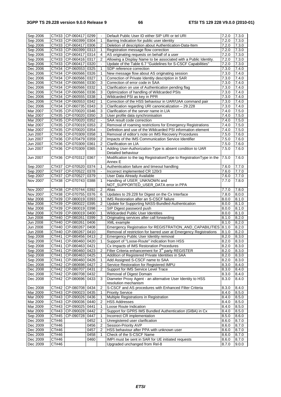| Sep 2006        |       | CT#33 CP-060417 0299     |      |                | Default Public User ID either SIP URI or tel URI                                | 7.2.0 | 7.3.0 |
|-----------------|-------|--------------------------|------|----------------|---------------------------------------------------------------------------------|-------|-------|
| Sep 2006        | CT#33 | CP-060399 0304           |      | 1              | Barring Indication for public user identity                                     | 7.2.0 | 7.3.0 |
| Sep 2006        |       | CT#33 CP-060417 0306     |      | 2              | Deletion of description about Authentication-Data-Item                          | 7.2.0 | 7.3.0 |
|                 |       |                          |      |                |                                                                                 |       |       |
| Sep 2006        |       | CT#33 CP-060399 0313     |      | 1              | Registration message flow correction                                            | 7.2.0 | 7.3.0 |
| Sep 2006        |       | CT#33 CP-060417 0314     |      | 4              | AS originating requests on behalf of a user                                     | 7.2.0 | 7.3.0 |
| Sep 2006        |       | CT#33 CP-060416 0317     |      | 2              | Allowing a Display Name to be associated with a Public Identity.                | 7.2.0 | 7.3.0 |
|                 |       |                          |      |                |                                                                                 |       |       |
| Sep 2006        | CT#33 | CP-060417 0320           |      |                | Update of the Table 6.7 "Guidelines for S-CSCF Capabilities"                    | 7.2.0 | 7.3.0 |
| Dec 2006        | CT#34 | CP-060553 0325           |      | 1              | SDP reference correction                                                        | 7.3.0 | 7.4.0 |
| Dec 2006        | CT#34 | CP-060566 0326           |      | 1              | New message flow about AS originating session                                   | 7.3.0 | 7.4.0 |
|                 |       |                          |      |                |                                                                                 |       |       |
| Dec 2006        | CT#34 | CP-060566 0327           |      | 1              | Correction of Private Identity description in SAR                               | 7.3.0 | 7.4.0 |
| Dec 2006        | CT#34 | CP-060566 0330           |      | 3              | Correction of error code in SAA                                                 | 7.3.0 | 7.4.0 |
| Dec 2006        | CT#34 | CP-060566 0332           |      | 1              | Clarification on use of Authentication pending flag                             | 7.3.0 | 7.4.0 |
|                 |       |                          |      |                |                                                                                 |       |       |
| Dec 2006        | CT#34 | CP-060566 0336           |      | 3              | Optimization of handling of Wildcarded PSIs                                     | 7.3.0 | 7.4.0 |
| Dec 2006        | CT#34 | CP-060555 0338           |      | 1              | Wildcarded PSI as key in PPR                                                    | 7.3.0 | 7.4.0 |
| Dec 2006        | CT#34 | CP-060553 0342           |      | $\mathbf{1}$   | Correction of the HSS behaviour in UAR/UAA command pair                         | 7.3.0 | 7.4.0 |
|                 |       |                          |      |                |                                                                                 |       |       |
| Dec 2006        | CT#34 | CP-060735 0343           |      | 3              | Clarification regarding URI canonicalization - 29.228                           | 7.3.0 | 7.4.0 |
| Mar 2007        | CT#35 | CP-070020 0346           |      | 3              | Clarification of the server name in LIA                                         | 7.4.0 | 7.5.0 |
| Mar 2007        |       | CT#35 CP-070020 0350     |      | 3              | User profile data synchronisation                                               | 7.4.0 | 7.5.0 |
|                 |       |                          |      |                |                                                                                 |       |       |
| Mar 2007        |       | CT#35 CP-070020 0352     |      |                | SAA result code correction                                                      | 7.4.0 | 7.5.0 |
| Mar 2007        |       | CT#35 CP-070019 0353     |      | $\overline{2}$ | Removal of roaming restrictions for Emergency Registrations                     | 7.4.0 | 7.5.0 |
| Mar 2007        |       | CT#35 CP-070020 0354     |      | $\mathbf{r}$   | Definition and use of the Wildcarded PSI information element                    | 7.4.0 | 7.5.0 |
|                 |       |                          |      |                |                                                                                 |       |       |
| Jun 2007        |       | CT#36 CP-070309 0358     |      | 1              | Removal of editor's note on IMS Recovery Procedures                             | 7.5.0 | 7.6.0 |
| Jun 2007        | CT#36 | CP-070479 0359           |      | 2              | Impacts of the IMS Communication Service Identifier                             | 7.5.0 | 7.6.0 |
| Jun 2007        |       | CT#36 CP-070309 0361     |      | $\overline{2}$ | Clarification on LIA                                                            | 7.5.0 | 7.6.0 |
|                 |       |                          |      |                |                                                                                 |       |       |
| Jun 2007        |       | CT#36   CP-070309   0365 |      | 1              | Adding User-Authorization-Type is absent condition to UAR<br>Detailed behaviour | 7.5.0 | 7.6.0 |
| Jun 2007        | CT#36 | CP-070312 0367           |      | $\Box$         | Modification to the tag RegistrationtType to RegistrationType in the            | 7.5.0 | 7.6.0 |
|                 |       |                          |      |                | Annex E                                                                         |       |       |
| Sep 2007        | CT#37 | CP-070520 0374           |      | $\mathbf{1}$   | Authentication failure and timeout handling                                     | 7.6.0 | 7.7.0 |
| Sep 2007        | CT#37 | $ CP-070522 0378$        |      |                | Incorrect implemented CR 120r3                                                  | 7.6.0 | 7.7.0 |
|                 |       |                          |      |                |                                                                                 |       |       |
| Sep 2007        | CT#37 | CP-070527 0379           |      |                | User Data Already Available                                                     | 7.6.0 | 7.7.0 |
| Nov 2007        | CT#38 | CP-070743 0388           |      | $\mathbf{1}$   | Handling of USER UNKNOWN and                                                    | 7.7.0 | 7.8.0 |
|                 |       |                          |      |                | NOT_SUPPORTED_USER_DATA error in PPA                                            |       |       |
|                 |       |                          |      |                |                                                                                 |       |       |
| Nov 2007        |       | CT#38 CP-070744 0392     |      | 2              | Alias                                                                           | 7.7.0 | 7.8.0 |
| Nov 2007        |       | CT#38   CP-070755   0376 |      | 6              | Updates to 29.228 for Digest on the Cx Interface                                | 7.8.0 | 8.0.0 |
| Mar 2008        | CT#39 | CP-080019 0393           |      | 1              | IMS Restoration after an S-CSCF failure                                         | 8.0.0 | 8.1.0 |
| Mar 2008        | CT#39 | $ CP - 080022 0395$      |      | $\overline{2}$ |                                                                                 | 8.0.0 | 8.1.0 |
|                 |       |                          |      |                | Update for Supporting NASS-Bundled-Authentication                               |       |       |
| Mar 2008        | CT#39 | CP-080019 0398           |      |                | SIP Digest password push                                                        | 8.0.0 | 8.1.0 |
| Mar 2008        | CT#39 | CP-080019 0400           |      | 1              | Wildcarded Public User Identities                                               | 8.0.0 | 8.1.0 |
| Jun 2008        |       | CT#40 CP-080261 0399     |      | 3              | Originating services after call forwarding                                      | 8.1.0 | 8.2.0 |
|                 |       |                          |      |                |                                                                                 |       |       |
| <b>Jun 2008</b> | CT#40 | CP-080261 0406           |      |                | XML example                                                                     | 8.1.0 | 8.2.0 |
| Jun 2008        | CT#40 | CP-080267                | 0408 |                | Emergency Registration for REGISTRATION_AND_CAPABILITIES 8.1.0                  |       | 8.2.0 |
| <b>Jun 2008</b> | CT#40 | CP-080267 0410           |      |                | Removal of restriction for barred user at Emergency Registrations               | 8.1.0 | 8.2.0 |
|                 |       |                          |      |                |                                                                                 |       |       |
| Sep 2008        | CT#41 | CP-080456 0413           |      | 2              | Emergency Public User Identity removal                                          | 8.2.0 | 8.3.0 |
| Sep 2008        | CT#41 | CP-080460 0420           |      | 1              | Support of "Loose-Route" indication from HSS                                    | 8.2.0 | 8.3.0 |
| Sep 2008        |       | CT#41 CP-080463 0421     |      |                | Cx Impacts of IMS Restoration Procedures                                        | 8.2.0 | 8.3.0 |
|                 |       |                          |      |                |                                                                                 |       |       |
| Sep 2008        | CT#41 | CP-080460 0423           |      | 2              | Filter Criteria enhancement for 3 <sup>rd</sup> party REGISTER                  | 8.2.0 | 8.3.0 |
| Sep 2008        | CT#41 | CP-080463 0425           |      | 1              | Addition of Registered Private Identities in SAA                                | 8.2.0 | 8.3.0 |
| Sep 2008        | CT#41 | CP-080460 0426           |      | 1              | Add Assigned S-CSCF name to SAA                                                 | 8.2.0 | 8.3.0 |
| Dec 2008        | CT#42 | CP-080698 0427           |      | 2              | Service Restoration for Registered IMPU                                         | 8.3.0 | 8.4.0 |
|                 |       |                          |      |                |                                                                                 |       |       |
| Dec 2008        |       | CT#42 CP-080707 0431     |      | $\overline{2}$ | Support for IMS Service Level Trace                                             | 8.3.0 | 8.4.0 |
| Dec 2008        | CT#42 | CP-080708 0432           |      |                | Removal of Digest Domain                                                        | 8.3.0 | 8.4.0 |
| Dec 2008        | CT#42 | CP-080696 0433           |      | 3              | Diameter Proxy Agent - an alternative User Identity to HSS                      | 8.3.0 | 8.4.0 |
|                 |       |                          |      |                | resolution mechanism                                                            |       |       |
| Dec 2008        |       | CT#42 CP-080708 0434     |      | $\sqrt{2}$     | S-CSCF and AS procedures with Enhanced Filter Criteria                          | 8.3.0 | 8.4.0 |
|                 |       |                          |      |                |                                                                                 |       |       |
| Mar 2009        |       | CT#43 CP-090023 0435     |      | 1              | <b>Priority Service</b>                                                         | 8.4.0 | 8.5.0 |
| Mar 2009        |       | CT#43 CP-090026 0436     |      | 1              | Multiple Registrations in Registration                                          | 8.4.0 | 8.5.0 |
| Mar 2009        |       | CT#43   CP-090036   0440 |      | 2              | <b>HSS Addresses</b>                                                            | 8.4.0 | 8.5.0 |
|                 |       |                          |      |                |                                                                                 |       |       |
| Mar 2009        |       | CT#43   CP-090025   0441 |      | 1              | Loose Route Indication                                                          | 8.4.0 | 8.5.0 |
| Mar 2009        |       | CT#43 CP-090028 0442     |      | 2              | Support for GPRS IMS Bundled Authentication (GIBA) in Cx                        | 8.4.0 | 8.5.0 |
| Sep 2009        |       | CT#45   CP-090728   0447 |      | 1              | Incorrect CR implementation                                                     | 8.5.0 | 8.6.0 |
|                 |       |                          |      |                |                                                                                 |       |       |
| Dec 2009        | CT#46 |                          | 0452 | 1              | Unregistered user clarification                                                 | 8.6.0 | 8.7.0 |
| Dec 2009        | CT#46 |                          | 0456 | 2              | Session-Priority AVP                                                            | 8.6.0 | 8.7.0 |
| Dec 2009        | CT#46 |                          | 0457 | $\overline{2}$ | HSS behaviour after PPA with unknown user                                       | 8.6.0 | 8.7.0 |
| Dec 2009        | CT#46 |                          | 0458 | 1              | Check of the S-CSCF Name                                                        | 8.6.0 |       |
|                 |       |                          |      |                |                                                                                 |       | 8.7.0 |
| Dec 2009        | CT#46 |                          | 0460 |                | IMPI must be sent in SAR for UE initiated requests                              | 8.6.0 | 8.7.0 |
| Dec 2009        | CT#46 |                          |      |                | Upgraded unchanged from Rel-8                                                   | 8.7.0 | 9.0.0 |